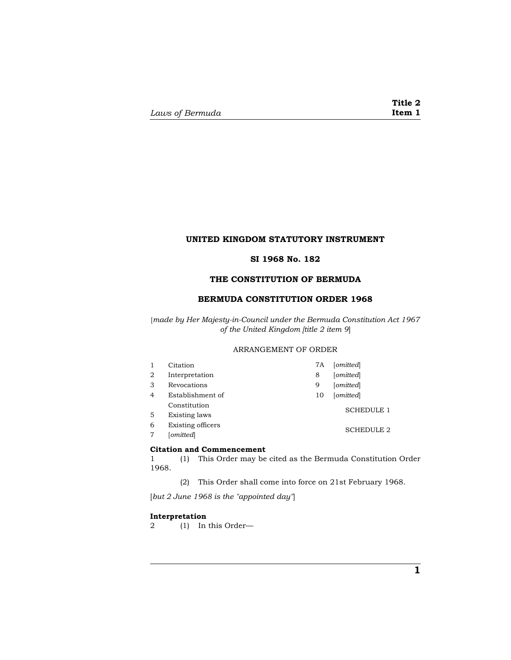# **UNITED KINGDOM STATUTORY INSTRUMENT**

# **SI 1968 No. 182**

# **THE CONSTITUTION OF BERMUDA**

# **BERMUDA CONSTITUTION ORDER 1968**

[*made by Her Majesty-in-Council under the Bermuda Constitution Act 1967 of the United Kingdom [title 2 item 9*]

# ARRANGEMENT OF ORDER

|   | Citation          | 7A | [omitted]         |
|---|-------------------|----|-------------------|
| 2 | Interpretation    | 8  | [omitted]         |
| 3 | Revocations       | 9  | [omitted]         |
| 4 | Establishment of  | 10 | [omitted]         |
|   | Constitution      |    | <b>SCHEDULE 1</b> |
| 5 | Existing laws     |    |                   |
| 6 | Existing officers |    | <b>SCHEDULE 2</b> |
| 7 | [omitted]         |    |                   |
|   |                   |    |                   |

## **Citation and Commencement**

1 (1) This Order may be cited as the Bermuda Constitution Order 1968.

(2) This Order shall come into force on 21st February 1968.

[*but 2 June 1968 is the "appointed day"*]

### **Interpretation**

2 (1) In this Order—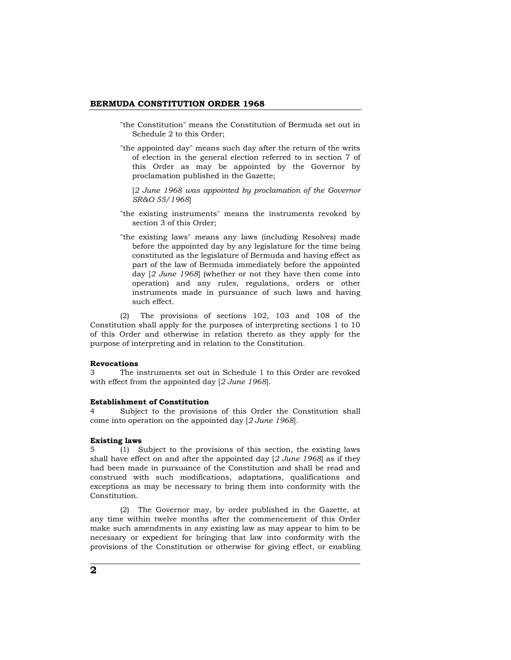- "the Constitution" means the Constitution of Bermuda set out in Schedule 2 to this Order;
- "the appointed day" means such day after the return of the writs of election in the general election referred to in section 7 of this Order as may be appointed by the Governor by proclamation published in the Gazette;

 [*2 June 1968 was appointed by proclamation of the Governor SR&O 55/1968*]

- "the existing instruments" means the instruments revoked by section 3 of this Order;
- "the existing laws" means any laws (including Resolves) made before the appointed day by any legislature for the time being constituted as the legislature of Bermuda and having effect as part of the law of Bermuda immediately before the appointed day [*2 June 1968*] (whether or not they have then come into operation) and any rules, regulations, orders or other instruments made in pursuance of such laws and having such effect.

(2) The provisions of sections 102, 103 and 108 of the Constitution shall apply for the purposes of interpreting sections 1 to 10 of this Order and otherwise in relation thereto as they apply for the purpose of interpreting and in relation to the Constitution.

## **Revocations**

3 The instruments set out in Schedule 1 to this Order are revoked with effect from the appointed day [*2 June 1968*].

#### **Establishment of Constitution**

4 Subject to the provisions of this Order the Constitution shall come into operation on the appointed day [*2 June 1968*].

# **Existing laws**

5 (1) Subject to the provisions of this section, the existing laws shall have effect on and after the appointed day [*2 June 1968*] as if they had been made in pursuance of the Constitution and shall be read and construed with such modifications, adaptations, qualifications and exceptions as may be necessary to bring them into conformity with the Constitution.

(2) The Governor may, by order published in the Gazette, at any time within twelve months after the commencement of this Order make such amendments in any existing law as may appear to him to be necessary or expedient for bringing that law into conformity with the provisions of the Constitution or otherwise for giving effect, or enabling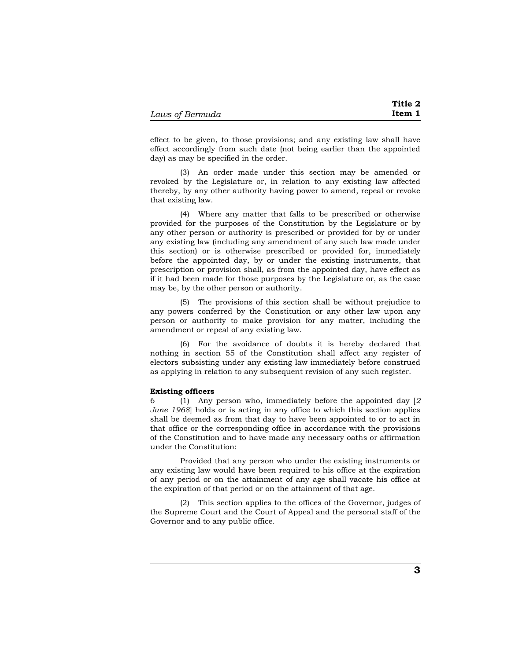effect to be given, to those provisions; and any existing law shall have effect accordingly from such date (not being earlier than the appointed day) as may be specified in the order.

(3) An order made under this section may be amended or revoked by the Legislature or, in relation to any existing law affected thereby, by any other authority having power to amend, repeal or revoke that existing law.

(4) Where any matter that falls to be prescribed or otherwise provided for the purposes of the Constitution by the Legislature or by any other person or authority is prescribed or provided for by or under any existing law (including any amendment of any such law made under this section) or is otherwise prescribed or provided for, immediately before the appointed day, by or under the existing instruments, that prescription or provision shall, as from the appointed day, have effect as if it had been made for those purposes by the Legislature or, as the case may be, by the other person or authority.

(5) The provisions of this section shall be without prejudice to any powers conferred by the Constitution or any other law upon any person or authority to make provision for any matter, including the amendment or repeal of any existing law.

(6) For the avoidance of doubts it is hereby declared that nothing in section 55 of the Constitution shall affect any register of electors subsisting under any existing law immediately before construed as applying in relation to any subsequent revision of any such register.

#### **Existing officers**

6 (1) Any person who, immediately before the appointed day [*2 June 1968* holds or is acting in any office to which this section applies shall be deemed as from that day to have been appointed to or to act in that office or the corresponding office in accordance with the provisions of the Constitution and to have made any necessary oaths or affirmation under the Constitution:

Provided that any person who under the existing instruments or any existing law would have been required to his office at the expiration of any period or on the attainment of any age shall vacate his office at the expiration of that period or on the attainment of that age.

(2) This section applies to the offices of the Governor, judges of the Supreme Court and the Court of Appeal and the personal staff of the Governor and to any public office.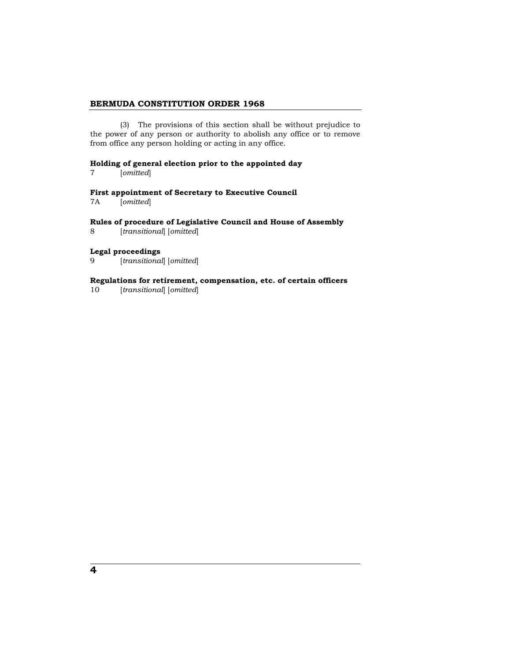(3) The provisions of this section shall be without prejudice to the power of any person or authority to abolish any office or to remove from office any person holding or acting in any office.

# **Holding of general election prior to the appointed day**

7 [*omitted*]

# **First appointment of Secretary to Executive Council**

7A [*omitted*]

# **Rules of procedure of Legislative Council and House of Assembly**

8 [*transitional*] [*omitted*]

### **Legal proceedings**

9 [*transitional*] [*omitted*]

# **Regulations for retirement, compensation, etc. of certain officers**

10 [*transitional*] [*omitted*]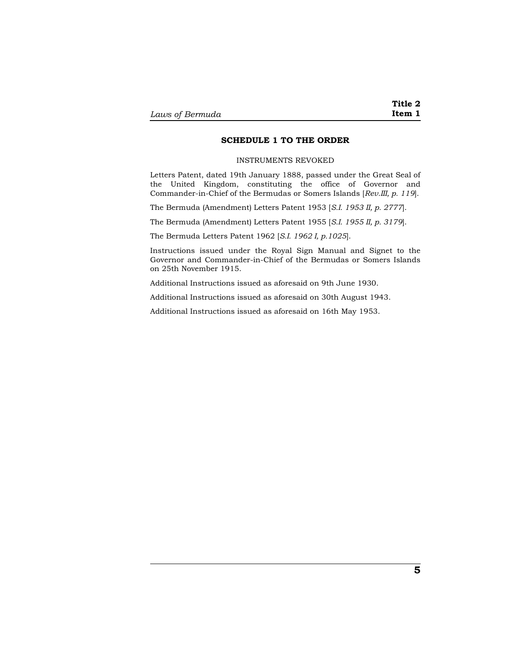## **SCHEDULE 1 TO THE ORDER**

#### INSTRUMENTS REVOKED

Letters Patent, dated 19th January 1888, passed under the Great Seal of the United Kingdom, constituting the office of Governor and Commander-in-Chief of the Bermudas or Somers Islands [*Rev.III, p. 119*].

The Bermuda (Amendment) Letters Patent 1953 [*S.I. 1953 II, p. 2777*].

The Bermuda (Amendment) Letters Patent 1955 [*S.I. 1955 II, p. 3179*].

The Bermuda Letters Patent 1962 [*S.I. 1962 I, p.1025*].

Instructions issued under the Royal Sign Manual and Signet to the Governor and Commander-in-Chief of the Bermudas or Somers Islands on 25th November 1915.

Additional Instructions issued as aforesaid on 9th June 1930.

Additional Instructions issued as aforesaid on 30th August 1943.

Additional Instructions issued as aforesaid on 16th May 1953.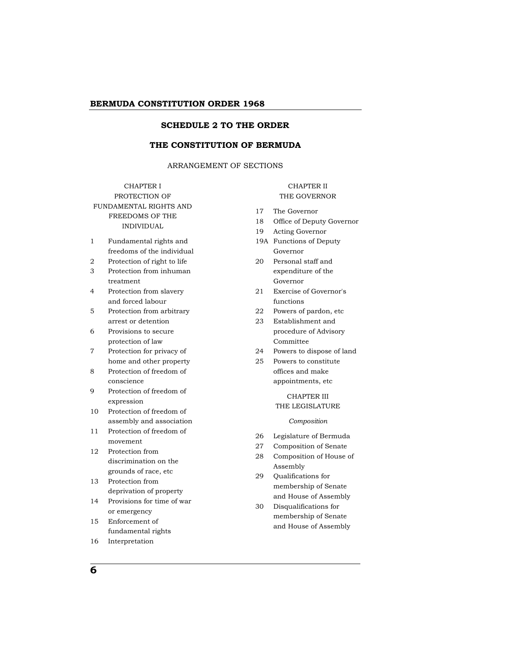## **SCHEDULE 2 TO THE ORDER**

### **THE CONSTITUTION OF BERMUDA**

ARRANGEMENT OF SECTIONS

# CHAPTER I PROTECTION OF FUNDAMENTAL RIGHTS AND FREEDOMS OF THE INDIVIDUAL

- 1 Fundamental rights and freedoms of the individual
- 2 Protection of right to life 3 Protection from inhuman
- treatment
- 4 Protection from slavery and forced labour
- 5 Protection from arbitrary arrest or detention
- 6 Provisions to secure protection of law
- 7 Protection for privacy of home and other property
- 8 Protection of freedom of conscience
- 9 Protection of freedom of expression
- 10 Protection of freedom of assembly and association
- 11 Protection of freedom of movement
- 12 Protection from discrimination on the grounds of race, etc
- 13 Protection from deprivation of property
- 14 Provisions for time of war or emergency
- 15 Enforcement of fundamental rights
- 16 Interpretation

# CHAPTER II THE GOVERNOR

- 17 The Governor
- 18 Office of Deputy Governor
- 19 Acting Governor
- 19A Functions of Deputy Governor
- 20 Personal staff and expenditure of the Governor
- 21 Exercise of Governor's functions
- 22 Powers of pardon, etc
- 23 Establishment and procedure of Advisory Committee
- 24 Powers to dispose of land
- 25 Powers to constitute offices and make appointments, etc

# CHAPTER III THE LEGISLATURE

*Composition*

- 26 Legislature of Bermuda
- 27 Composition of Senate
- 28 Composition of House of Assembly
- 29 Qualifications for membership of Senate and House of Assembly
- 30 Disqualifications for membership of Senate and House of Assembly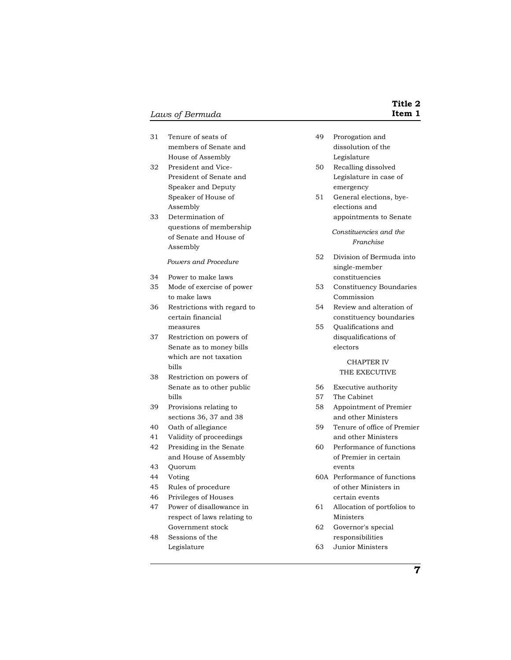# *Laws of Bermuda* **Item 1**

- 31 Tenure of seats of members of Senate and House of Assembly
- 32 President and Vice-President of Senate and Speaker and Deputy Speaker of House of Assembly
- 33 Determination of questions of membership of Senate and House of Assembly

### *Powers and Procedure*

- 34 Power to make laws
- 35 Mode of exercise of power to make laws
- 36 Restrictions with regard to certain financial measures
- 37 Restriction on powers of Senate as to money bills which are not taxation bills
- 38 Restriction on powers of Senate as to other public bills
- 39 Provisions relating to sections 36, 37 and 38
- 40 Oath of allegiance
- 41 Validity of proceedings 42 Presiding in the Senate
- and House of Assembly 43 Quorum
- 44 Voting
- 45 Rules of procedure
- 46 Privileges of Houses
- 47 Power of disallowance in respect of laws relating to Government stock
- 48 Sessions of the Legislature
- 49 Prorogation and dissolution of the Legislature
- 50 Recalling dissolved Legislature in case of emergency
- 51 General elections, byeelections and appointments to Senate
	- *Constituencies and the Franchise*
- 52 Division of Bermuda into single-member constituencies
- 53 Constituency Boundaries Commission
- 54 Review and alteration of constituency boundaries
- 55 Qualifications and disqualifications of electors

# CHAPTER IV THE EXECUTIVE

- 56 Executive authority
- 57 The Cabinet
- 58 Appointment of Premier and other Ministers
- 59 Tenure of office of Premier and other Ministers
- 60 Performance of functions of Premier in certain events
- 60A Performance of functions of other Ministers in certain events
- 61 Allocation of portfolios to Ministers
- 62 Governor's special responsibilities
- 63 Junior Ministers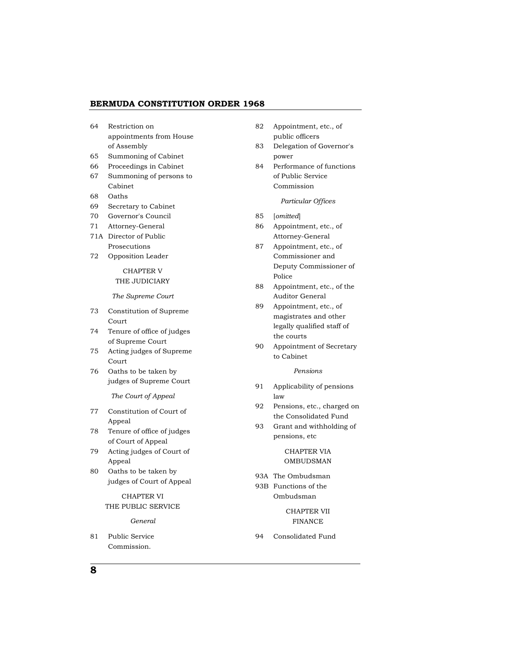- 64 Restriction on appointments from House of Assembly
- 65 Summoning of Cabinet
- 66 Proceedings in Cabinet
- 67 Summoning of persons to Cabinet
- 68 Oaths
- 69 Secretary to Cabinet
- 70 Governor's Council
- 71 Attorney-General
- 71A Director of Public Prosecutions
- 72 Opposition Leader

# CHAPTER V THE JUDICIARY

#### *The Supreme Court*

- 73 Constitution of Supreme Court
- 74 Tenure of office of judges of Supreme Court
- 75 Acting judges of Supreme Court
- 76 Oaths to be taken by judges of Supreme Court
	- *The Court of Appeal*
- 77 Constitution of Court of Appeal
- 78 Tenure of office of judges of Court of Appeal
- 79 Acting judges of Court of Appeal
- 80 Oaths to be taken by judges of Court of Appeal

# CHAPTER VI THE PUBLIC SERVICE

#### *General*

81 Public Service Commission.

- 82 Appointment, etc., of public officers
- 83 Delegation of Governor's power
- 84 Performance of functions of Public Service Commission

#### *Particular Offices*

- 85 [*omitted*]
- 86 Appointment, etc., of Attorney-General
- 87 Appointment, etc., of Commissioner and Deputy Commissioner of Police
- 88 Appointment, etc., of the Auditor General
- 89 Appointment, etc., of magistrates and other legally qualified staff of the courts
- 90 Appointment of Secretary to Cabinet

### *Pensions*

- 91 Applicability of pensions law
- 92 Pensions, etc., charged on the Consolidated Fund
- 93 Grant and withholding of pensions, etc

# CHAPTER VIA OMBUDSMAN

- 93A The Ombudsman
- 93B Functions of the Ombudsman

# CHAPTER VII FINANCE

94 Consolidated Fund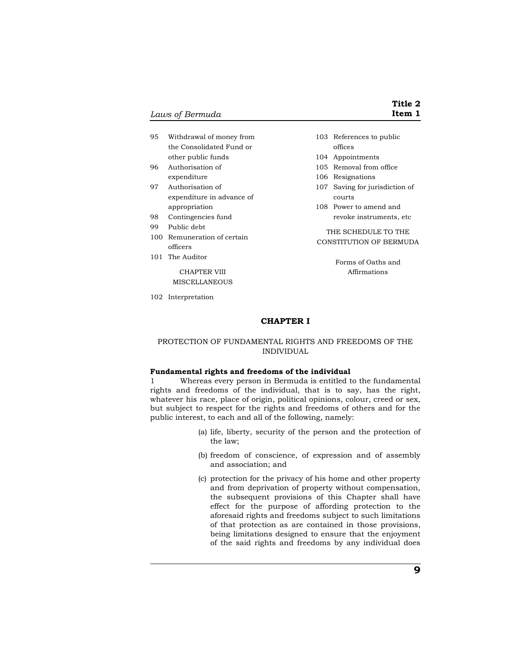- 95 Withdrawal of money from the Consolidated Fund or other public funds
- 96 Authorisation of expenditure
- 97 Authorisation of expenditure in advance of appropriation
- 98 Contingencies fund
- 99 Public debt
- 100 Remuneration of certain officers
- 101 The Auditor

CHAPTER VIII MISCELLANEOUS

- 103 References to public offices
- 104 Appointments
- 105 Removal from office
- 106 Resignations
- 107 Saving for jurisdiction of courts
- 108 Power to amend and revoke instruments, etc

THE SCHEDULE TO THE CONSTITUTION OF BERMUDA

> Forms of Oaths and Affirmations

# 102 Interpretation

# **CHAPTER I**

# PROTECTION OF FUNDAMENTAL RIGHTS AND FREEDOMS OF THE INDIVIDUAL

### **Fundamental rights and freedoms of the individual**

Whereas every person in Bermuda is entitled to the fundamental rights and freedoms of the individual, that is to say, has the right, whatever his race, place of origin, political opinions, colour, creed or sex, but subject to respect for the rights and freedoms of others and for the public interest, to each and all of the following, namely:

- (a) life, liberty, security of the person and the protection of the law;
- (b) freedom of conscience, of expression and of assembly and association; and
- (c) protection for the privacy of his home and other property and from deprivation of property without compensation, the subsequent provisions of this Chapter shall have effect for the purpose of affording protection to the aforesaid rights and freedoms subject to such limitations of that protection as are contained in those provisions, being limitations designed to ensure that the enjoyment of the said rights and freedoms by any individual does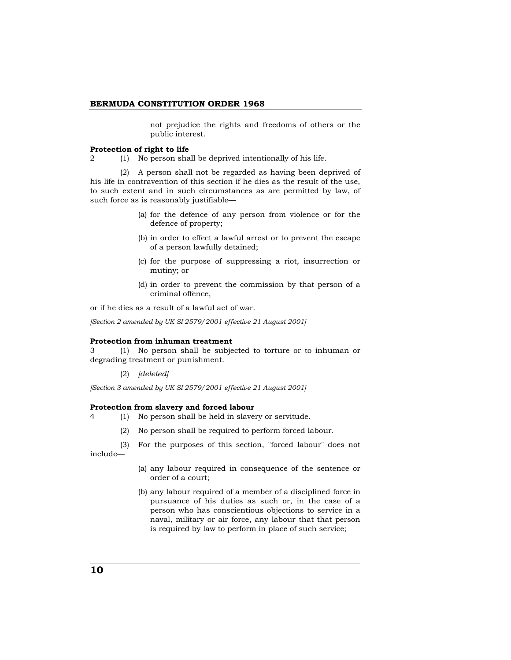not prejudice the rights and freedoms of others or the public interest.

#### **Protection of right to life**

2 (1) No person shall be deprived intentionally of his life.

(2) A person shall not be regarded as having been deprived of his life in contravention of this section if he dies as the result of the use, to such extent and in such circumstances as are permitted by law, of such force as is reasonably justifiable—

- (a) for the defence of any person from violence or for the defence of property;
- (b) in order to effect a lawful arrest or to prevent the escape of a person lawfully detained;
- (c) for the purpose of suppressing a riot, insurrection or mutiny; or
- (d) in order to prevent the commission by that person of a criminal offence,

or if he dies as a result of a lawful act of war.

*[Section 2 amended by UK SI 2579/2001 effective 21 August 2001]* 

### **Protection from inhuman treatment**

3 (1) No person shall be subjected to torture or to inhuman or degrading treatment or punishment.

(2) *[deleted]* 

*[Section 3 amended by UK SI 2579/2001 effective 21 August 2001]* 

#### **Protection from slavery and forced labour**

- 4 (1) No person shall be held in slavery or servitude.
	- (2) No person shall be required to perform forced labour.
	- (3) For the purposes of this section, "forced labour" does not

include—

- (a) any labour required in consequence of the sentence or order of a court;
- (b) any labour required of a member of a disciplined force in pursuance of his duties as such or, in the case of a person who has conscientious objections to service in a naval, military or air force, any labour that that person is required by law to perform in place of such service;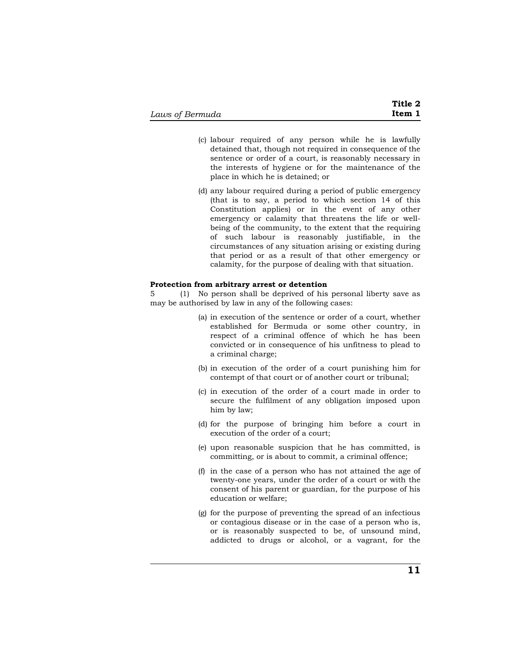- (c) labour required of any person while he is lawfully detained that, though not required in consequence of the sentence or order of a court, is reasonably necessary in the interests of hygiene or for the maintenance of the place in which he is detained; or
- (d) any labour required during a period of public emergency (that is to say, a period to which section 14 of this Constitution applies) or in the event of any other emergency or calamity that threatens the life or wellbeing of the community, to the extent that the requiring of such labour is reasonably justifiable, in the circumstances of any situation arising or existing during that period or as a result of that other emergency or calamity, for the purpose of dealing with that situation.

# **Protection from arbitrary arrest or detention**

5 (1) No person shall be deprived of his personal liberty save as may be authorised by law in any of the following cases:

- (a) in execution of the sentence or order of a court, whether established for Bermuda or some other country, in respect of a criminal offence of which he has been convicted or in consequence of his unfitness to plead to a criminal charge;
- (b) in execution of the order of a court punishing him for contempt of that court or of another court or tribunal;
- (c) in execution of the order of a court made in order to secure the fulfilment of any obligation imposed upon him by law;
- (d) for the purpose of bringing him before a court in execution of the order of a court;
- (e) upon reasonable suspicion that he has committed, is committing, or is about to commit, a criminal offence;
- (f) in the case of a person who has not attained the age of twenty-one years, under the order of a court or with the consent of his parent or guardian, for the purpose of his education or welfare;
- (g) for the purpose of preventing the spread of an infectious or contagious disease or in the case of a person who is, or is reasonably suspected to be, of unsound mind, addicted to drugs or alcohol, or a vagrant, for the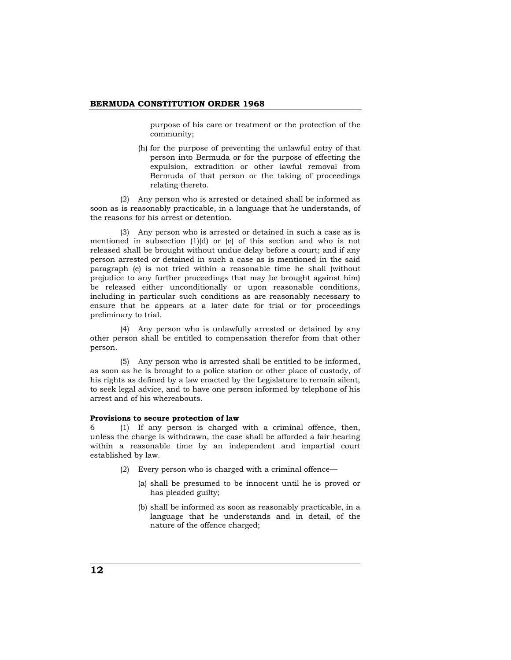purpose of his care or treatment or the protection of the community;

(h) for the purpose of preventing the unlawful entry of that person into Bermuda or for the purpose of effecting the expulsion, extradition or other lawful removal from Bermuda of that person or the taking of proceedings relating thereto.

(2) Any person who is arrested or detained shall be informed as soon as is reasonably practicable, in a language that he understands, of the reasons for his arrest or detention.

(3) Any person who is arrested or detained in such a case as is mentioned in subsection  $(1)(d)$  or (e) of this section and who is not released shall be brought without undue delay before a court; and if any person arrested or detained in such a case as is mentioned in the said paragraph (e) is not tried within a reasonable time he shall (without prejudice to any further proceedings that may be brought against him) be released either unconditionally or upon reasonable conditions, including in particular such conditions as are reasonably necessary to ensure that he appears at a later date for trial or for proceedings preliminary to trial.

(4) Any person who is unlawfully arrested or detained by any other person shall be entitled to compensation therefor from that other person.

(5) Any person who is arrested shall be entitled to be informed, as soon as he is brought to a police station or other place of custody, of his rights as defined by a law enacted by the Legislature to remain silent, to seek legal advice, and to have one person informed by telephone of his arrest and of his whereabouts.

#### **Provisions to secure protection of law**

6 (1) If any person is charged with a criminal offence, then, unless the charge is withdrawn, the case shall be afforded a fair hearing within a reasonable time by an independent and impartial court established by law.

- (2) Every person who is charged with a criminal offence—
	- (a) shall be presumed to be innocent until he is proved or has pleaded guilty;
	- (b) shall be informed as soon as reasonably practicable, in a language that he understands and in detail, of the nature of the offence charged;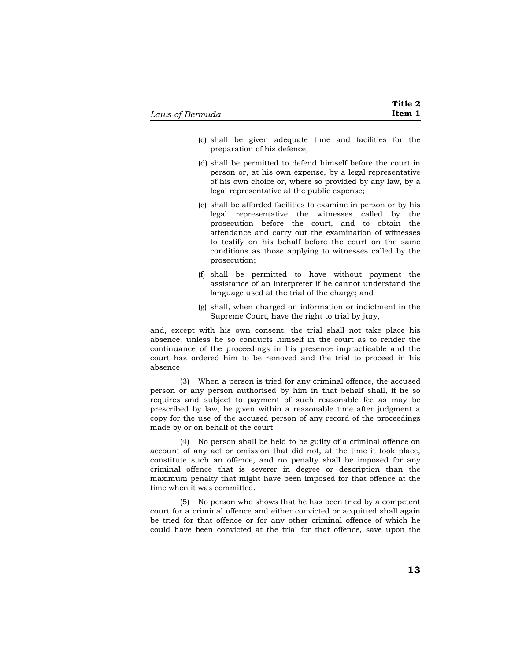- (c) shall be given adequate time and facilities for the preparation of his defence;
- (d) shall be permitted to defend himself before the court in person or, at his own expense, by a legal representative of his own choice or, where so provided by any law, by a legal representative at the public expense;
- (e) shall be afforded facilities to examine in person or by his legal representative the witnesses called by the prosecution before the court, and to obtain the attendance and carry out the examination of witnesses to testify on his behalf before the court on the same conditions as those applying to witnesses called by the prosecution;
- (f) shall be permitted to have without payment the assistance of an interpreter if he cannot understand the language used at the trial of the charge; and
- (g) shall, when charged on information or indictment in the Supreme Court, have the right to trial by jury,

and, except with his own consent, the trial shall not take place his absence, unless he so conducts himself in the court as to render the continuance of the proceedings in his presence impracticable and the court has ordered him to be removed and the trial to proceed in his absence.

(3) When a person is tried for any criminal offence, the accused person or any person authorised by him in that behalf shall, if he so requires and subject to payment of such reasonable fee as may be prescribed by law, be given within a reasonable time after judgment a copy for the use of the accused person of any record of the proceedings made by or on behalf of the court.

(4) No person shall be held to be guilty of a criminal offence on account of any act or omission that did not, at the time it took place, constitute such an offence, and no penalty shall be imposed for any criminal offence that is severer in degree or description than the maximum penalty that might have been imposed for that offence at the time when it was committed.

(5) No person who shows that he has been tried by a competent court for a criminal offence and either convicted or acquitted shall again be tried for that offence or for any other criminal offence of which he could have been convicted at the trial for that offence, save upon the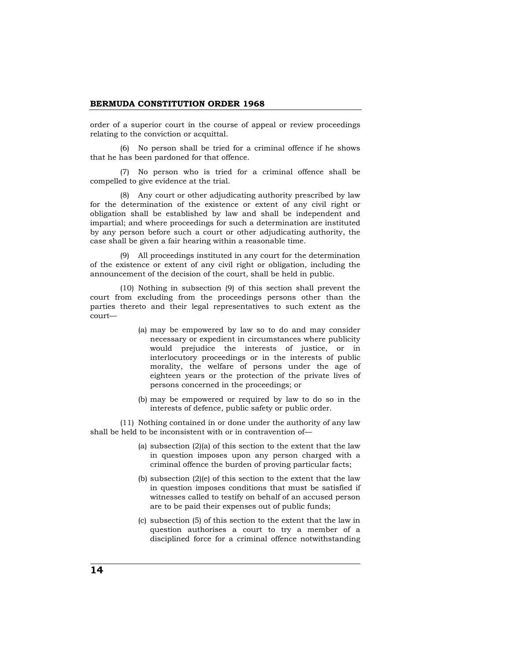order of a superior court in the course of appeal or review proceedings relating to the conviction or acquittal.

(6) No person shall be tried for a criminal offence if he shows that he has been pardoned for that offence.

(7) No person who is tried for a criminal offence shall be compelled to give evidence at the trial.

(8) Any court or other adjudicating authority prescribed by law for the determination of the existence or extent of any civil right or obligation shall be established by law and shall be independent and impartial; and where proceedings for such a determination are instituted by any person before such a court or other adjudicating authority, the case shall be given a fair hearing within a reasonable time.

(9) All proceedings instituted in any court for the determination of the existence or extent of any civil right or obligation, including the announcement of the decision of the court, shall be held in public.

(10) Nothing in subsection (9) of this section shall prevent the court from excluding from the proceedings persons other than the parties thereto and their legal representatives to such extent as the court—

- (a) may be empowered by law so to do and may consider necessary or expedient in circumstances where publicity would prejudice the interests of justice, or in interlocutory proceedings or in the interests of public morality, the welfare of persons under the age of eighteen years or the protection of the private lives of persons concerned in the proceedings; or
- (b) may be empowered or required by law to do so in the interests of defence, public safety or public order.

(11) Nothing contained in or done under the authority of any law shall be held to be inconsistent with or in contravention of—

- (a) subsection (2)(a) of this section to the extent that the law in question imposes upon any person charged with a criminal offence the burden of proving particular facts;
- (b) subsection (2)(e) of this section to the extent that the law in question imposes conditions that must be satisfied if witnesses called to testify on behalf of an accused person are to be paid their expenses out of public funds;
- (c) subsection (5) of this section to the extent that the law in question authorises a court to try a member of a disciplined force for a criminal offence notwithstanding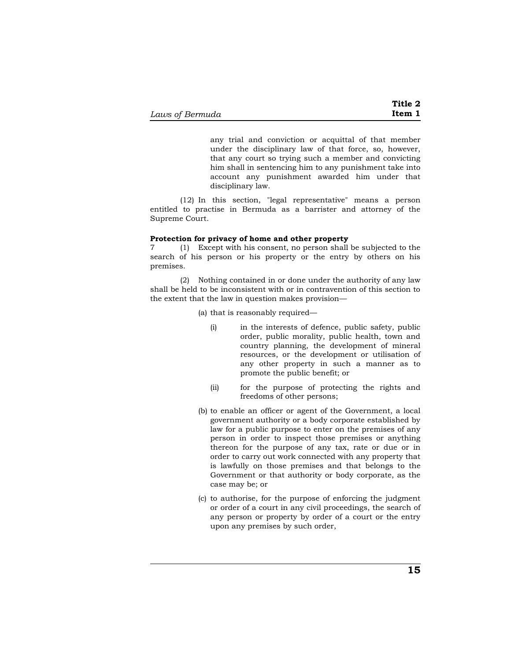any trial and conviction or acquittal of that member under the disciplinary law of that force, so, however, that any court so trying such a member and convicting him shall in sentencing him to any punishment take into account any punishment awarded him under that disciplinary law.

(12) In this section, "legal representative" means a person entitled to practise in Bermuda as a barrister and attorney of the Supreme Court.

# **Protection for privacy of home and other property**

7 (1) Except with his consent, no person shall be subjected to the search of his person or his property or the entry by others on his premises.

(2) Nothing contained in or done under the authority of any law shall be held to be inconsistent with or in contravention of this section to the extent that the law in question makes provision—

- (a) that is reasonably required—
	- (i) in the interests of defence, public safety, public order, public morality, public health, town and country planning, the development of mineral resources, or the development or utilisation of any other property in such a manner as to promote the public benefit; or
	- (ii) for the purpose of protecting the rights and freedoms of other persons;
- (b) to enable an officer or agent of the Government, a local government authority or a body corporate established by law for a public purpose to enter on the premises of any person in order to inspect those premises or anything thereon for the purpose of any tax, rate or due or in order to carry out work connected with any property that is lawfully on those premises and that belongs to the Government or that authority or body corporate, as the case may be; or
- (c) to authorise, for the purpose of enforcing the judgment or order of a court in any civil proceedings, the search of any person or property by order of a court or the entry upon any premises by such order,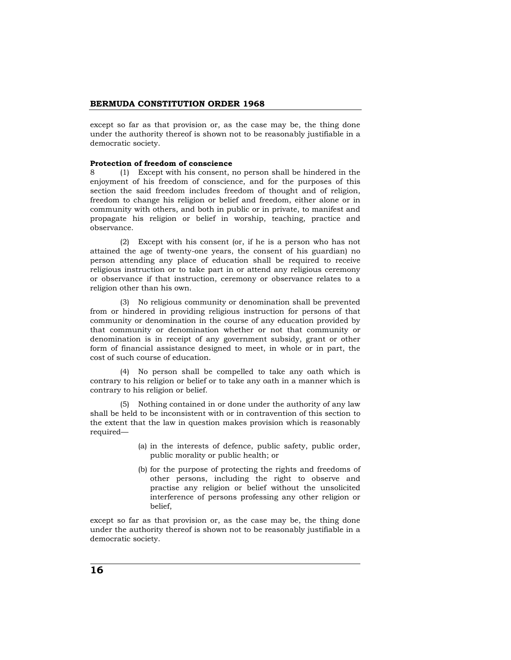except so far as that provision or, as the case may be, the thing done under the authority thereof is shown not to be reasonably justifiable in a democratic society.

### **Protection of freedom of conscience**

8 (1) Except with his consent, no person shall be hindered in the enjoyment of his freedom of conscience, and for the purposes of this section the said freedom includes freedom of thought and of religion, freedom to change his religion or belief and freedom, either alone or in community with others, and both in public or in private, to manifest and propagate his religion or belief in worship, teaching, practice and observance.

(2) Except with his consent (or, if he is a person who has not attained the age of twenty-one years, the consent of his guardian) no person attending any place of education shall be required to receive religious instruction or to take part in or attend any religious ceremony or observance if that instruction, ceremony or observance relates to a religion other than his own.

(3) No religious community or denomination shall be prevented from or hindered in providing religious instruction for persons of that community or denomination in the course of any education provided by that community or denomination whether or not that community or denomination is in receipt of any government subsidy, grant or other form of financial assistance designed to meet, in whole or in part, the cost of such course of education.

(4) No person shall be compelled to take any oath which is contrary to his religion or belief or to take any oath in a manner which is contrary to his religion or belief.

(5) Nothing contained in or done under the authority of any law shall be held to be inconsistent with or in contravention of this section to the extent that the law in question makes provision which is reasonably required—

- (a) in the interests of defence, public safety, public order, public morality or public health; or
- (b) for the purpose of protecting the rights and freedoms of other persons, including the right to observe and practise any religion or belief without the unsolicited interference of persons professing any other religion or belief,

except so far as that provision or, as the case may be, the thing done under the authority thereof is shown not to be reasonably justifiable in a democratic society.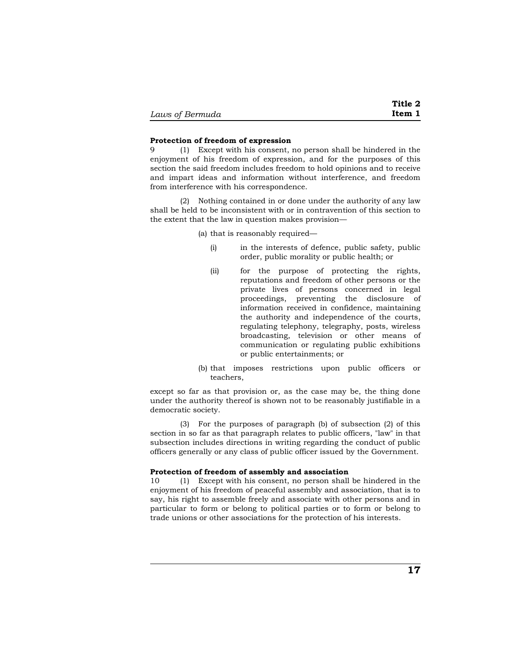#### **Protection of freedom of expression**

9 (1) Except with his consent, no person shall be hindered in the enjoyment of his freedom of expression, and for the purposes of this section the said freedom includes freedom to hold opinions and to receive and impart ideas and information without interference, and freedom from interference with his correspondence.

(2) Nothing contained in or done under the authority of any law shall be held to be inconsistent with or in contravention of this section to the extent that the law in question makes provision—

(a) that is reasonably required—

- (i) in the interests of defence, public safety, public order, public morality or public health; or
- (ii) for the purpose of protecting the rights, reputations and freedom of other persons or the private lives of persons concerned in legal proceedings, preventing the disclosure of information received in confidence, maintaining the authority and independence of the courts, regulating telephony, telegraphy, posts, wireless broadcasting, television or other means of communication or regulating public exhibitions or public entertainments; or
- (b) that imposes restrictions upon public officers or teachers,

except so far as that provision or, as the case may be, the thing done under the authority thereof is shown not to be reasonably justifiable in a democratic society.

(3) For the purposes of paragraph (b) of subsection (2) of this section in so far as that paragraph relates to public officers, "law" in that subsection includes directions in writing regarding the conduct of public officers generally or any class of public officer issued by the Government.

# **Protection of freedom of assembly and association**

10 (1) Except with his consent, no person shall be hindered in the enjoyment of his freedom of peaceful assembly and association, that is to say, his right to assemble freely and associate with other persons and in particular to form or belong to political parties or to form or belong to trade unions or other associations for the protection of his interests.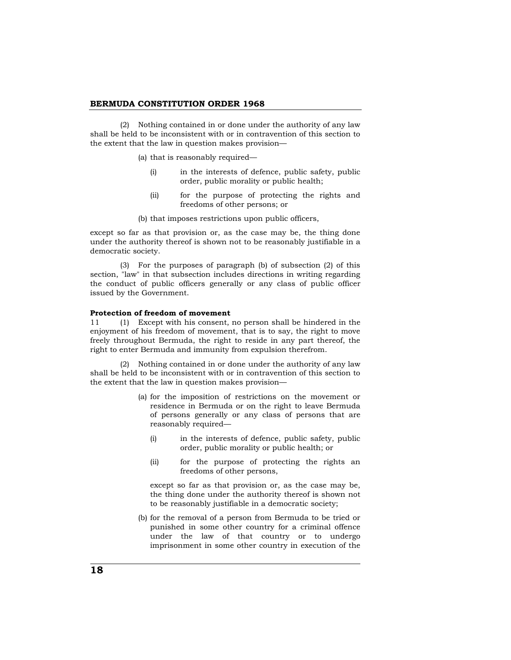(2) Nothing contained in or done under the authority of any law shall be held to be inconsistent with or in contravention of this section to the extent that the law in question makes provision—

(a) that is reasonably required—

- (i) in the interests of defence, public safety, public order, public morality or public health;
- (ii) for the purpose of protecting the rights and freedoms of other persons; or
- (b) that imposes restrictions upon public officers,

except so far as that provision or, as the case may be, the thing done under the authority thereof is shown not to be reasonably justifiable in a democratic society.

(3) For the purposes of paragraph (b) of subsection (2) of this section, "law" in that subsection includes directions in writing regarding the conduct of public officers generally or any class of public officer issued by the Government.

### **Protection of freedom of movement**

11 (1) Except with his consent, no person shall be hindered in the enjoyment of his freedom of movement, that is to say, the right to move freely throughout Bermuda, the right to reside in any part thereof, the right to enter Bermuda and immunity from expulsion therefrom.

(2) Nothing contained in or done under the authority of any law shall be held to be inconsistent with or in contravention of this section to the extent that the law in question makes provision—

- (a) for the imposition of restrictions on the movement or residence in Bermuda or on the right to leave Bermuda of persons generally or any class of persons that are reasonably required—
	- (i) in the interests of defence, public safety, public order, public morality or public health; or
	- (ii) for the purpose of protecting the rights an freedoms of other persons,

 except so far as that provision or, as the case may be, the thing done under the authority thereof is shown not to be reasonably justifiable in a democratic society;

(b) for the removal of a person from Bermuda to be tried or punished in some other country for a criminal offence under the law of that country or to undergo imprisonment in some other country in execution of the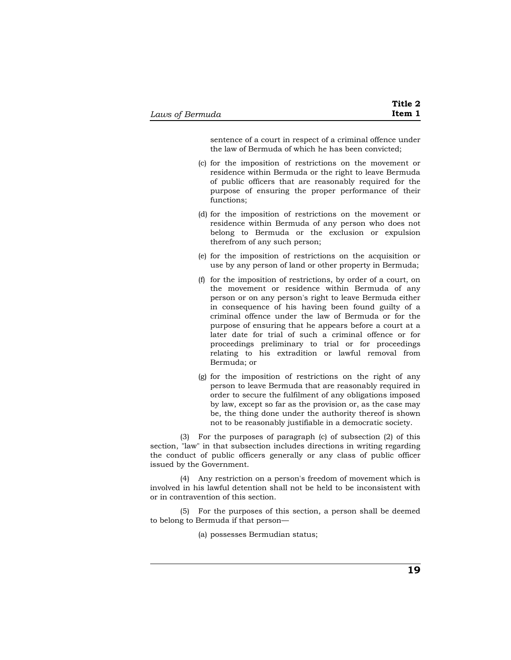sentence of a court in respect of a criminal offence under the law of Bermuda of which he has been convicted;

- (c) for the imposition of restrictions on the movement or residence within Bermuda or the right to leave Bermuda of public officers that are reasonably required for the purpose of ensuring the proper performance of their functions;
- (d) for the imposition of restrictions on the movement or residence within Bermuda of any person who does not belong to Bermuda or the exclusion or expulsion therefrom of any such person;
- (e) for the imposition of restrictions on the acquisition or use by any person of land or other property in Bermuda;
- (f) for the imposition of restrictions, by order of a court, on the movement or residence within Bermuda of any person or on any person's right to leave Bermuda either in consequence of his having been found guilty of a criminal offence under the law of Bermuda or for the purpose of ensuring that he appears before a court at a later date for trial of such a criminal offence or for proceedings preliminary to trial or for proceedings relating to his extradition or lawful removal from Bermuda; or
- (g) for the imposition of restrictions on the right of any person to leave Bermuda that are reasonably required in order to secure the fulfilment of any obligations imposed by law, except so far as the provision or, as the case may be, the thing done under the authority thereof is shown not to be reasonably justifiable in a democratic society.

(3) For the purposes of paragraph (c) of subsection (2) of this section, "law" in that subsection includes directions in writing regarding the conduct of public officers generally or any class of public officer issued by the Government.

(4) Any restriction on a person's freedom of movement which is involved in his lawful detention shall not be held to be inconsistent with or in contravention of this section.

(5) For the purposes of this section, a person shall be deemed to belong to Bermuda if that person—

(a) possesses Bermudian status;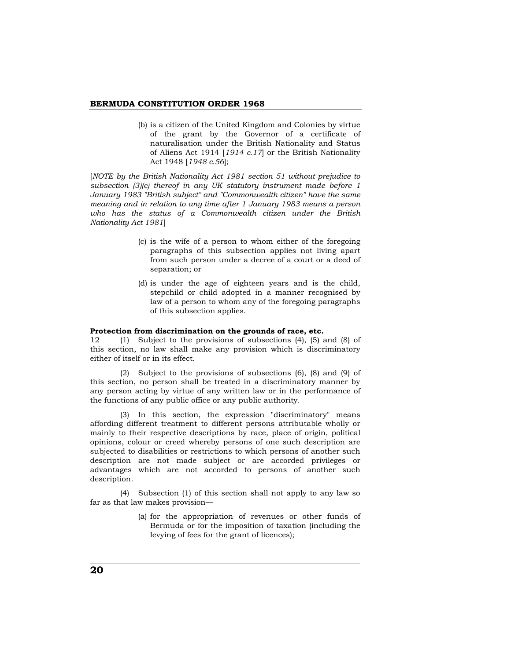(b) is a citizen of the United Kingdom and Colonies by virtue of the grant by the Governor of a certificate of naturalisation under the British Nationality and Status of Aliens Act 1914 [*1914 c.17*] or the British Nationality Act 1948 [*1948 c.56*];

[*NOTE by the British Nationality Act 1981 section 51 without prejudice to subsection (3)(c) thereof in any UK statutory instrument made before 1 January 1983 "British subject" and "Commonwealth citizen" have the same meaning and in relation to any time after 1 January 1983 means a person who has the status of a Commonwealth citizen under the British Nationality Act 1981*]

- (c) is the wife of a person to whom either of the foregoing paragraphs of this subsection applies not living apart from such person under a decree of a court or a deed of separation; or
- (d) is under the age of eighteen years and is the child, stepchild or child adopted in a manner recognised by law of a person to whom any of the foregoing paragraphs of this subsection applies.

## **Protection from discrimination on the grounds of race, etc.**

12 (1) Subject to the provisions of subsections (4), (5) and (8) of this section, no law shall make any provision which is discriminatory either of itself or in its effect.

(2) Subject to the provisions of subsections (6), (8) and (9) of this section, no person shall be treated in a discriminatory manner by any person acting by virtue of any written law or in the performance of the functions of any public office or any public authority.

(3) In this section, the expression "discriminatory" means affording different treatment to different persons attributable wholly or mainly to their respective descriptions by race, place of origin, political opinions, colour or creed whereby persons of one such description are subjected to disabilities or restrictions to which persons of another such description are not made subject or are accorded privileges or advantages which are not accorded to persons of another such description.

(4) Subsection (1) of this section shall not apply to any law so far as that law makes provision—

> (a) for the appropriation of revenues or other funds of Bermuda or for the imposition of taxation (including the levying of fees for the grant of licences);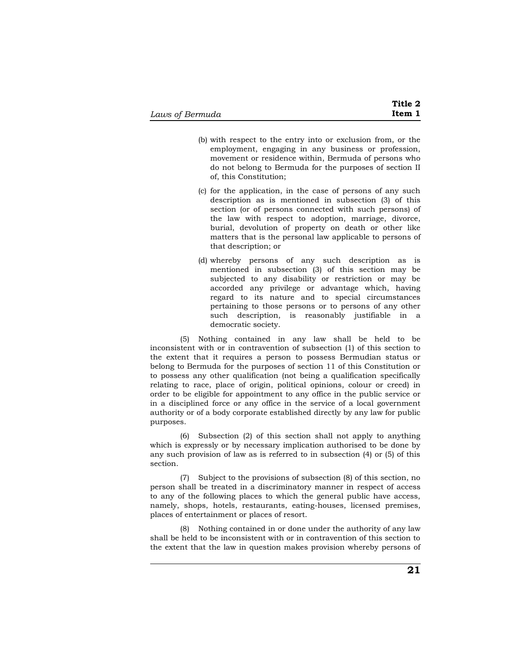- (b) with respect to the entry into or exclusion from, or the employment, engaging in any business or profession, movement or residence within, Bermuda of persons who do not belong to Bermuda for the purposes of section II of, this Constitution;
- (c) for the application, in the case of persons of any such description as is mentioned in subsection (3) of this section (or of persons connected with such persons) of the law with respect to adoption, marriage, divorce, burial, devolution of property on death or other like matters that is the personal law applicable to persons of that description; or
- (d) whereby persons of any such description as is mentioned in subsection (3) of this section may be subjected to any disability or restriction or may be accorded any privilege or advantage which, having regard to its nature and to special circumstances pertaining to those persons or to persons of any other such description, is reasonably justifiable in a democratic society.

(5) Nothing contained in any law shall be held to be inconsistent with or in contravention of subsection (1) of this section to the extent that it requires a person to possess Bermudian status or belong to Bermuda for the purposes of section 11 of this Constitution or to possess any other qualification (not being a qualification specifically relating to race, place of origin, political opinions, colour or creed) in order to be eligible for appointment to any office in the public service or in a disciplined force or any office in the service of a local government authority or of a body corporate established directly by any law for public purposes.

(6) Subsection (2) of this section shall not apply to anything which is expressly or by necessary implication authorised to be done by any such provision of law as is referred to in subsection (4) or (5) of this section.

(7) Subject to the provisions of subsection (8) of this section, no person shall be treated in a discriminatory manner in respect of access to any of the following places to which the general public have access, namely, shops, hotels, restaurants, eating-houses, licensed premises, places of entertainment or places of resort.

(8) Nothing contained in or done under the authority of any law shall be held to be inconsistent with or in contravention of this section to the extent that the law in question makes provision whereby persons of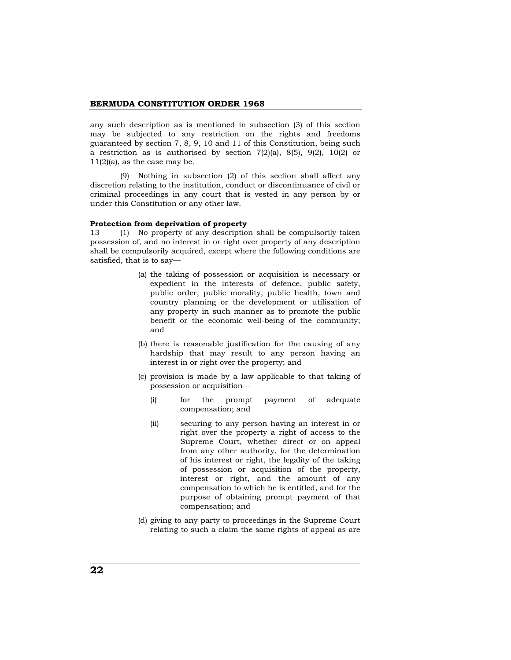any such description as is mentioned in subsection (3) of this section may be subjected to any restriction on the rights and freedoms guaranteed by section 7, 8, 9, 10 and 11 of this Constitution, being such a restriction as is authorised by section  $7(2)(a)$ ,  $8(5)$ ,  $9(2)$ ,  $10(2)$  or  $11(2)(a)$ , as the case may be.

(9) Nothing in subsection (2) of this section shall affect any discretion relating to the institution, conduct or discontinuance of civil or criminal proceedings in any court that is vested in any person by or under this Constitution or any other law.

## **Protection from deprivation of property**

13 (1) No property of any description shall be compulsorily taken possession of, and no interest in or right over property of any description shall be compulsorily acquired, except where the following conditions are satisfied, that is to say—

- (a) the taking of possession or acquisition is necessary or expedient in the interests of defence, public safety, public order, public morality, public health, town and country planning or the development or utilisation of any property in such manner as to promote the public benefit or the economic well-being of the community; and
- (b) there is reasonable justification for the causing of any hardship that may result to any person having an interest in or right over the property; and
- (c) provision is made by a law applicable to that taking of possession or acquisition—
	- (i) for the prompt payment of adequate compensation; and
	- (ii) securing to any person having an interest in or right over the property a right of access to the Supreme Court, whether direct or on appeal from any other authority, for the determination of his interest or right, the legality of the taking of possession or acquisition of the property, interest or right, and the amount of any compensation to which he is entitled, and for the purpose of obtaining prompt payment of that compensation; and
- (d) giving to any party to proceedings in the Supreme Court relating to such a claim the same rights of appeal as are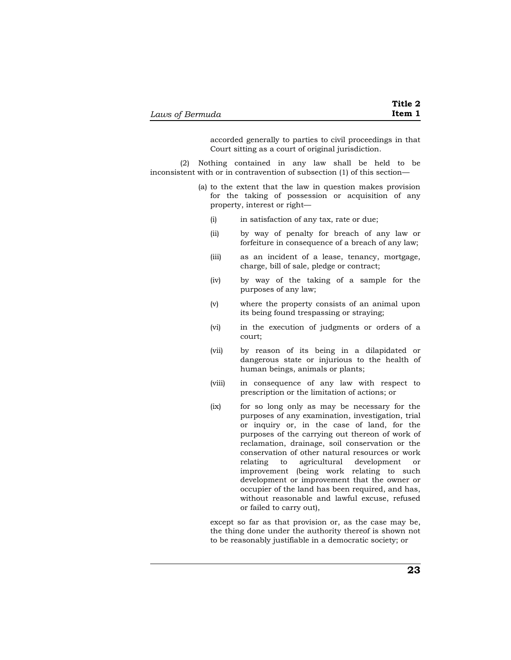accorded generally to parties to civil proceedings in that Court sitting as a court of original jurisdiction.

(2) Nothing contained in any law shall be held to be inconsistent with or in contravention of subsection (1) of this section—

- (a) to the extent that the law in question makes provision for the taking of possession or acquisition of any property, interest or right—
	- (i) in satisfaction of any tax, rate or due;
	- (ii) by way of penalty for breach of any law or forfeiture in consequence of a breach of any law;
	- (iii) as an incident of a lease, tenancy, mortgage, charge, bill of sale, pledge or contract;
	- (iv) by way of the taking of a sample for the purposes of any law;
	- (v) where the property consists of an animal upon its being found trespassing or straying;
	- (vi) in the execution of judgments or orders of a court;
	- (vii) by reason of its being in a dilapidated or dangerous state or injurious to the health of human beings, animals or plants;
	- (viii) in consequence of any law with respect to prescription or the limitation of actions; or
	- (ix) for so long only as may be necessary for the purposes of any examination, investigation, trial or inquiry or, in the case of land, for the purposes of the carrying out thereon of work of reclamation, drainage, soil conservation or the conservation of other natural resources or work relating to agricultural development or improvement (being work relating to such development or improvement that the owner or occupier of the land has been required, and has, without reasonable and lawful excuse, refused or failed to carry out),

 except so far as that provision or, as the case may be, the thing done under the authority thereof is shown not to be reasonably justifiable in a democratic society; or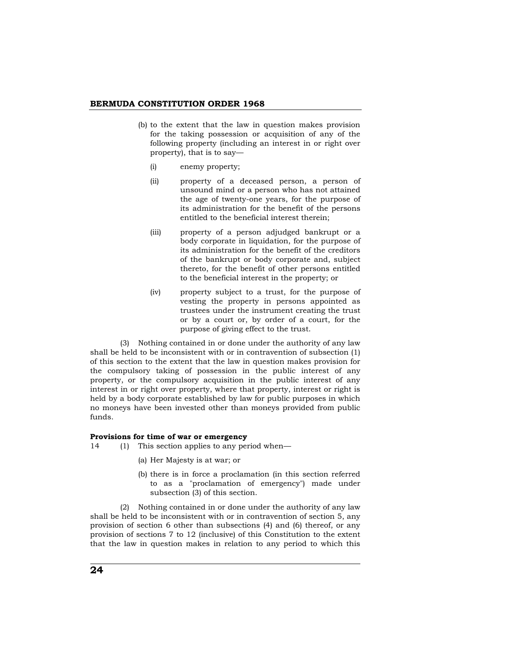- (b) to the extent that the law in question makes provision for the taking possession or acquisition of any of the following property (including an interest in or right over property), that is to say—
	- (i) enemy property;
	- (ii) property of a deceased person, a person of unsound mind or a person who has not attained the age of twenty-one years, for the purpose of its administration for the benefit of the persons entitled to the beneficial interest therein;
	- (iii) property of a person adjudged bankrupt or a body corporate in liquidation, for the purpose of its administration for the benefit of the creditors of the bankrupt or body corporate and, subject thereto, for the benefit of other persons entitled to the beneficial interest in the property; or
	- (iv) property subject to a trust, for the purpose of vesting the property in persons appointed as trustees under the instrument creating the trust or by a court or, by order of a court, for the purpose of giving effect to the trust.

(3) Nothing contained in or done under the authority of any law shall be held to be inconsistent with or in contravention of subsection (1) of this section to the extent that the law in question makes provision for the compulsory taking of possession in the public interest of any property, or the compulsory acquisition in the public interest of any interest in or right over property, where that property, interest or right is held by a body corporate established by law for public purposes in which no moneys have been invested other than moneys provided from public funds.

### **Provisions for time of war or emergency**

14 (1) This section applies to any period when—

- (a) Her Majesty is at war; or
- (b) there is in force a proclamation (in this section referred to as a "proclamation of emergency") made under subsection (3) of this section.

(2) Nothing contained in or done under the authority of any law shall be held to be inconsistent with or in contravention of section 5, any provision of section 6 other than subsections (4) and (6) thereof, or any provision of sections 7 to 12 (inclusive) of this Constitution to the extent that the law in question makes in relation to any period to which this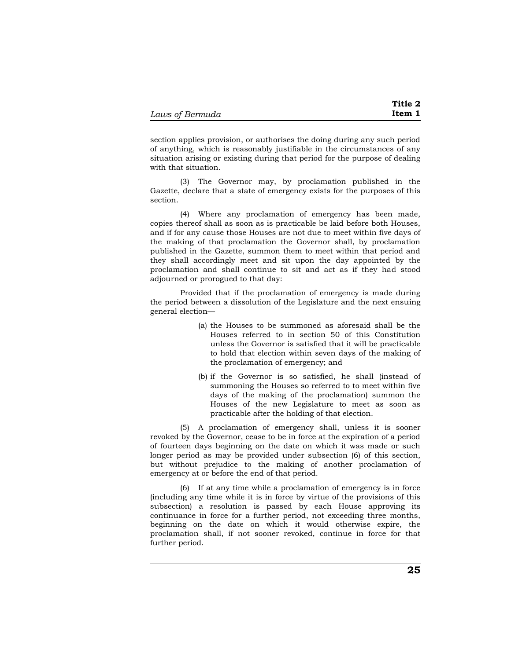section applies provision, or authorises the doing during any such period of anything, which is reasonably justifiable in the circumstances of any situation arising or existing during that period for the purpose of dealing with that situation.

(3) The Governor may, by proclamation published in the Gazette, declare that a state of emergency exists for the purposes of this section.

(4) Where any proclamation of emergency has been made, copies thereof shall as soon as is practicable be laid before both Houses, and if for any cause those Houses are not due to meet within five days of the making of that proclamation the Governor shall, by proclamation published in the Gazette, summon them to meet within that period and they shall accordingly meet and sit upon the day appointed by the proclamation and shall continue to sit and act as if they had stood adjourned or prorogued to that day:

Provided that if the proclamation of emergency is made during the period between a dissolution of the Legislature and the next ensuing general election—

- (a) the Houses to be summoned as aforesaid shall be the Houses referred to in section 50 of this Constitution unless the Governor is satisfied that it will be practicable to hold that election within seven days of the making of the proclamation of emergency; and
- (b) if the Governor is so satisfied, he shall (instead of summoning the Houses so referred to to meet within five days of the making of the proclamation) summon the Houses of the new Legislature to meet as soon as practicable after the holding of that election.

(5) A proclamation of emergency shall, unless it is sooner revoked by the Governor, cease to be in force at the expiration of a period of fourteen days beginning on the date on which it was made or such longer period as may be provided under subsection (6) of this section, but without prejudice to the making of another proclamation of emergency at or before the end of that period.

(6) If at any time while a proclamation of emergency is in force (including any time while it is in force by virtue of the provisions of this subsection) a resolution is passed by each House approving its continuance in force for a further period, not exceeding three months, beginning on the date on which it would otherwise expire, the proclamation shall, if not sooner revoked, continue in force for that further period.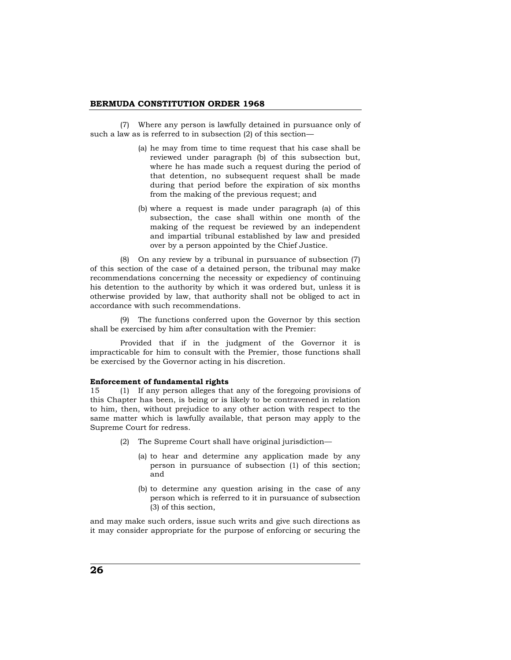(7) Where any person is lawfully detained in pursuance only of such a law as is referred to in subsection (2) of this section—

- (a) he may from time to time request that his case shall be reviewed under paragraph (b) of this subsection but, where he has made such a request during the period of that detention, no subsequent request shall be made during that period before the expiration of six months from the making of the previous request; and
- (b) where a request is made under paragraph (a) of this subsection, the case shall within one month of the making of the request be reviewed by an independent and impartial tribunal established by law and presided over by a person appointed by the Chief Justice.

(8) On any review by a tribunal in pursuance of subsection (7) of this section of the case of a detained person, the tribunal may make recommendations concerning the necessity or expediency of continuing his detention to the authority by which it was ordered but, unless it is otherwise provided by law, that authority shall not be obliged to act in accordance with such recommendations.

(9) The functions conferred upon the Governor by this section shall be exercised by him after consultation with the Premier:

Provided that if in the judgment of the Governor it is impracticable for him to consult with the Premier, those functions shall be exercised by the Governor acting in his discretion.

### **Enforcement of fundamental rights**

15 (1) If any person alleges that any of the foregoing provisions of this Chapter has been, is being or is likely to be contravened in relation to him, then, without prejudice to any other action with respect to the same matter which is lawfully available, that person may apply to the Supreme Court for redress.

- (2) The Supreme Court shall have original jurisdiction—
	- (a) to hear and determine any application made by any person in pursuance of subsection (1) of this section; and
	- (b) to determine any question arising in the case of any person which is referred to it in pursuance of subsection (3) of this section,

and may make such orders, issue such writs and give such directions as it may consider appropriate for the purpose of enforcing or securing the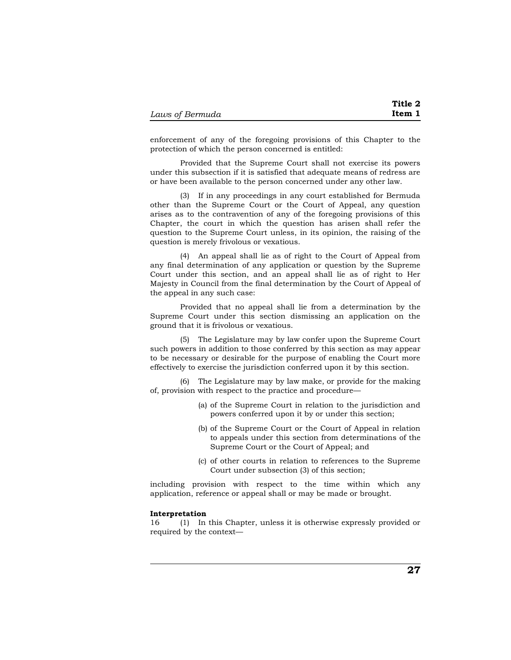enforcement of any of the foregoing provisions of this Chapter to the protection of which the person concerned is entitled:

Provided that the Supreme Court shall not exercise its powers under this subsection if it is satisfied that adequate means of redress are or have been available to the person concerned under any other law.

(3) If in any proceedings in any court established for Bermuda other than the Supreme Court or the Court of Appeal, any question arises as to the contravention of any of the foregoing provisions of this Chapter, the court in which the question has arisen shall refer the question to the Supreme Court unless, in its opinion, the raising of the question is merely frivolous or vexatious.

(4) An appeal shall lie as of right to the Court of Appeal from any final determination of any application or question by the Supreme Court under this section, and an appeal shall lie as of right to Her Majesty in Council from the final determination by the Court of Appeal of the appeal in any such case:

Provided that no appeal shall lie from a determination by the Supreme Court under this section dismissing an application on the ground that it is frivolous or vexatious.

(5) The Legislature may by law confer upon the Supreme Court such powers in addition to those conferred by this section as may appear to be necessary or desirable for the purpose of enabling the Court more effectively to exercise the jurisdiction conferred upon it by this section.

(6) The Legislature may by law make, or provide for the making of, provision with respect to the practice and procedure—

- (a) of the Supreme Court in relation to the jurisdiction and powers conferred upon it by or under this section;
- (b) of the Supreme Court or the Court of Appeal in relation to appeals under this section from determinations of the Supreme Court or the Court of Appeal; and
- (c) of other courts in relation to references to the Supreme Court under subsection (3) of this section;

including provision with respect to the time within which any application, reference or appeal shall or may be made or brought.

### **Interpretation**

16 (1) In this Chapter, unless it is otherwise expressly provided or required by the context—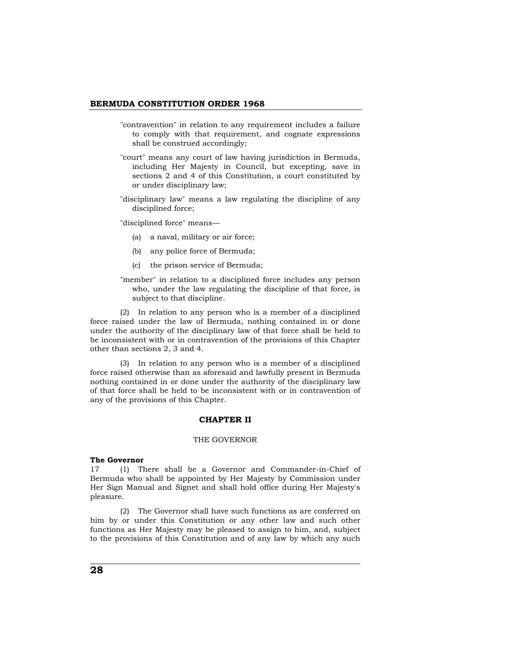- "contravention" in relation to any requirement includes a failure to comply with that requirement, and cognate expressions shall be construed accordingly;
- "court" means any court of law having jurisdiction in Bermuda, including Her Majesty in Council, but excepting, save in sections 2 and 4 of this Constitution, a court constituted by or under disciplinary law;
- "disciplinary law" means a law regulating the discipline of any disciplined force;

"disciplined force" means—

- (a) a naval, military or air force;
- (b) any police force of Bermuda;
- (c) the prison service of Bermuda;
- "member" in relation to a disciplined force includes any person who, under the law regulating the discipline of that force, is subject to that discipline.

(2) In relation to any person who is a member of a disciplined force raised under the law of Bermuda, nothing contained in or done under the authority of the disciplinary law of that force shall be held to be inconsistent with or in contravention of the provisions of this Chapter other than sections 2, 3 and 4.

(3) In relation to any person who is a member of a disciplined force raised otherwise than as aforesaid and lawfully present in Bermuda nothing contained in or done under the authority of the disciplinary law of that force shall be held to be inconsistent with or in contravention of any of the provisions of this Chapter.

### **CHAPTER II**

#### THE GOVERNOR

### **The Governor**

17 (1) There shall be a Governor and Commander-in-Chief of Bermuda who shall be appointed by Her Majesty by Commission under Her Sign Manual and Signet and shall hold office during Her Majesty's pleasure.

(2) The Governor shall have such functions as are conferred on him by or under this Constitution or any other law and such other functions as Her Majesty may be pleased to assign to him, and, subject to the provisions of this Constitution and of any law by which any such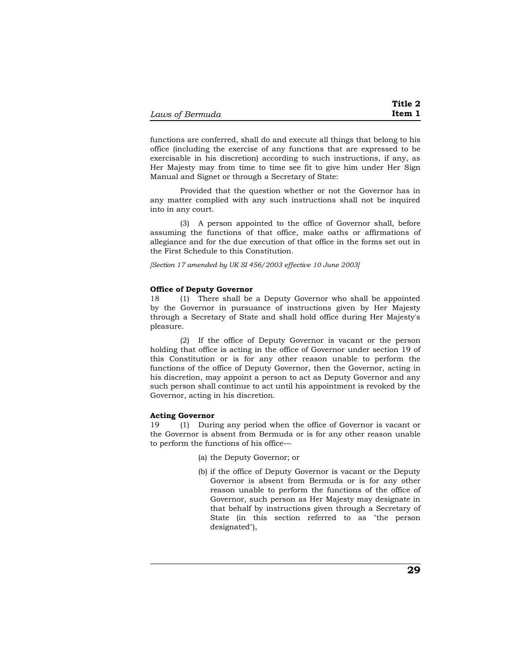functions are conferred, shall do and execute all things that belong to his office (including the exercise of any functions that are expressed to be exercisable in his discretion) according to such instructions, if any, as Her Majesty may from time to time see fit to give him under Her Sign Manual and Signet or through a Secretary of State:

Provided that the question whether or not the Governor has in any matter complied with any such instructions shall not be inquired into in any court.

(3) A person appointed to the office of Governor shall, before assuming the functions of that office, make oaths or affirmations of allegiance and for the due execution of that office in the forms set out in the First Schedule to this Constitution.

*[Section 17 amended by UK SI 456/2003 effective 10 June 2003]*

### **Office of Deputy Governor**

18 (1) There shall be a Deputy Governor who shall be appointed by the Governor in pursuance of instructions given by Her Majesty through a Secretary of State and shall hold office during Her Majesty's pleasure.

(2) If the office of Deputy Governor is vacant or the person holding that office is acting in the office of Governor under section 19 of this Constitution or is for any other reason unable to perform the functions of the office of Deputy Governor, then the Governor, acting in his discretion, may appoint a person to act as Deputy Governor and any such person shall continue to act until his appointment is revoked by the Governor, acting in his discretion.

#### **Acting Governor**

19 (1) During any period when the office of Governor is vacant or the Governor is absent from Bermuda or is for any other reason unable to perform the functions of his office—

- (a) the Deputy Governor; or
- (b) if the office of Deputy Governor is vacant or the Deputy Governor is absent from Bermuda or is for any other reason unable to perform the functions of the office of Governor, such person as Her Majesty may designate in that behalf by instructions given through a Secretary of State (in this section referred to as "the person designated"),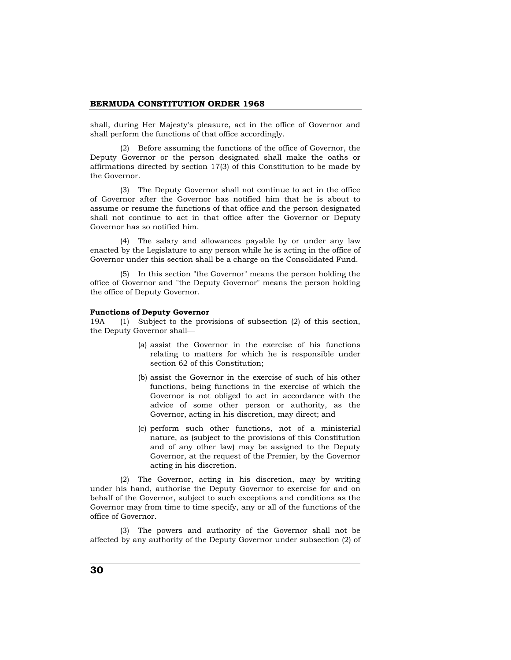shall, during Her Majesty's pleasure, act in the office of Governor and shall perform the functions of that office accordingly.

(2) Before assuming the functions of the office of Governor, the Deputy Governor or the person designated shall make the oaths or affirmations directed by section 17(3) of this Constitution to be made by the Governor.

(3) The Deputy Governor shall not continue to act in the office of Governor after the Governor has notified him that he is about to assume or resume the functions of that office and the person designated shall not continue to act in that office after the Governor or Deputy Governor has so notified him.

(4) The salary and allowances payable by or under any law enacted by the Legislature to any person while he is acting in the office of Governor under this section shall be a charge on the Consolidated Fund.

(5) In this section "the Governor" means the person holding the office of Governor and "the Deputy Governor" means the person holding the office of Deputy Governor.

### **Functions of Deputy Governor**

19A (1) Subject to the provisions of subsection (2) of this section, the Deputy Governor shall—

- (a) assist the Governor in the exercise of his functions relating to matters for which he is responsible under section 62 of this Constitution;
- (b) assist the Governor in the exercise of such of his other functions, being functions in the exercise of which the Governor is not obliged to act in accordance with the advice of some other person or authority, as the Governor, acting in his discretion, may direct; and
- (c) perform such other functions, not of a ministerial nature, as (subject to the provisions of this Constitution and of any other law) may be assigned to the Deputy Governor, at the request of the Premier, by the Governor acting in his discretion.

(2) The Governor, acting in his discretion, may by writing under his hand, authorise the Deputy Governor to exercise for and on behalf of the Governor, subject to such exceptions and conditions as the Governor may from time to time specify, any or all of the functions of the office of Governor.

(3) The powers and authority of the Governor shall not be affected by any authority of the Deputy Governor under subsection (2) of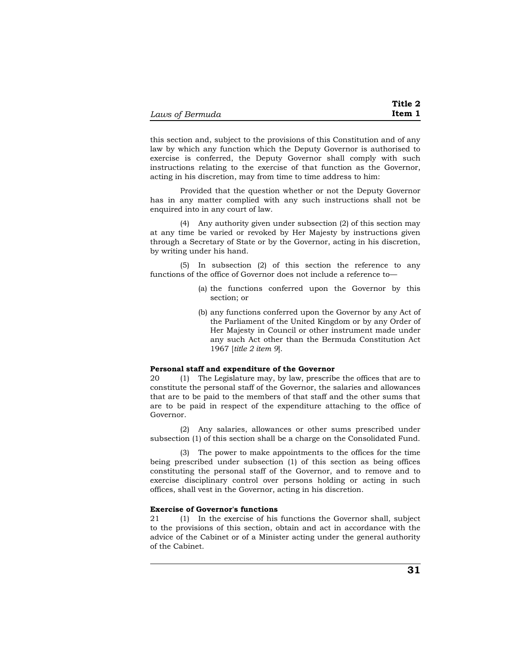this section and, subject to the provisions of this Constitution and of any law by which any function which the Deputy Governor is authorised to exercise is conferred, the Deputy Governor shall comply with such instructions relating to the exercise of that function as the Governor, acting in his discretion, may from time to time address to him:

Provided that the question whether or not the Deputy Governor has in any matter complied with any such instructions shall not be enquired into in any court of law.

(4) Any authority given under subsection (2) of this section may at any time be varied or revoked by Her Majesty by instructions given through a Secretary of State or by the Governor, acting in his discretion, by writing under his hand.

(5) In subsection (2) of this section the reference to any functions of the office of Governor does not include a reference to—

- (a) the functions conferred upon the Governor by this section; or
- (b) any functions conferred upon the Governor by any Act of the Parliament of the United Kingdom or by any Order of Her Majesty in Council or other instrument made under any such Act other than the Bermuda Constitution Act 1967 [*title 2 item 9*].

### **Personal staff and expenditure of the Governor**

20 (1) The Legislature may, by law, prescribe the offices that are to constitute the personal staff of the Governor, the salaries and allowances that are to be paid to the members of that staff and the other sums that are to be paid in respect of the expenditure attaching to the office of Governor.

(2) Any salaries, allowances or other sums prescribed under subsection (1) of this section shall be a charge on the Consolidated Fund.

(3) The power to make appointments to the offices for the time being prescribed under subsection (1) of this section as being offices constituting the personal staff of the Governor, and to remove and to exercise disciplinary control over persons holding or acting in such offices, shall vest in the Governor, acting in his discretion.

## **Exercise of Governor's functions**

21 (1) In the exercise of his functions the Governor shall, subject to the provisions of this section, obtain and act in accordance with the advice of the Cabinet or of a Minister acting under the general authority of the Cabinet.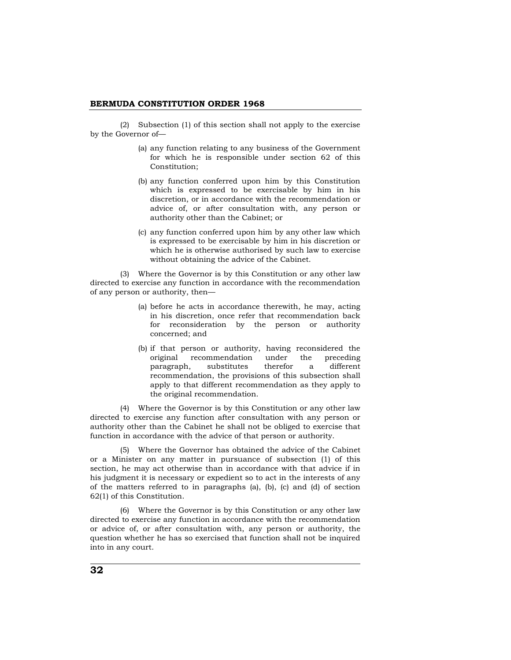(2) Subsection (1) of this section shall not apply to the exercise by the Governor of—

- (a) any function relating to any business of the Government for which he is responsible under section 62 of this Constitution;
- (b) any function conferred upon him by this Constitution which is expressed to be exercisable by him in his discretion, or in accordance with the recommendation or advice of, or after consultation with, any person or authority other than the Cabinet; or
- (c) any function conferred upon him by any other law which is expressed to be exercisable by him in his discretion or which he is otherwise authorised by such law to exercise without obtaining the advice of the Cabinet.

(3) Where the Governor is by this Constitution or any other law directed to exercise any function in accordance with the recommendation of any person or authority, then—

- (a) before he acts in accordance therewith, he may, acting in his discretion, once refer that recommendation back for reconsideration by the person or authority concerned; and
- (b) if that person or authority, having reconsidered the original recommendation under the preceding paragraph, substitutes therefor a different recommendation, the provisions of this subsection shall apply to that different recommendation as they apply to the original recommendation.

(4) Where the Governor is by this Constitution or any other law directed to exercise any function after consultation with any person or authority other than the Cabinet he shall not be obliged to exercise that function in accordance with the advice of that person or authority.

(5) Where the Governor has obtained the advice of the Cabinet or a Minister on any matter in pursuance of subsection (1) of this section, he may act otherwise than in accordance with that advice if in his judgment it is necessary or expedient so to act in the interests of any of the matters referred to in paragraphs (a), (b), (c) and (d) of section 62(1) of this Constitution.

(6) Where the Governor is by this Constitution or any other law directed to exercise any function in accordance with the recommendation or advice of, or after consultation with, any person or authority, the question whether he has so exercised that function shall not be inquired into in any court.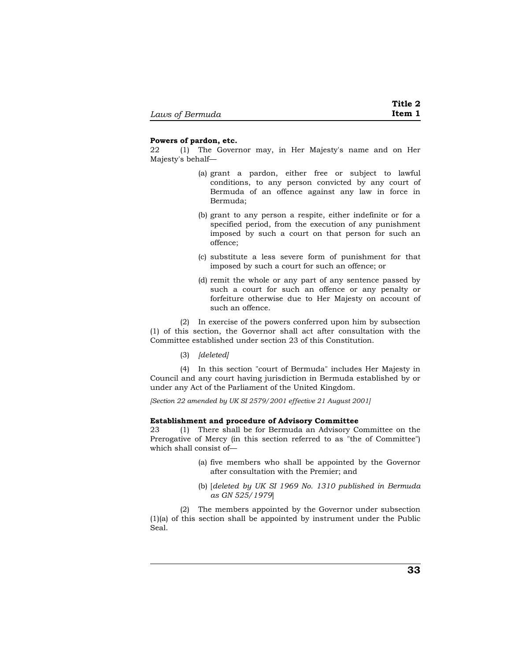#### **Powers of pardon, etc.**

22 (1) The Governor may, in Her Majesty's name and on Her Majesty's behalf—

- (a) grant a pardon, either free or subject to lawful conditions, to any person convicted by any court of Bermuda of an offence against any law in force in Bermuda;
- (b) grant to any person a respite, either indefinite or for a specified period, from the execution of any punishment imposed by such a court on that person for such an offence;
- (c) substitute a less severe form of punishment for that imposed by such a court for such an offence; or
- (d) remit the whole or any part of any sentence passed by such a court for such an offence or any penalty or forfeiture otherwise due to Her Majesty on account of such an offence.

(2) In exercise of the powers conferred upon him by subsection (1) of this section, the Governor shall act after consultation with the Committee established under section 23 of this Constitution.

(3) *[deleted]* 

(4) In this section "court of Bermuda" includes Her Majesty in Council and any court having jurisdiction in Bermuda established by or under any Act of the Parliament of the United Kingdom.

*[Section 22 amended by UK SI 2579/2001 effective 21 August 2001]* 

#### **Establishment and procedure of Advisory Committee**

23 (1) There shall be for Bermuda an Advisory Committee on the Prerogative of Mercy (in this section referred to as "the of Committee") which shall consist of—

- (a) five members who shall be appointed by the Governor after consultation with the Premier; and
- (b) [*deleted by UK SI 1969 No. 1310 published in Bermuda as GN 525/1979*]

(2) The members appointed by the Governor under subsection (1)(a) of this section shall be appointed by instrument under the Public Seal.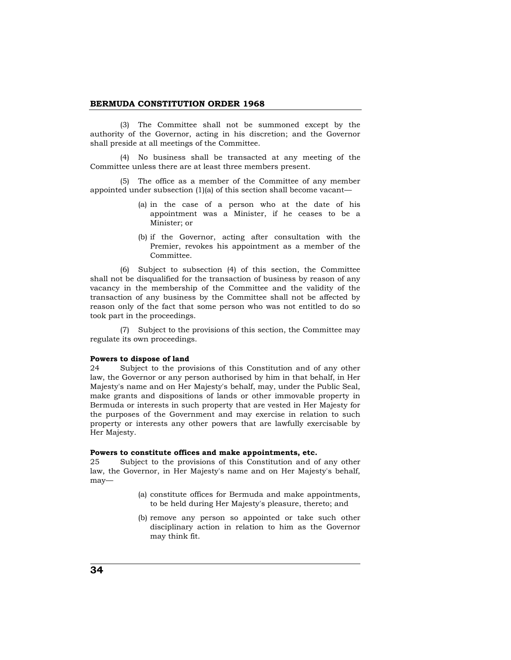(3) The Committee shall not be summoned except by the authority of the Governor, acting in his discretion; and the Governor shall preside at all meetings of the Committee.

(4) No business shall be transacted at any meeting of the Committee unless there are at least three members present.

(5) The office as a member of the Committee of any member appointed under subsection (1)(a) of this section shall become vacant—

- (a) in the case of a person who at the date of his appointment was a Minister, if he ceases to be a Minister; or
- (b) if the Governor, acting after consultation with the Premier, revokes his appointment as a member of the Committee.

(6) Subject to subsection (4) of this section, the Committee shall not be disqualified for the transaction of business by reason of any vacancy in the membership of the Committee and the validity of the transaction of any business by the Committee shall not be affected by reason only of the fact that some person who was not entitled to do so took part in the proceedings.

(7) Subject to the provisions of this section, the Committee may regulate its own proceedings.

### **Powers to dispose of land**

24 Subject to the provisions of this Constitution and of any other law, the Governor or any person authorised by him in that behalf, in Her Majesty's name and on Her Majesty's behalf, may, under the Public Seal, make grants and dispositions of lands or other immovable property in Bermuda or interests in such property that are vested in Her Majesty for the purposes of the Government and may exercise in relation to such property or interests any other powers that are lawfully exercisable by Her Majesty.

#### **Powers to constitute offices and make appointments, etc.**

25 Subject to the provisions of this Constitution and of any other law, the Governor, in Her Majesty's name and on Her Majesty's behalf, may—

- (a) constitute offices for Bermuda and make appointments, to be held during Her Majesty's pleasure, thereto; and
- (b) remove any person so appointed or take such other disciplinary action in relation to him as the Governor may think fit.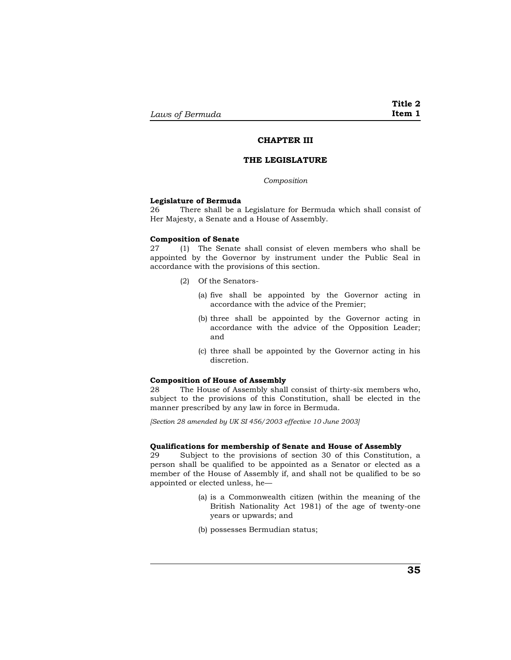# **CHAPTER III**

# **THE LEGISLATURE**

*Composition* 

### **Legislature of Bermuda**

26 There shall be a Legislature for Bermuda which shall consist of Her Majesty, a Senate and a House of Assembly.

#### **Composition of Senate**

27 (1) The Senate shall consist of eleven members who shall be appointed by the Governor by instrument under the Public Seal in accordance with the provisions of this section.

- (2) Of the Senators-
	- (a) five shall be appointed by the Governor acting in accordance with the advice of the Premier;
	- (b) three shall be appointed by the Governor acting in accordance with the advice of the Opposition Leader; and
	- (c) three shall be appointed by the Governor acting in his discretion.

#### **Composition of House of Assembly**

28 The House of Assembly shall consist of thirty-six members who, subject to the provisions of this Constitution, shall be elected in the manner prescribed by any law in force in Bermuda.

*[Section 28 amended by UK SI 456/2003 effective 10 June 2003]*

### **Qualifications for membership of Senate and House of Assembly**

29 Subject to the provisions of section 30 of this Constitution, a person shall be qualified to be appointed as a Senator or elected as a member of the House of Assembly if, and shall not be qualified to be so appointed or elected unless, he—

- (a) is a Commonwealth citizen (within the meaning of the British Nationality Act 1981) of the age of twenty-one years or upwards; and
- (b) possesses Bermudian status;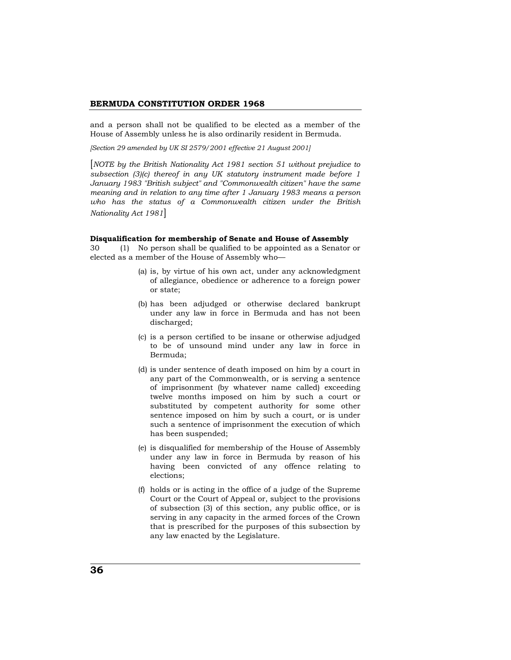and a person shall not be qualified to be elected as a member of the House of Assembly unless he is also ordinarily resident in Bermuda.

*[Section 29 amended by UK SI 2579/2001 effective 21 August 2001]* 

[*NOTE by the British Nationality Act 1981 section 51 without prejudice to subsection (3)(c) thereof in any UK statutory instrument made before 1 January 1983 "British subject" and "Commonwealth citizen" have the same meaning and in relation to any time after 1 January 1983 means a person who has the status of a Commonwealth citizen under the British Nationality Act 1981*]

## **Disqualification for membership of Senate and House of Assembly**

30 (1) No person shall be qualified to be appointed as a Senator or elected as a member of the House of Assembly who—

- (a) is, by virtue of his own act, under any acknowledgment of allegiance, obedience or adherence to a foreign power or state;
- (b) has been adjudged or otherwise declared bankrupt under any law in force in Bermuda and has not been discharged;
- (c) is a person certified to be insane or otherwise adjudged to be of unsound mind under any law in force in Bermuda;
- (d) is under sentence of death imposed on him by a court in any part of the Commonwealth, or is serving a sentence of imprisonment (by whatever name called) exceeding twelve months imposed on him by such a court or substituted by competent authority for some other sentence imposed on him by such a court, or is under such a sentence of imprisonment the execution of which has been suspended;
- (e) is disqualified for membership of the House of Assembly under any law in force in Bermuda by reason of his having been convicted of any offence relating to elections;
- (f) holds or is acting in the office of a judge of the Supreme Court or the Court of Appeal or, subject to the provisions of subsection (3) of this section, any public office, or is serving in any capacity in the armed forces of the Crown that is prescribed for the purposes of this subsection by any law enacted by the Legislature.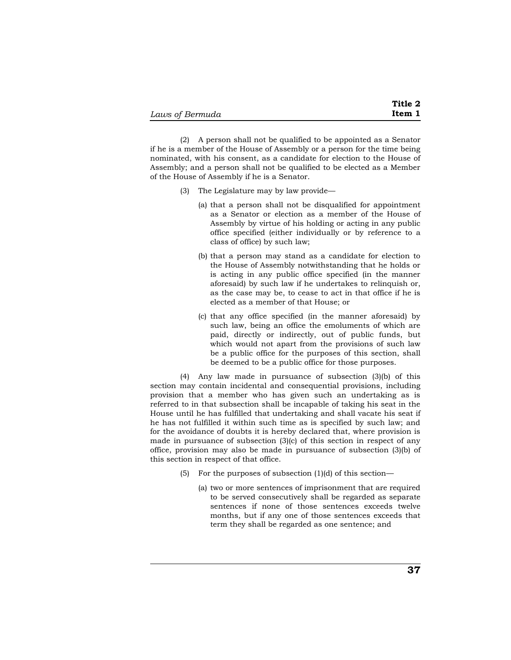(2) A person shall not be qualified to be appointed as a Senator if he is a member of the House of Assembly or a person for the time being nominated, with his consent, as a candidate for election to the House of Assembly; and a person shall not be qualified to be elected as a Member of the House of Assembly if he is a Senator.

- (3) The Legislature may by law provide—
	- (a) that a person shall not be disqualified for appointment as a Senator or election as a member of the House of Assembly by virtue of his holding or acting in any public office specified (either individually or by reference to a class of office) by such law;
	- (b) that a person may stand as a candidate for election to the House of Assembly notwithstanding that he holds or is acting in any public office specified (in the manner aforesaid) by such law if he undertakes to relinquish or, as the case may be, to cease to act in that office if he is elected as a member of that House; or
	- (c) that any office specified (in the manner aforesaid) by such law, being an office the emoluments of which are paid, directly or indirectly, out of public funds, but which would not apart from the provisions of such law be a public office for the purposes of this section, shall be deemed to be a public office for those purposes.

(4) Any law made in pursuance of subsection (3)(b) of this section may contain incidental and consequential provisions, including provision that a member who has given such an undertaking as is referred to in that subsection shall be incapable of taking his seat in the House until he has fulfilled that undertaking and shall vacate his seat if he has not fulfilled it within such time as is specified by such law; and for the avoidance of doubts it is hereby declared that, where provision is made in pursuance of subsection (3)(c) of this section in respect of any office, provision may also be made in pursuance of subsection (3)(b) of this section in respect of that office.

- (5) For the purposes of subsection (1)(d) of this section—
	- (a) two or more sentences of imprisonment that are required to be served consecutively shall be regarded as separate sentences if none of those sentences exceeds twelve months, but if any one of those sentences exceeds that term they shall be regarded as one sentence; and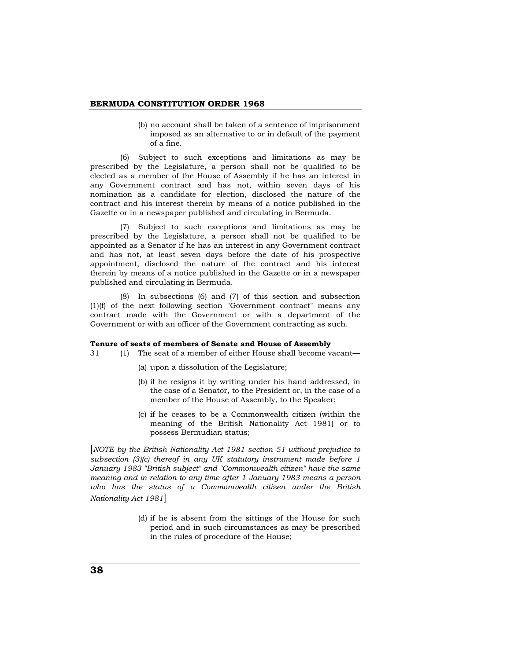(b) no account shall be taken of a sentence of imprisonment imposed as an alternative to or in default of the payment of a fine.

(6) Subject to such exceptions and limitations as may be prescribed by the Legislature, a person shall not be qualified to be elected as a member of the House of Assembly if he has an interest in any Government contract and has not, within seven days of his nomination as a candidate for election, disclosed the nature of the contract and his interest therein by means of a notice published in the Gazette or in a newspaper published and circulating in Bermuda.

(7) Subject to such exceptions and limitations as may be prescribed by the Legislature, a person shall not be qualified to be appointed as a Senator if he has an interest in any Government contract and has not, at least seven days before the date of his prospective appointment, disclosed the nature of the contract and his interest therein by means of a notice published in the Gazette or in a newspaper published and circulating in Bermuda.

(8) In subsections (6) and (7) of this section and subsection (1)(f) of the next following section "Government contract" means any contract made with the Government or with a department of the Government or with an officer of the Government contracting as such.

### **Tenure of seats of members of Senate and House of Assembly**

31 (1) The seat of a member of either House shall become vacant—

- (a) upon a dissolution of the Legislature;
- (b) if he resigns it by writing under his hand addressed, in the case of a Senator, to the President or, in the case of a member of the House of Assembly, to the Speaker;
- (c) if he ceases to be a Commonwealth citizen (within the meaning of the British Nationality Act 1981) or to possess Bermudian status;

[*NOTE by the British Nationality Act 1981 section 51 without prejudice to subsection (3)(c) thereof in any UK statutory instrument made before 1 January 1983 "British subject" and "Commonwealth citizen" have the same meaning and in relation to any time after 1 January 1983 means a person who has the status of a Commonwealth citizen under the British Nationality Act 1981*]

> (d) if he is absent from the sittings of the House for such period and in such circumstances as may be prescribed in the rules of procedure of the House;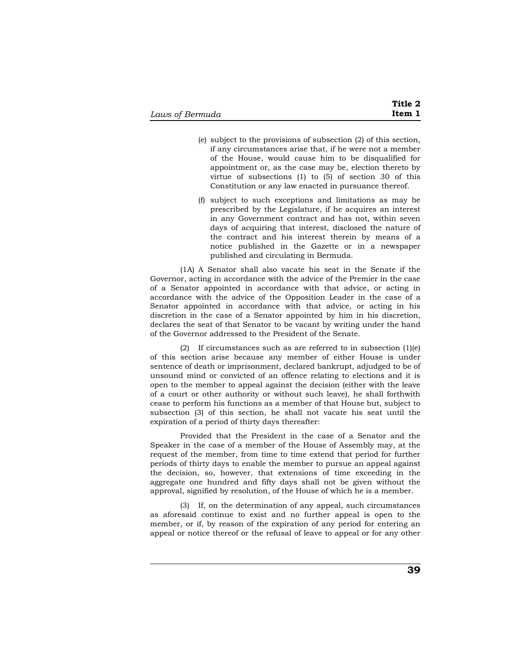- (e) subject to the provisions of subsection (2) of this section, if any circumstances arise that, if he were not a member of the House, would cause him to be disqualified for appointment or, as the case may be, election thereto by virtue of subsections (1) to (5) of section 30 of this Constitution or any law enacted in pursuance thereof.
- (f) subject to such exceptions and limitations as may be prescribed by the Legislature, if he acquires an interest in any Government contract and has not, within seven days of acquiring that interest, disclosed the nature of the contract and his interest therein by means of a notice published in the Gazette or in a newspaper published and circulating in Bermuda.

(1A) A Senator shall also vacate his seat in the Senate if the Governor, acting in accordance with the advice of the Premier in the case of a Senator appointed in accordance with that advice, or acting in accordance with the advice of the Opposition Leader in the case of a Senator appointed in accordance with that advice, or acting in his discretion in the case of a Senator appointed by him in his discretion, declares the seat of that Senator to be vacant by writing under the hand of the Governor addressed to the President of the Senate.

(2) If circumstances such as are referred to in subsection (1)(e) of this section arise because any member of either House is under sentence of death or imprisonment, declared bankrupt, adjudged to be of unsound mind or convicted of an offence relating to elections and it is open to the member to appeal against the decision (either with the leave of a court or other authority or without such leave), he shall forthwith cease to perform his functions as a member of that House but, subject to subsection (3) of this section, he shall not vacate his seat until the expiration of a period of thirty days thereafter:

Provided that the President in the case of a Senator and the Speaker in the case of a member of the House of Assembly may, at the request of the member, from time to time extend that period for further periods of thirty days to enable the member to pursue an appeal against the decision, so, however, that extensions of time exceeding in the aggregate one hundred and fifty days shall not be given without the approval, signified by resolution, of the House of which he is a member.

(3) If, on the determination of any appeal, such circumstances as aforesaid continue to exist and no further appeal is open to the member, or if, by reason of the expiration of any period for entering an appeal or notice thereof or the refusal of leave to appeal or for any other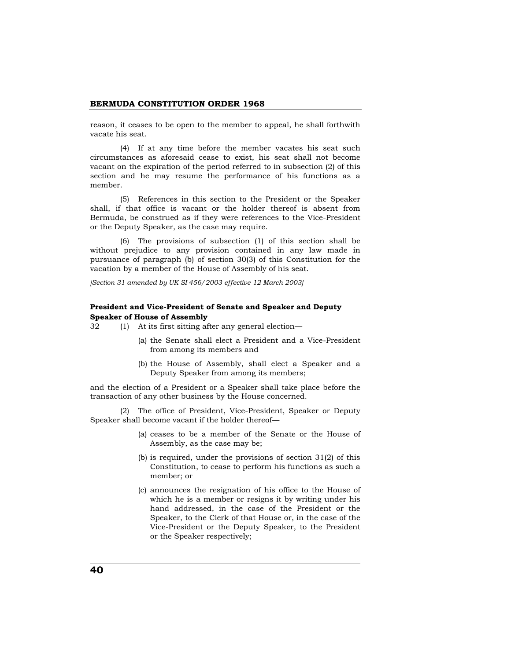reason, it ceases to be open to the member to appeal, he shall forthwith vacate his seat.

(4) If at any time before the member vacates his seat such circumstances as aforesaid cease to exist, his seat shall not become vacant on the expiration of the period referred to in subsection (2) of this section and he may resume the performance of his functions as a member.

(5) References in this section to the President or the Speaker shall, if that office is vacant or the holder thereof is absent from Bermuda, be construed as if they were references to the Vice-President or the Deputy Speaker, as the case may require.

(6) The provisions of subsection (1) of this section shall be without prejudice to any provision contained in any law made in pursuance of paragraph (b) of section 30(3) of this Constitution for the vacation by a member of the House of Assembly of his seat.

*[Section 31 amended by UK SI 456/2003 effective 12 March 2003]* 

## **President and Vice-President of Senate and Speaker and Deputy Speaker of House of Assembly**

32 (1) At its first sitting after any general election—

- (a) the Senate shall elect a President and a Vice-President from among its members and
- (b) the House of Assembly, shall elect a Speaker and a Deputy Speaker from among its members;

and the election of a President or a Speaker shall take place before the transaction of any other business by the House concerned.

(2) The office of President, Vice-President, Speaker or Deputy Speaker shall become vacant if the holder thereof—

- (a) ceases to be a member of the Senate or the House of Assembly, as the case may be;
- (b) is required, under the provisions of section 31(2) of this Constitution, to cease to perform his functions as such a member; or
- (c) announces the resignation of his office to the House of which he is a member or resigns it by writing under his hand addressed, in the case of the President or the Speaker, to the Clerk of that House or, in the case of the Vice-President or the Deputy Speaker, to the President or the Speaker respectively;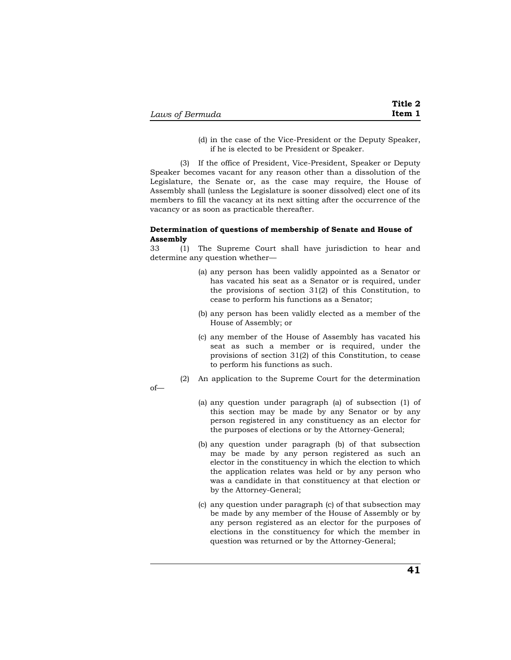(d) in the case of the Vice-President or the Deputy Speaker, if he is elected to be President or Speaker.

(3) If the office of President, Vice-President, Speaker or Deputy Speaker becomes vacant for any reason other than a dissolution of the Legislature, the Senate or, as the case may require, the House of Assembly shall (unless the Legislature is sooner dissolved) elect one of its members to fill the vacancy at its next sitting after the occurrence of the vacancy or as soon as practicable thereafter.

## **Determination of questions of membership of Senate and House of Assembly**

33 (1) The Supreme Court shall have jurisdiction to hear and determine any question whether—

- (a) any person has been validly appointed as a Senator or has vacated his seat as a Senator or is required, under the provisions of section 31(2) of this Constitution, to cease to perform his functions as a Senator;
- (b) any person has been validly elected as a member of the House of Assembly; or
- (c) any member of the House of Assembly has vacated his seat as such a member or is required, under the provisions of section 31(2) of this Constitution, to cease to perform his functions as such.
- (2) An application to the Supreme Court for the determination

of—

- (a) any question under paragraph (a) of subsection (1) of this section may be made by any Senator or by any person registered in any constituency as an elector for the purposes of elections or by the Attorney-General;
- (b) any question under paragraph (b) of that subsection may be made by any person registered as such an elector in the constituency in which the election to which the application relates was held or by any person who was a candidate in that constituency at that election or by the Attorney-General;
- (c) any question under paragraph (c) of that subsection may be made by any member of the House of Assembly or by any person registered as an elector for the purposes of elections in the constituency for which the member in question was returned or by the Attorney-General;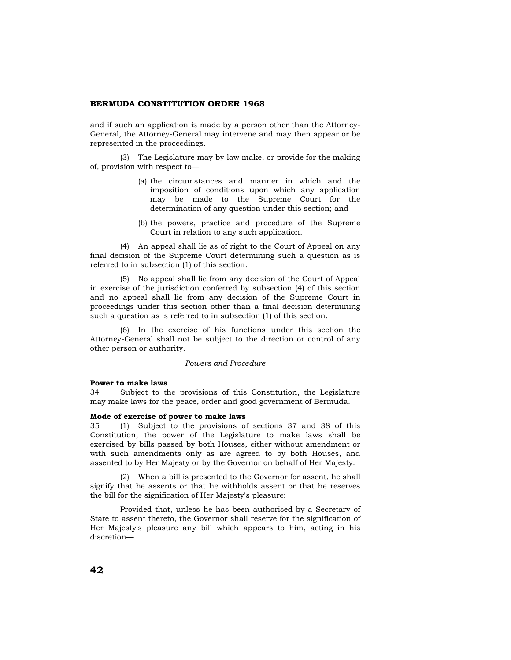and if such an application is made by a person other than the Attorney-General, the Attorney-General may intervene and may then appear or be represented in the proceedings.

(3) The Legislature may by law make, or provide for the making of, provision with respect to—

- (a) the circumstances and manner in which and the imposition of conditions upon which any application may be made to the Supreme Court for the determination of any question under this section; and
- (b) the powers, practice and procedure of the Supreme Court in relation to any such application.

(4) An appeal shall lie as of right to the Court of Appeal on any final decision of the Supreme Court determining such a question as is referred to in subsection (1) of this section.

(5) No appeal shall lie from any decision of the Court of Appeal in exercise of the jurisdiction conferred by subsection (4) of this section and no appeal shall lie from any decision of the Supreme Court in proceedings under this section other than a final decision determining such a question as is referred to in subsection (1) of this section.

(6) In the exercise of his functions under this section the Attorney-General shall not be subject to the direction or control of any other person or authority.

## *Powers and Procedure*

### **Power to make laws**

34 Subject to the provisions of this Constitution, the Legislature may make laws for the peace, order and good government of Bermuda.

## **Mode of exercise of power to make laws**

35 (1) Subject to the provisions of sections 37 and 38 of this Constitution, the power of the Legislature to make laws shall be exercised by bills passed by both Houses, either without amendment or with such amendments only as are agreed to by both Houses, and assented to by Her Majesty or by the Governor on behalf of Her Majesty.

(2) When a bill is presented to the Governor for assent, he shall signify that he assents or that he withholds assent or that he reserves the bill for the signification of Her Majesty's pleasure:

Provided that, unless he has been authorised by a Secretary of State to assent thereto, the Governor shall reserve for the signification of Her Majesty's pleasure any bill which appears to him, acting in his discretion—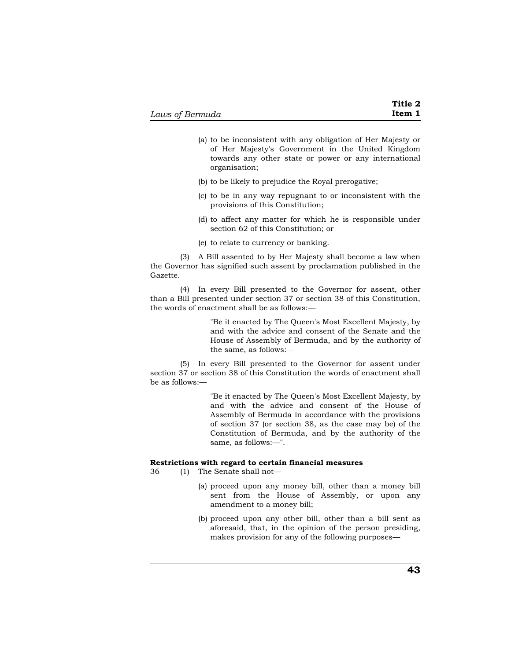- (a) to be inconsistent with any obligation of Her Majesty or of Her Majesty's Government in the United Kingdom towards any other state or power or any international organisation;
- (b) to be likely to prejudice the Royal prerogative;
- (c) to be in any way repugnant to or inconsistent with the provisions of this Constitution;
- (d) to affect any matter for which he is responsible under section 62 of this Constitution; or
- (e) to relate to currency or banking.

(3) A Bill assented to by Her Majesty shall become a law when the Governor has signified such assent by proclamation published in the Gazette.

(4) In every Bill presented to the Governor for assent, other than a Bill presented under section 37 or section 38 of this Constitution, the words of enactment shall be as follows:—

> "Be it enacted by The Queen's Most Excellent Majesty, by and with the advice and consent of the Senate and the House of Assembly of Bermuda, and by the authority of the same, as follows:—

(5) In every Bill presented to the Governor for assent under section 37 or section 38 of this Constitution the words of enactment shall be as follows:—

> "Be it enacted by The Queen's Most Excellent Majesty, by and with the advice and consent of the House of Assembly of Bermuda in accordance with the provisions of section 37 (or section 38, as the case may be) of the Constitution of Bermuda, and by the authority of the same, as follows:—".

# **Restrictions with regard to certain financial measures**

- 36 (1) The Senate shall not—
	- (a) proceed upon any money bill, other than a money bill sent from the House of Assembly, or upon any amendment to a money bill;
	- (b) proceed upon any other bill, other than a bill sent as aforesaid, that, in the opinion of the person presiding, makes provision for any of the following purposes—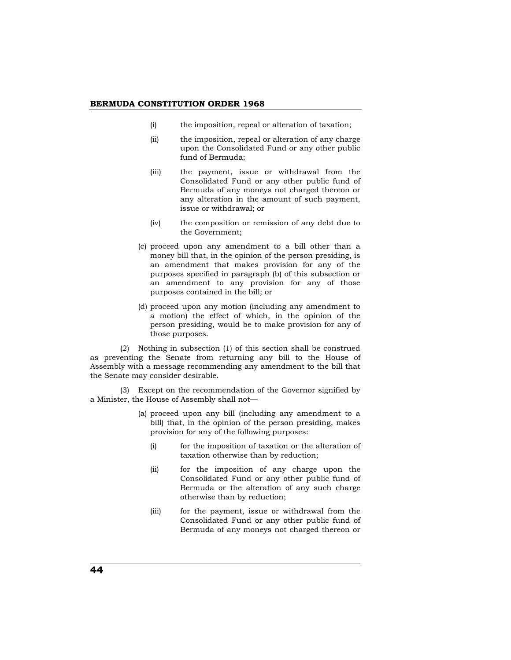- (i) the imposition, repeal or alteration of taxation;
- (ii) the imposition, repeal or alteration of any charge upon the Consolidated Fund or any other public fund of Bermuda;
- (iii) the payment, issue or withdrawal from the Consolidated Fund or any other public fund of Bermuda of any moneys not charged thereon or any alteration in the amount of such payment, issue or withdrawal; or
- (iv) the composition or remission of any debt due to the Government;
- (c) proceed upon any amendment to a bill other than a money bill that, in the opinion of the person presiding, is an amendment that makes provision for any of the purposes specified in paragraph (b) of this subsection or an amendment to any provision for any of those purposes contained in the bill; or
- (d) proceed upon any motion (including any amendment to a motion) the effect of which, in the opinion of the person presiding, would be to make provision for any of those purposes.

(2) Nothing in subsection (1) of this section shall be construed as preventing the Senate from returning any bill to the House of Assembly with a message recommending any amendment to the bill that the Senate may consider desirable.

(3) Except on the recommendation of the Governor signified by a Minister, the House of Assembly shall not—

- (a) proceed upon any bill (including any amendment to a bill) that, in the opinion of the person presiding, makes provision for any of the following purposes:
	- (i) for the imposition of taxation or the alteration of taxation otherwise than by reduction;
	- (ii) for the imposition of any charge upon the Consolidated Fund or any other public fund of Bermuda or the alteration of any such charge otherwise than by reduction;
	- (iii) for the payment, issue or withdrawal from the Consolidated Fund or any other public fund of Bermuda of any moneys not charged thereon or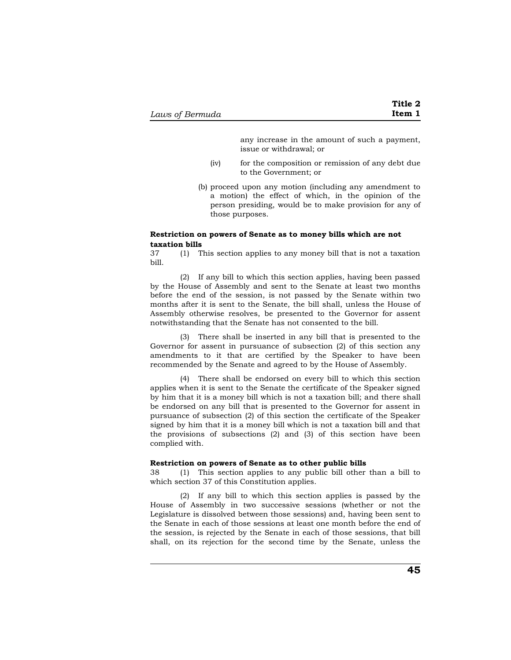any increase in the amount of such a payment, issue or withdrawal; or

- (iv) for the composition or remission of any debt due to the Government; or
- (b) proceed upon any motion (including any amendment to a motion) the effect of which, in the opinion of the person presiding, would be to make provision for any of those purposes.

## **Restriction on powers of Senate as to money bills which are not taxation bills**

37 (1) This section applies to any money bill that is not a taxation bill.

(2) If any bill to which this section applies, having been passed by the House of Assembly and sent to the Senate at least two months before the end of the session, is not passed by the Senate within two months after it is sent to the Senate, the bill shall, unless the House of Assembly otherwise resolves, be presented to the Governor for assent notwithstanding that the Senate has not consented to the bill.

(3) There shall be inserted in any bill that is presented to the Governor for assent in pursuance of subsection (2) of this section any amendments to it that are certified by the Speaker to have been recommended by the Senate and agreed to by the House of Assembly.

(4) There shall be endorsed on every bill to which this section applies when it is sent to the Senate the certificate of the Speaker signed by him that it is a money bill which is not a taxation bill; and there shall be endorsed on any bill that is presented to the Governor for assent in pursuance of subsection (2) of this section the certificate of the Speaker signed by him that it is a money bill which is not a taxation bill and that the provisions of subsections (2) and (3) of this section have been complied with.

## **Restriction on powers of Senate as to other public bills**

38 (1) This section applies to any public bill other than a bill to which section 37 of this Constitution applies.

(2) If any bill to which this section applies is passed by the House of Assembly in two successive sessions (whether or not the Legislature is dissolved between those sessions) and, having been sent to the Senate in each of those sessions at least one month before the end of the session, is rejected by the Senate in each of those sessions, that bill shall, on its rejection for the second time by the Senate, unless the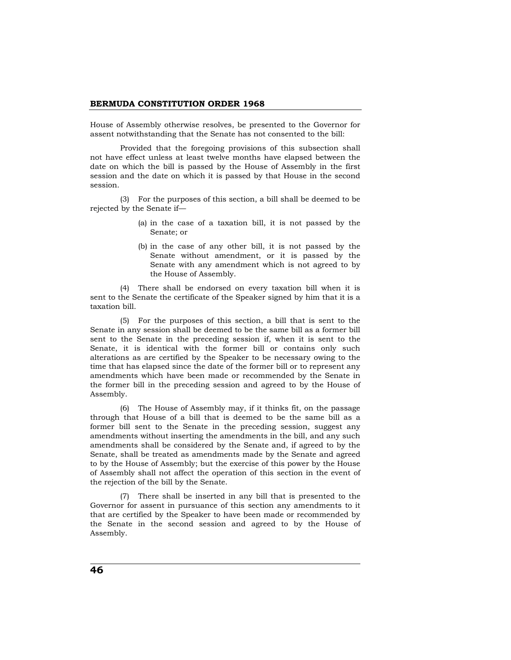House of Assembly otherwise resolves, be presented to the Governor for assent notwithstanding that the Senate has not consented to the bill:

Provided that the foregoing provisions of this subsection shall not have effect unless at least twelve months have elapsed between the date on which the bill is passed by the House of Assembly in the first session and the date on which it is passed by that House in the second session.

(3) For the purposes of this section, a bill shall be deemed to be rejected by the Senate if—

- (a) in the case of a taxation bill, it is not passed by the Senate; or
- (b) in the case of any other bill, it is not passed by the Senate without amendment, or it is passed by the Senate with any amendment which is not agreed to by the House of Assembly.

(4) There shall be endorsed on every taxation bill when it is sent to the Senate the certificate of the Speaker signed by him that it is a taxation bill.

(5) For the purposes of this section, a bill that is sent to the Senate in any session shall be deemed to be the same bill as a former bill sent to the Senate in the preceding session if, when it is sent to the Senate, it is identical with the former bill or contains only such alterations as are certified by the Speaker to be necessary owing to the time that has elapsed since the date of the former bill or to represent any amendments which have been made or recommended by the Senate in the former bill in the preceding session and agreed to by the House of Assembly.

(6) The House of Assembly may, if it thinks fit, on the passage through that House of a bill that is deemed to be the same bill as a former bill sent to the Senate in the preceding session, suggest any amendments without inserting the amendments in the bill, and any such amendments shall be considered by the Senate and, if agreed to by the Senate, shall be treated as amendments made by the Senate and agreed to by the House of Assembly; but the exercise of this power by the House of Assembly shall not affect the operation of this section in the event of the rejection of the bill by the Senate.

(7) There shall be inserted in any bill that is presented to the Governor for assent in pursuance of this section any amendments to it that are certified by the Speaker to have been made or recommended by the Senate in the second session and agreed to by the House of Assembly.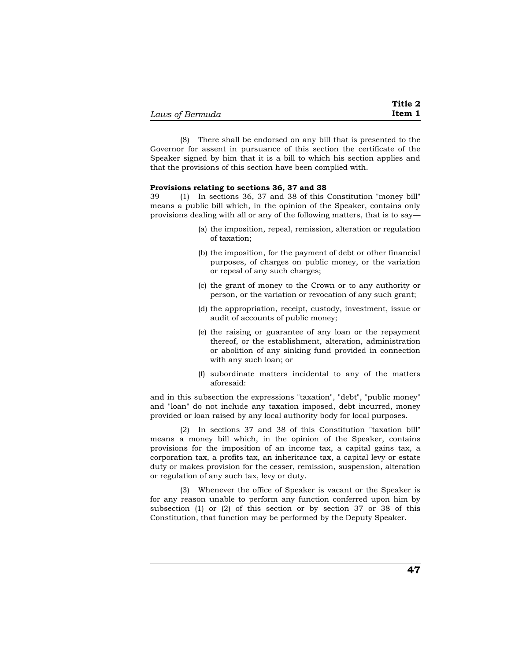(8) There shall be endorsed on any bill that is presented to the Governor for assent in pursuance of this section the certificate of the Speaker signed by him that it is a bill to which his section applies and that the provisions of this section have been complied with.

## **Provisions relating to sections 36, 37 and 38**

39 (1) In sections 36, 37 and 38 of this Constitution "money bill" means a public bill which, in the opinion of the Speaker, contains only provisions dealing with all or any of the following matters, that is to say—

- (a) the imposition, repeal, remission, alteration or regulation of taxation;
- (b) the imposition, for the payment of debt or other financial purposes, of charges on public money, or the variation or repeal of any such charges;
- (c) the grant of money to the Crown or to any authority or person, or the variation or revocation of any such grant;
- (d) the appropriation, receipt, custody, investment, issue or audit of accounts of public money;
- (e) the raising or guarantee of any loan or the repayment thereof, or the establishment, alteration, administration or abolition of any sinking fund provided in connection with any such loan; or
- (f) subordinate matters incidental to any of the matters aforesaid:

and in this subsection the expressions "taxation", "debt", "public money" and "loan" do not include any taxation imposed, debt incurred, money provided or loan raised by any local authority body for local purposes.

(2) In sections 37 and 38 of this Constitution "taxation bill" means a money bill which, in the opinion of the Speaker, contains provisions for the imposition of an income tax, a capital gains tax, a corporation tax, a profits tax, an inheritance tax, a capital levy or estate duty or makes provision for the cesser, remission, suspension, alteration or regulation of any such tax, levy or duty.

(3) Whenever the office of Speaker is vacant or the Speaker is for any reason unable to perform any function conferred upon him by subsection (1) or (2) of this section or by section 37 or 38 of this Constitution, that function may be performed by the Deputy Speaker.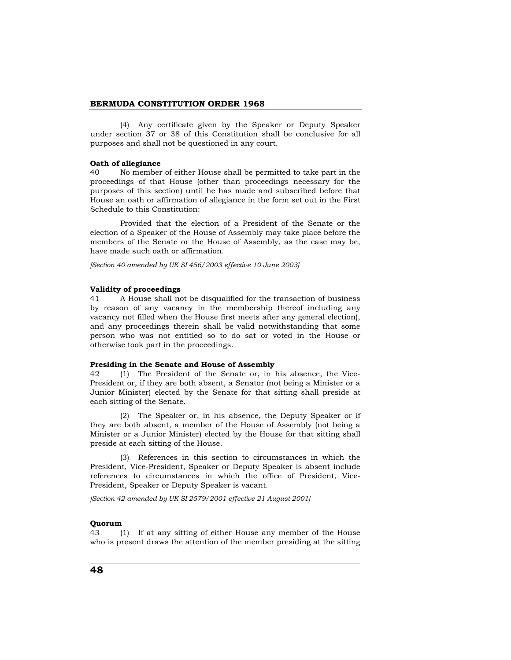(4) Any certificate given by the Speaker or Deputy Speaker under section 37 or 38 of this Constitution shall be conclusive for all purposes and shall not be questioned in any court.

## **Oath of allegiance**

40 No member of either House shall be permitted to take part in the proceedings of that House (other than proceedings necessary for the purposes of this section) until he has made and subscribed before that House an oath or affirmation of allegiance in the form set out in the First Schedule to this Constitution:

Provided that the election of a President of the Senate or the election of a Speaker of the House of Assembly may take place before the members of the Senate or the House of Assembly, as the case may be, have made such oath or affirmation.

*[Section 40 amended by UK SI 456/2003 effective 10 June 2003]* 

## **Validity of proceedings**

41 A House shall not be disqualified for the transaction of business by reason of any vacancy in the membership thereof including any vacancy not filled when the House first meets after any general election), and any proceedings therein shall be valid notwithstanding that some person who was not entitled so to do sat or voted in the House or otherwise took part in the proceedings.

### **Presiding in the Senate and House of Assembly**

42 (1) The President of the Senate or, in his absence, the Vice-President or, if they are both absent, a Senator (not being a Minister or a Junior Minister) elected by the Senate for that sitting shall preside at each sitting of the Senate.

(2) The Speaker or, in his absence, the Deputy Speaker or if they are both absent, a member of the House of Assembly (not being a Minister or a Junior Minister) elected by the House for that sitting shall preside at each sitting of the House.

(3) References in this section to circumstances in which the President, Vice-President, Speaker or Deputy Speaker is absent include references to circumstances in which the office of President, Vice-President, Speaker or Deputy Speaker is vacant.

*[Section 42 amended by UK SI 2579/2001 effective 21 August 2001]* 

## **Quorum**

43 (1) If at any sitting of either House any member of the House who is present draws the attention of the member presiding at the sitting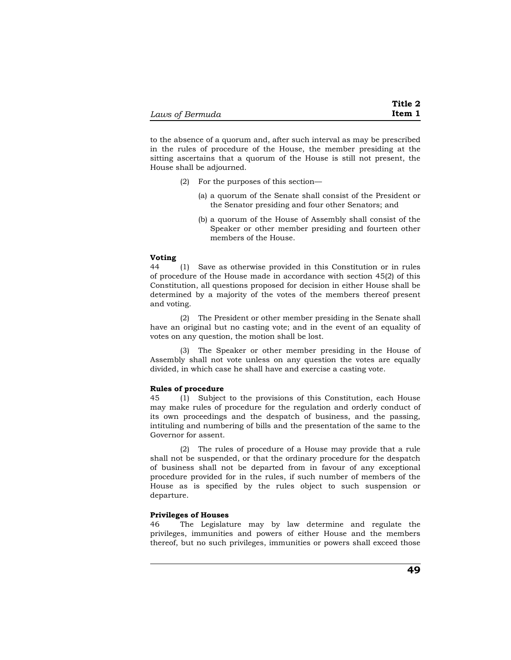to the absence of a quorum and, after such interval as may be prescribed in the rules of procedure of the House, the member presiding at the sitting ascertains that a quorum of the House is still not present, the House shall be adjourned.

- (2) For the purposes of this section—
	- (a) a quorum of the Senate shall consist of the President or the Senator presiding and four other Senators; and
	- (b) a quorum of the House of Assembly shall consist of the Speaker or other member presiding and fourteen other members of the House.

## **Voting**

44 (1) Save as otherwise provided in this Constitution or in rules of procedure of the House made in accordance with section 45(2) of this Constitution, all questions proposed for decision in either House shall be determined by a majority of the votes of the members thereof present and voting.

(2) The President or other member presiding in the Senate shall have an original but no casting vote; and in the event of an equality of votes on any question, the motion shall be lost.

(3) The Speaker or other member presiding in the House of Assembly shall not vote unless on any question the votes are equally divided, in which case he shall have and exercise a casting vote.

## **Rules of procedure**

45 (1) Subject to the provisions of this Constitution, each House may make rules of procedure for the regulation and orderly conduct of its own proceedings and the despatch of business, and the passing, intituling and numbering of bills and the presentation of the same to the Governor for assent.

(2) The rules of procedure of a House may provide that a rule shall not be suspended, or that the ordinary procedure for the despatch of business shall not be departed from in favour of any exceptional procedure provided for in the rules, if such number of members of the House as is specified by the rules object to such suspension or departure.

## **Privileges of Houses**

46 The Legislature may by law determine and regulate the privileges, immunities and powers of either House and the members thereof, but no such privileges, immunities or powers shall exceed those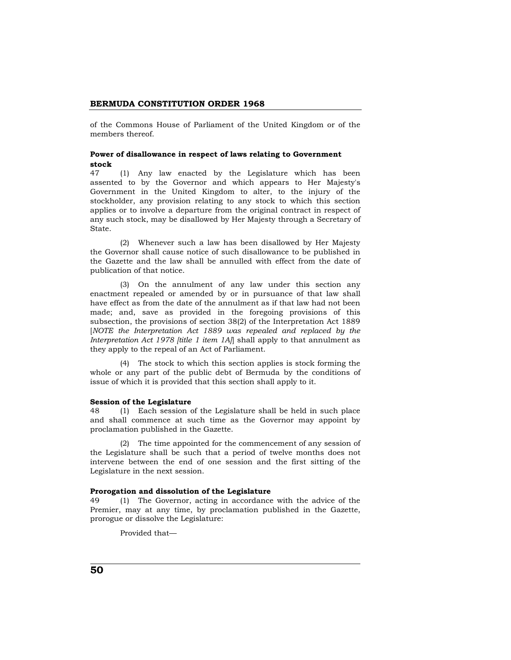of the Commons House of Parliament of the United Kingdom or of the members thereof.

## **Power of disallowance in respect of laws relating to Government stock**

47 (1) Any law enacted by the Legislature which has been assented to by the Governor and which appears to Her Majesty's Government in the United Kingdom to alter, to the injury of the stockholder, any provision relating to any stock to which this section applies or to involve a departure from the original contract in respect of any such stock, may be disallowed by Her Majesty through a Secretary of State.

(2) Whenever such a law has been disallowed by Her Majesty the Governor shall cause notice of such disallowance to be published in the Gazette and the law shall be annulled with effect from the date of publication of that notice.

(3) On the annulment of any law under this section any enactment repealed or amended by or in pursuance of that law shall have effect as from the date of the annulment as if that law had not been made; and, save as provided in the foregoing provisions of this subsection, the provisions of section 38(2) of the Interpretation Act 1889 [*NOTE the Interpretation Act 1889 was repealed and replaced by the Interpretation Act 1978 [title 1 item 1A]*] shall apply to that annulment as they apply to the repeal of an Act of Parliament.

(4) The stock to which this section applies is stock forming the whole or any part of the public debt of Bermuda by the conditions of issue of which it is provided that this section shall apply to it.

#### **Session of the Legislature**

48 (1) Each session of the Legislature shall be held in such place and shall commence at such time as the Governor may appoint by proclamation published in the Gazette.

(2) The time appointed for the commencement of any session of the Legislature shall be such that a period of twelve months does not intervene between the end of one session and the first sitting of the Legislature in the next session.

## **Prorogation and dissolution of the Legislature**

49 (1) The Governor, acting in accordance with the advice of the Premier, may at any time, by proclamation published in the Gazette, prorogue or dissolve the Legislature:

Provided that—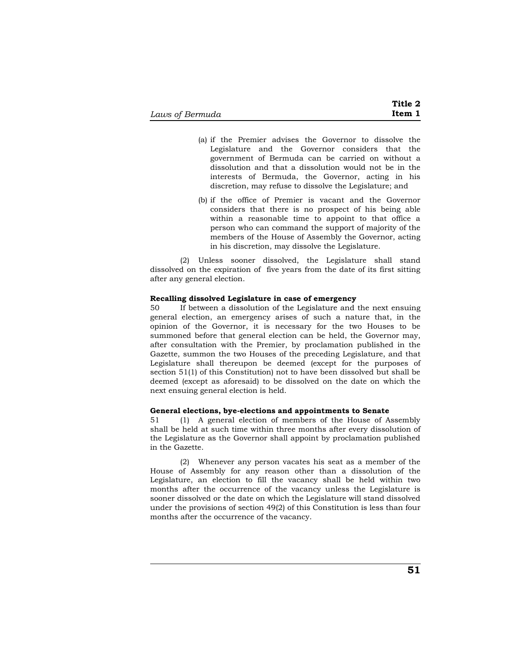- (a) if the Premier advises the Governor to dissolve the Legislature and the Governor considers that the government of Bermuda can be carried on without a dissolution and that a dissolution would not be in the interests of Bermuda, the Governor, acting in his discretion, may refuse to dissolve the Legislature; and
- (b) if the office of Premier is vacant and the Governor considers that there is no prospect of his being able within a reasonable time to appoint to that office a person who can command the support of majority of the members of the House of Assembly the Governor, acting in his discretion, may dissolve the Legislature.

(2) Unless sooner dissolved, the Legislature shall stand dissolved on the expiration of five years from the date of its first sitting after any general election.

## **Recalling dissolved Legislature in case of emergency**

50 If between a dissolution of the Legislature and the next ensuing general election, an emergency arises of such a nature that, in the opinion of the Governor, it is necessary for the two Houses to be summoned before that general election can be held, the Governor may, after consultation with the Premier, by proclamation published in the Gazette, summon the two Houses of the preceding Legislature, and that Legislature shall thereupon be deemed (except for the purposes of section 51(1) of this Constitution) not to have been dissolved but shall be deemed (except as aforesaid) to be dissolved on the date on which the next ensuing general election is held.

### **General elections, bye-elections and appointments to Senate**

51 (1) A general election of members of the House of Assembly shall be held at such time within three months after every dissolution of the Legislature as the Governor shall appoint by proclamation published in the Gazette.

(2) Whenever any person vacates his seat as a member of the House of Assembly for any reason other than a dissolution of the Legislature, an election to fill the vacancy shall be held within two months after the occurrence of the vacancy unless the Legislature is sooner dissolved or the date on which the Legislature will stand dissolved under the provisions of section 49(2) of this Constitution is less than four months after the occurrence of the vacancy.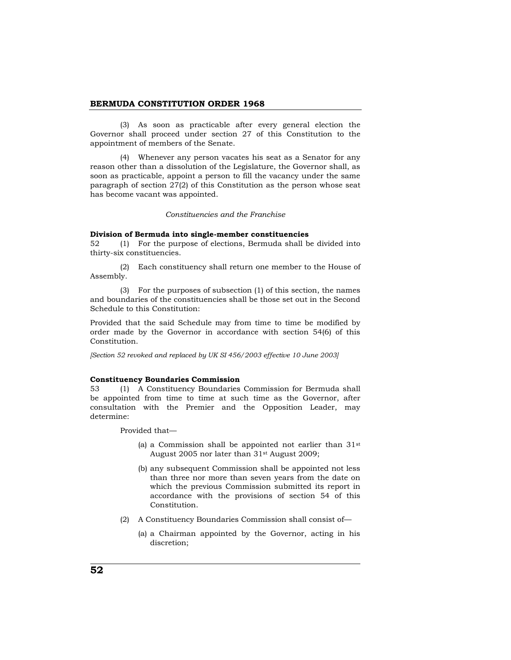(3) As soon as practicable after every general election the Governor shall proceed under section 27 of this Constitution to the appointment of members of the Senate.

(4) Whenever any person vacates his seat as a Senator for any reason other than a dissolution of the Legislature, the Governor shall, as soon as practicable, appoint a person to fill the vacancy under the same paragraph of section 27(2) of this Constitution as the person whose seat has become vacant was appointed.

*Constituencies and the Franchise* 

## **Division of Bermuda into single-member constituencies**

52 (1) For the purpose of elections, Bermuda shall be divided into thirty-six constituencies.

 (2) Each constituency shall return one member to the House of Assembly.

 (3) For the purposes of subsection (1) of this section, the names and boundaries of the constituencies shall be those set out in the Second Schedule to this Constitution:

Provided that the said Schedule may from time to time be modified by order made by the Governor in accordance with section 54(6) of this Constitution.

*[Section 52 revoked and replaced by UK SI 456/2003 effective 10 June 2003]* 

### **Constituency Boundaries Commission**

53 (1) A Constituency Boundaries Commission for Bermuda shall be appointed from time to time at such time as the Governor, after consultation with the Premier and the Opposition Leader, may determine:

Provided that—

- (a) a Commission shall be appointed not earlier than  $31^{st}$ August 2005 nor later than 31st August 2009;
- (b) any subsequent Commission shall be appointed not less than three nor more than seven years from the date on which the previous Commission submitted its report in accordance with the provisions of section 54 of this Constitution.
- (2) A Constituency Boundaries Commission shall consist of—
	- (a) a Chairman appointed by the Governor, acting in his discretion;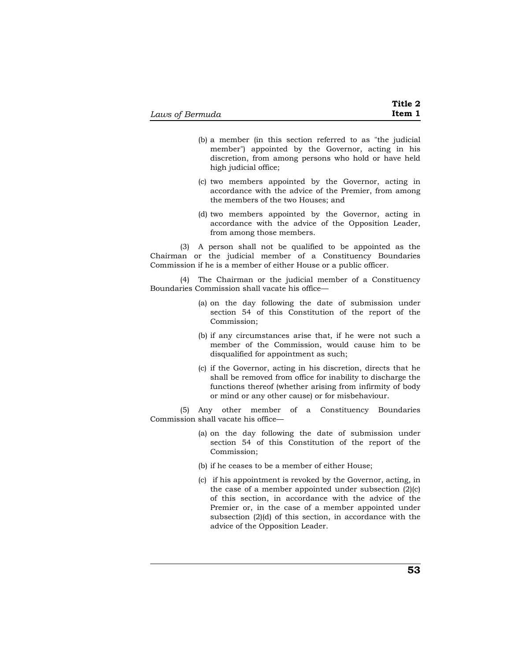- (b) a member (in this section referred to as "the judicial member") appointed by the Governor, acting in his discretion, from among persons who hold or have held high judicial office;
- (c) two members appointed by the Governor, acting in accordance with the advice of the Premier, from among the members of the two Houses; and
- (d) two members appointed by the Governor, acting in accordance with the advice of the Opposition Leader, from among those members.

(3) A person shall not be qualified to be appointed as the Chairman or the judicial member of a Constituency Boundaries Commission if he is a member of either House or a public officer.

(4) The Chairman or the judicial member of a Constituency Boundaries Commission shall vacate his office—

- (a) on the day following the date of submission under section 54 of this Constitution of the report of the Commission;
- (b) if any circumstances arise that, if he were not such a member of the Commission, would cause him to be disqualified for appointment as such;
- (c) if the Governor, acting in his discretion, directs that he shall be removed from office for inability to discharge the functions thereof (whether arising from infirmity of body or mind or any other cause) or for misbehaviour.

(5) Any other member of a Constituency Boundaries Commission shall vacate his office—

- (a) on the day following the date of submission under section 54 of this Constitution of the report of the Commission;
- (b) if he ceases to be a member of either House;
- (c) if his appointment is revoked by the Governor, acting, in the case of a member appointed under subsection (2)(c) of this section, in accordance with the advice of the Premier or, in the case of a member appointed under subsection (2)(d) of this section, in accordance with the advice of the Opposition Leader.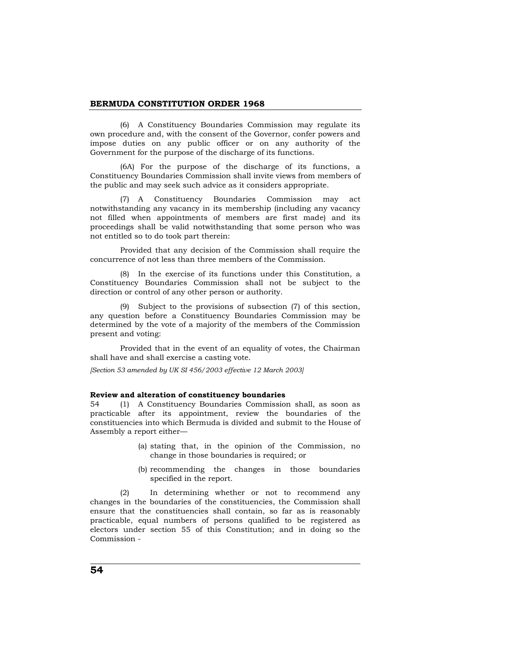(6) A Constituency Boundaries Commission may regulate its own procedure and, with the consent of the Governor, confer powers and impose duties on any public officer or on any authority of the Government for the purpose of the discharge of its functions.

(6A) For the purpose of the discharge of its functions, a Constituency Boundaries Commission shall invite views from members of the public and may seek such advice as it considers appropriate.

(7) A Constituency Boundaries Commission may act notwithstanding any vacancy in its membership (including any vacancy not filled when appointments of members are first made) and its proceedings shall be valid notwithstanding that some person who was not entitled so to do took part therein:

Provided that any decision of the Commission shall require the concurrence of not less than three members of the Commission.

(8) In the exercise of its functions under this Constitution, a Constituency Boundaries Commission shall not be subject to the direction or control of any other person or authority.

(9) Subject to the provisions of subsection (7) of this section, any question before a Constituency Boundaries Commission may be determined by the vote of a majority of the members of the Commission present and voting:

Provided that in the event of an equality of votes, the Chairman shall have and shall exercise a casting vote.

*[Section 53 amended by UK SI 456/2003 effective 12 March 2003]*

## **Review and alteration of constituency boundaries**

54 (1) A Constituency Boundaries Commission shall, as soon as practicable after its appointment, review the boundaries of the constituencies into which Bermuda is divided and submit to the House of Assembly a report either—

- (a) stating that, in the opinion of the Commission, no change in those boundaries is required; or
- (b) recommending the changes in those boundaries specified in the report.

(2) In determining whether or not to recommend any changes in the boundaries of the constituencies, the Commission shall ensure that the constituencies shall contain, so far as is reasonably practicable, equal numbers of persons qualified to be registered as electors under section 55 of this Constitution; and in doing so the Commission -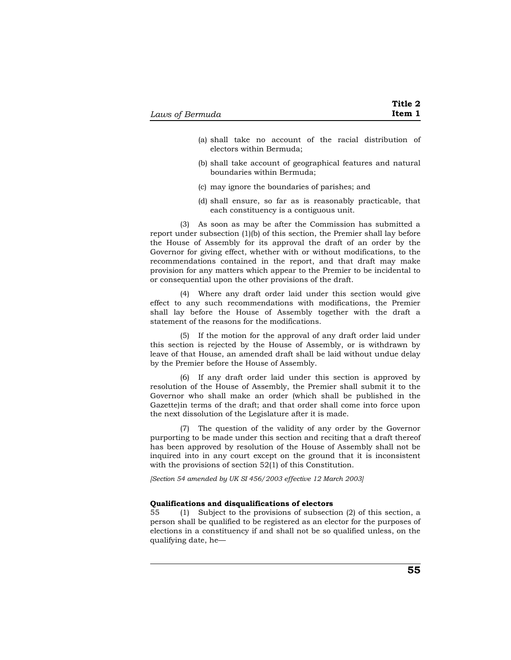- (a) shall take no account of the racial distribution of electors within Bermuda;
- (b) shall take account of geographical features and natural boundaries within Bermuda;
- (c) may ignore the boundaries of parishes; and
- (d) shall ensure, so far as is reasonably practicable, that each constituency is a contiguous unit.

(3) As soon as may be after the Commission has submitted a report under subsection (1)(b) of this section, the Premier shall lay before the House of Assembly for its approval the draft of an order by the Governor for giving effect, whether with or without modifications, to the recommendations contained in the report, and that draft may make provision for any matters which appear to the Premier to be incidental to or consequential upon the other provisions of the draft.

(4) Where any draft order laid under this section would give effect to any such recommendations with modifications, the Premier shall lay before the House of Assembly together with the draft a statement of the reasons for the modifications.

(5) If the motion for the approval of any draft order laid under this section is rejected by the House of Assembly, or is withdrawn by leave of that House, an amended draft shall be laid without undue delay by the Premier before the House of Assembly.

(6) If any draft order laid under this section is approved by resolution of the House of Assembly, the Premier shall submit it to the Governor who shall make an order (which shall be published in the Gazette)in terms of the draft; and that order shall come into force upon the next dissolution of the Legislature after it is made.

(7) The question of the validity of any order by the Governor purporting to be made under this section and reciting that a draft thereof has been approved by resolution of the House of Assembly shall not be inquired into in any court except on the ground that it is inconsistent with the provisions of section 52(1) of this Constitution.

*[Section 54 amended by UK SI 456/2003 effective 12 March 2003]*

## **Qualifications and disqualifications of electors**

55 (1) Subject to the provisions of subsection (2) of this section, a person shall be qualified to be registered as an elector for the purposes of elections in a constituency if and shall not be so qualified unless, on the qualifying date, he—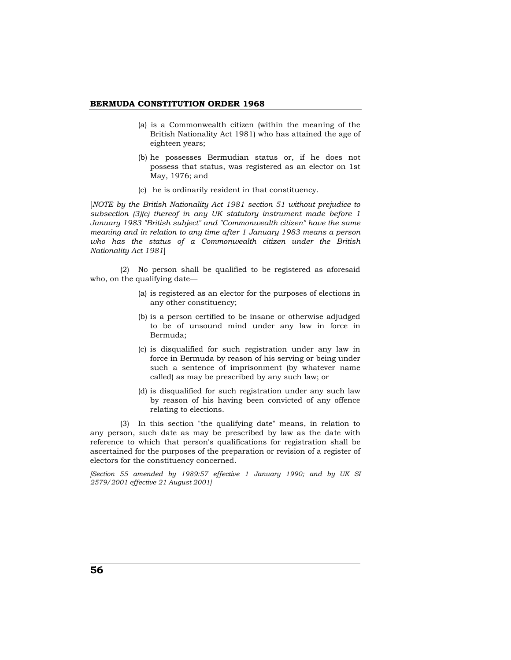- (a) is a Commonwealth citizen (within the meaning of the British Nationality Act 1981) who has attained the age of eighteen years;
- (b) he possesses Bermudian status or, if he does not possess that status, was registered as an elector on 1st May, 1976; and
- (c) he is ordinarily resident in that constituency.

[*NOTE by the British Nationality Act 1981 section 51 without prejudice to subsection (3)(c) thereof in any UK statutory instrument made before 1 January 1983 "British subject" and "Commonwealth citizen" have the same meaning and in relation to any time after 1 January 1983 means a person who has the status of a Commonwealth citizen under the British Nationality Act 1981*]

(2) No person shall be qualified to be registered as aforesaid who, on the qualifying date—

- (a) is registered as an elector for the purposes of elections in any other constituency;
- (b) is a person certified to be insane or otherwise adjudged to be of unsound mind under any law in force in Bermuda;
- (c) is disqualified for such registration under any law in force in Bermuda by reason of his serving or being under such a sentence of imprisonment (by whatever name called) as may be prescribed by any such law; or
- (d) is disqualified for such registration under any such law by reason of his having been convicted of any offence relating to elections.

(3) In this section "the qualifying date" means, in relation to any person, such date as may be prescribed by law as the date with reference to which that person's qualifications for registration shall be ascertained for the purposes of the preparation or revision of a register of electors for the constituency concerned.

*[Section 55 amended by 1989:57 effective 1 January 1990; and by UK SI 2579/2001 effective 21 August 2001]*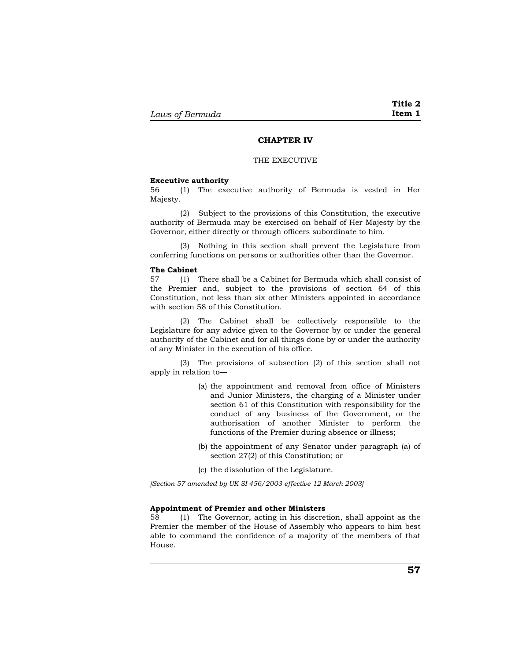## **CHAPTER IV**

## THE EXECUTIVE

## **Executive authority**

56 (1) The executive authority of Bermuda is vested in Her Majesty.

(2) Subject to the provisions of this Constitution, the executive authority of Bermuda may be exercised on behalf of Her Majesty by the Governor, either directly or through officers subordinate to him.

(3) Nothing in this section shall prevent the Legislature from conferring functions on persons or authorities other than the Governor.

#### **The Cabinet**

57 (1) There shall be a Cabinet for Bermuda which shall consist of the Premier and, subject to the provisions of section 64 of this Constitution, not less than six other Ministers appointed in accordance with section 58 of this Constitution.

(2) The Cabinet shall be collectively responsible to the Legislature for any advice given to the Governor by or under the general authority of the Cabinet and for all things done by or under the authority of any Minister in the execution of his office.

(3) The provisions of subsection (2) of this section shall not apply in relation to—

- (a) the appointment and removal from office of Ministers and Junior Ministers, the charging of a Minister under section 61 of this Constitution with responsibility for the conduct of any business of the Government, or the authorisation of another Minister to perform the functions of the Premier during absence or illness;
- (b) the appointment of any Senator under paragraph (a) of section 27(2) of this Constitution; or
- (c) the dissolution of the Legislature.

*[Section 57 amended by UK SI 456/2003 effective 12 March 2003]* 

## **Appointment of Premier and other Ministers**

58 (1) The Governor, acting in his discretion, shall appoint as the Premier the member of the House of Assembly who appears to him best able to command the confidence of a majority of the members of that House.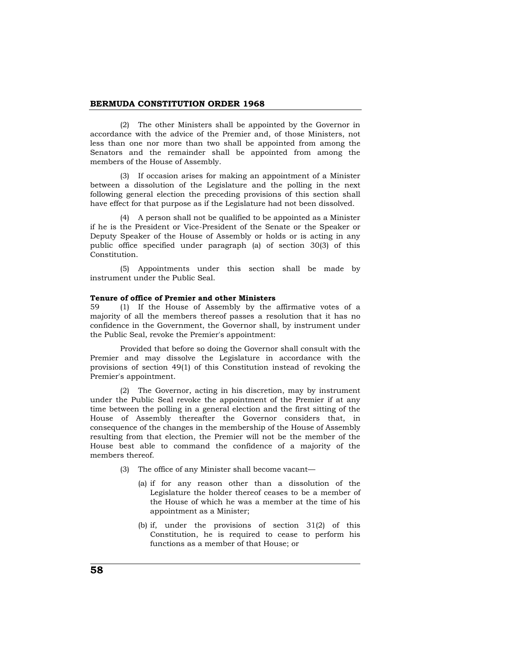(2) The other Ministers shall be appointed by the Governor in accordance with the advice of the Premier and, of those Ministers, not less than one nor more than two shall be appointed from among the Senators and the remainder shall be appointed from among the members of the House of Assembly.

(3) If occasion arises for making an appointment of a Minister between a dissolution of the Legislature and the polling in the next following general election the preceding provisions of this section shall have effect for that purpose as if the Legislature had not been dissolved.

(4) A person shall not be qualified to be appointed as a Minister if he is the President or Vice-President of the Senate or the Speaker or Deputy Speaker of the House of Assembly or holds or is acting in any public office specified under paragraph (a) of section 30(3) of this Constitution.

(5) Appointments under this section shall be made by instrument under the Public Seal.

## **Tenure of office of Premier and other Ministers**

59 (1) If the House of Assembly by the affirmative votes of a majority of all the members thereof passes a resolution that it has no confidence in the Government, the Governor shall, by instrument under the Public Seal, revoke the Premier's appointment:

Provided that before so doing the Governor shall consult with the Premier and may dissolve the Legislature in accordance with the provisions of section 49(1) of this Constitution instead of revoking the Premier's appointment.

(2) The Governor, acting in his discretion, may by instrument under the Public Seal revoke the appointment of the Premier if at any time between the polling in a general election and the first sitting of the House of Assembly thereafter the Governor considers that, in consequence of the changes in the membership of the House of Assembly resulting from that election, the Premier will not be the member of the House best able to command the confidence of a majority of the members thereof.

- (3) The office of any Minister shall become vacant—
	- (a) if for any reason other than a dissolution of the Legislature the holder thereof ceases to be a member of the House of which he was a member at the time of his appointment as a Minister;
	- (b) if, under the provisions of section 31(2) of this Constitution, he is required to cease to perform his functions as a member of that House; or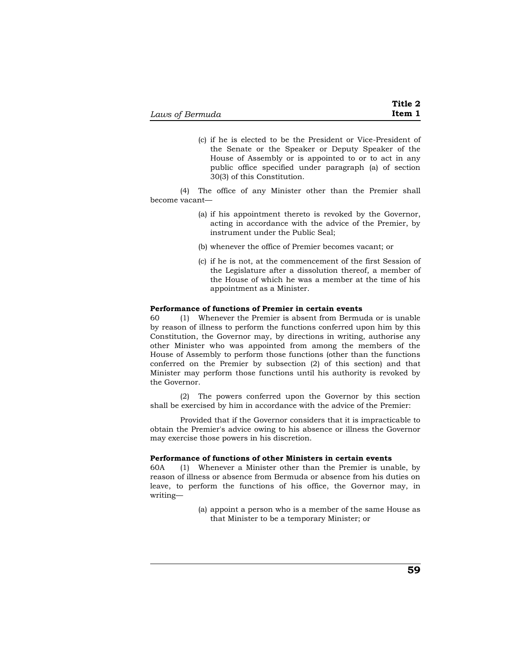(c) if he is elected to be the President or Vice-President of the Senate or the Speaker or Deputy Speaker of the House of Assembly or is appointed to or to act in any public office specified under paragraph (a) of section 30(3) of this Constitution.

(4) The office of any Minister other than the Premier shall become vacant—

- (a) if his appointment thereto is revoked by the Governor, acting in accordance with the advice of the Premier, by instrument under the Public Seal;
- (b) whenever the office of Premier becomes vacant; or
- (c) if he is not, at the commencement of the first Session of the Legislature after a dissolution thereof, a member of the House of which he was a member at the time of his appointment as a Minister.

## **Performance of functions of Premier in certain events**

60 (1) Whenever the Premier is absent from Bermuda or is unable by reason of illness to perform the functions conferred upon him by this Constitution, the Governor may, by directions in writing, authorise any other Minister who was appointed from among the members of the House of Assembly to perform those functions (other than the functions conferred on the Premier by subsection (2) of this section) and that Minister may perform those functions until his authority is revoked by the Governor.

(2) The powers conferred upon the Governor by this section shall be exercised by him in accordance with the advice of the Premier:

Provided that if the Governor considers that it is impracticable to obtain the Premier's advice owing to his absence or illness the Governor may exercise those powers in his discretion.

## **Performance of functions of other Ministers in certain events**

60A (1) Whenever a Minister other than the Premier is unable, by reason of illness or absence from Bermuda or absence from his duties on leave, to perform the functions of his office, the Governor may, in writing—

> (a) appoint a person who is a member of the same House as that Minister to be a temporary Minister; or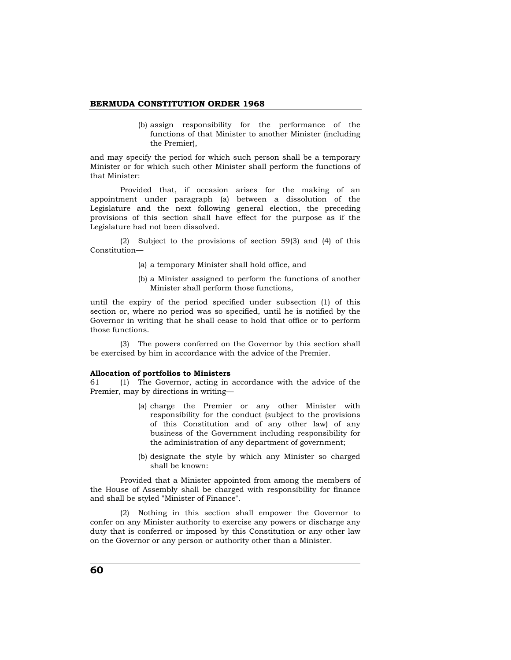(b) assign responsibility for the performance of the functions of that Minister to another Minister (including the Premier),

and may specify the period for which such person shall be a temporary Minister or for which such other Minister shall perform the functions of that Minister:

Provided that, if occasion arises for the making of an appointment under paragraph (a) between a dissolution of the Legislature and the next following general election, the preceding provisions of this section shall have effect for the purpose as if the Legislature had not been dissolved.

(2) Subject to the provisions of section 59(3) and (4) of this Constitution—

- (a) a temporary Minister shall hold office, and
- (b) a Minister assigned to perform the functions of another Minister shall perform those functions,

until the expiry of the period specified under subsection (1) of this section or, where no period was so specified, until he is notified by the Governor in writing that he shall cease to hold that office or to perform those functions.

(3) The powers conferred on the Governor by this section shall be exercised by him in accordance with the advice of the Premier.

## **Allocation of portfolios to Ministers**

61 (1) The Governor, acting in accordance with the advice of the Premier, may by directions in writing—

- (a) charge the Premier or any other Minister with responsibility for the conduct (subject to the provisions of this Constitution and of any other law) of any business of the Government including responsibility for the administration of any department of government;
- (b) designate the style by which any Minister so charged shall be known:

Provided that a Minister appointed from among the members of the House of Assembly shall be charged with responsibility for finance and shall be styled "Minister of Finance".

(2) Nothing in this section shall empower the Governor to confer on any Minister authority to exercise any powers or discharge any duty that is conferred or imposed by this Constitution or any other law on the Governor or any person or authority other than a Minister.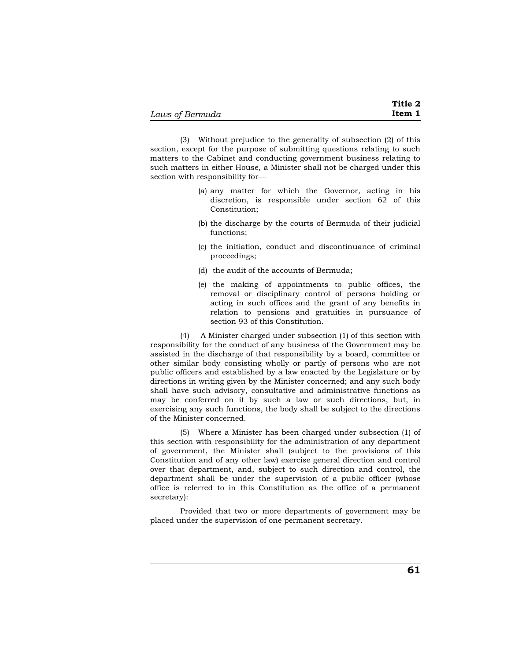(3) Without prejudice to the generality of subsection (2) of this section, except for the purpose of submitting questions relating to such matters to the Cabinet and conducting government business relating to such matters in either House, a Minister shall not be charged under this section with responsibility for—

- (a) any matter for which the Governor, acting in his discretion, is responsible under section 62 of this Constitution;
- (b) the discharge by the courts of Bermuda of their judicial functions;
- (c) the initiation, conduct and discontinuance of criminal proceedings;
- (d) the audit of the accounts of Bermuda;
- (e) the making of appointments to public offices, the removal or disciplinary control of persons holding or acting in such offices and the grant of any benefits in relation to pensions and gratuities in pursuance of section 93 of this Constitution.

(4) A Minister charged under subsection (1) of this section with responsibility for the conduct of any business of the Government may be assisted in the discharge of that responsibility by a board, committee or other similar body consisting wholly or partly of persons who are not public officers and established by a law enacted by the Legislature or by directions in writing given by the Minister concerned; and any such body shall have such advisory, consultative and administrative functions as may be conferred on it by such a law or such directions, but, in exercising any such functions, the body shall be subject to the directions of the Minister concerned.

(5) Where a Minister has been charged under subsection (1) of this section with responsibility for the administration of any department of government, the Minister shall (subject to the provisions of this Constitution and of any other law) exercise general direction and control over that department, and, subject to such direction and control, the department shall be under the supervision of a public officer (whose office is referred to in this Constitution as the office of a permanent secretary):

Provided that two or more departments of government may be placed under the supervision of one permanent secretary.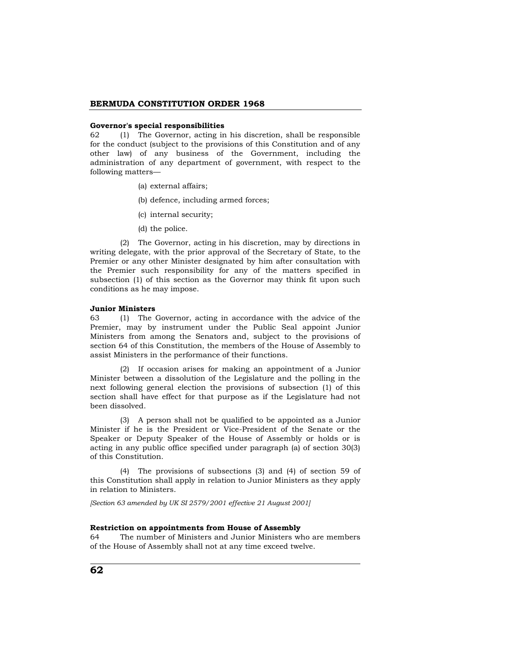### **Governor's special responsibilities**

62 (1) The Governor, acting in his discretion, shall be responsible for the conduct (subject to the provisions of this Constitution and of any other law) of any business of the Government, including the administration of any department of government, with respect to the following matters—

- (a) external affairs;
- (b) defence, including armed forces;
- (c) internal security;
- (d) the police.

(2) The Governor, acting in his discretion, may by directions in writing delegate, with the prior approval of the Secretary of State, to the Premier or any other Minister designated by him after consultation with the Premier such responsibility for any of the matters specified in subsection (1) of this section as the Governor may think fit upon such conditions as he may impose.

## **Junior Ministers**

63 (1) The Governor, acting in accordance with the advice of the Premier, may by instrument under the Public Seal appoint Junior Ministers from among the Senators and, subject to the provisions of section 64 of this Constitution, the members of the House of Assembly to assist Ministers in the performance of their functions.

(2) If occasion arises for making an appointment of a Junior Minister between a dissolution of the Legislature and the polling in the next following general election the provisions of subsection (1) of this section shall have effect for that purpose as if the Legislature had not been dissolved.

(3) A person shall not be qualified to be appointed as a Junior Minister if he is the President or Vice-President of the Senate or the Speaker or Deputy Speaker of the House of Assembly or holds or is acting in any public office specified under paragraph (a) of section 30(3) of this Constitution.

(4) The provisions of subsections (3) and (4) of section 59 of this Constitution shall apply in relation to Junior Ministers as they apply in relation to Ministers.

*[Section 63 amended by UK SI 2579/2001 effective 21 August 2001]* 

## **Restriction on appointments from House of Assembly**

64 The number of Ministers and Junior Ministers who are members of the House of Assembly shall not at any time exceed twelve.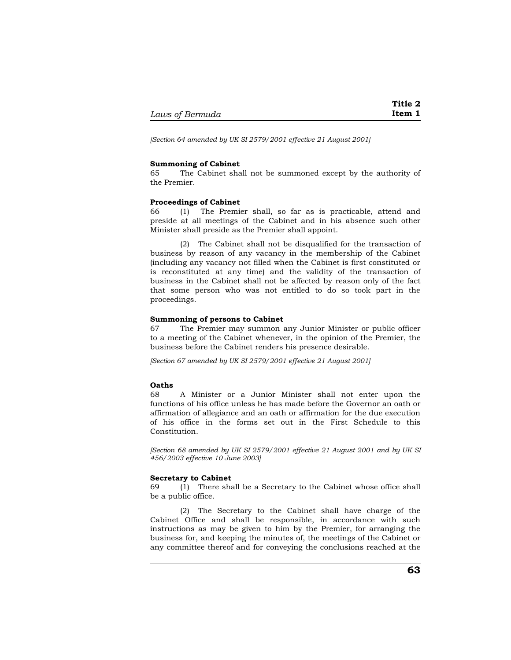*[Section 64 amended by UK SI 2579/2001 effective 21 August 2001]* 

### **Summoning of Cabinet**

65 The Cabinet shall not be summoned except by the authority of the Premier.

## **Proceedings of Cabinet**

66 (1) The Premier shall, so far as is practicable, attend and preside at all meetings of the Cabinet and in his absence such other Minister shall preside as the Premier shall appoint.

(2) The Cabinet shall not be disqualified for the transaction of business by reason of any vacancy in the membership of the Cabinet (including any vacancy not filled when the Cabinet is first constituted or is reconstituted at any time) and the validity of the transaction of business in the Cabinet shall not be affected by reason only of the fact that some person who was not entitled to do so took part in the proceedings.

## **Summoning of persons to Cabinet**

67 The Premier may summon any Junior Minister or public officer to a meeting of the Cabinet whenever, in the opinion of the Premier, the business before the Cabinet renders his presence desirable.

*[Section 67 amended by UK SI 2579/2001 effective 21 August 2001]* 

### **Oaths**

68 A Minister or a Junior Minister shall not enter upon the functions of his office unless he has made before the Governor an oath or affirmation of allegiance and an oath or affirmation for the due execution of his office in the forms set out in the First Schedule to this Constitution.

*[Section 68 amended by UK SI 2579/2001 effective 21 August 2001 and by UK SI 456/2003 effective 10 June 2003]* 

## **Secretary to Cabinet**

69 (1) There shall be a Secretary to the Cabinet whose office shall be a public office.

(2) The Secretary to the Cabinet shall have charge of the Cabinet Office and shall be responsible, in accordance with such instructions as may be given to him by the Premier, for arranging the business for, and keeping the minutes of, the meetings of the Cabinet or any committee thereof and for conveying the conclusions reached at the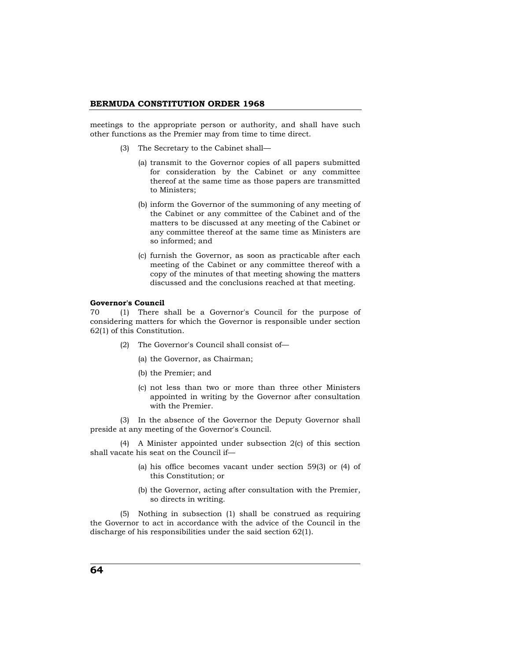meetings to the appropriate person or authority, and shall have such other functions as the Premier may from time to time direct.

- (3) The Secretary to the Cabinet shall—
	- (a) transmit to the Governor copies of all papers submitted for consideration by the Cabinet or any committee thereof at the same time as those papers are transmitted to Ministers;
	- (b) inform the Governor of the summoning of any meeting of the Cabinet or any committee of the Cabinet and of the matters to be discussed at any meeting of the Cabinet or any committee thereof at the same time as Ministers are so informed; and
	- (c) furnish the Governor, as soon as practicable after each meeting of the Cabinet or any committee thereof with a copy of the minutes of that meeting showing the matters discussed and the conclusions reached at that meeting.

#### **Governor's Council**

70 (1) There shall be a Governor's Council for the purpose of considering matters for which the Governor is responsible under section 62(1) of this Constitution.

- (2) The Governor's Council shall consist of—
	- (a) the Governor, as Chairman;
	- (b) the Premier; and
	- (c) not less than two or more than three other Ministers appointed in writing by the Governor after consultation with the Premier

(3) In the absence of the Governor the Deputy Governor shall preside at any meeting of the Governor's Council.

(4) A Minister appointed under subsection 2(c) of this section shall vacate his seat on the Council if—

- (a) his office becomes vacant under section 59(3) or (4) of this Constitution; or
- (b) the Governor, acting after consultation with the Premier, so directs in writing.

(5) Nothing in subsection (1) shall be construed as requiring the Governor to act in accordance with the advice of the Council in the discharge of his responsibilities under the said section 62(1).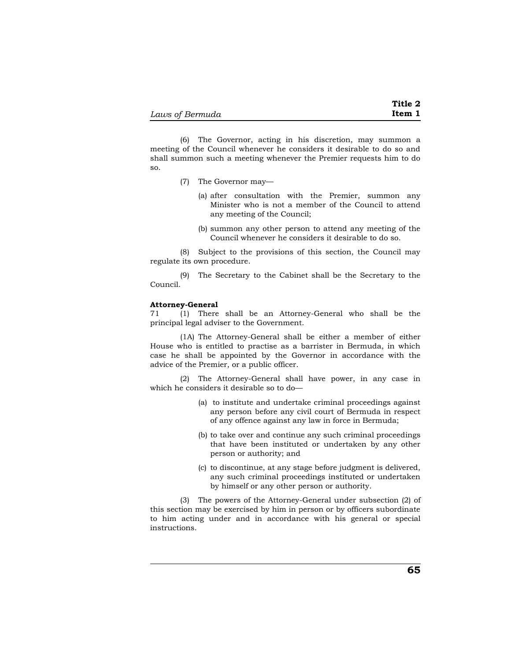(6) The Governor, acting in his discretion, may summon a meeting of the Council whenever he considers it desirable to do so and shall summon such a meeting whenever the Premier requests him to do so.

- (7) The Governor may—
	- (a) after consultation with the Premier, summon any Minister who is not a member of the Council to attend any meeting of the Council;
	- (b) summon any other person to attend any meeting of the Council whenever he considers it desirable to do so.

(8) Subject to the provisions of this section, the Council may regulate its own procedure.

(9) The Secretary to the Cabinet shall be the Secretary to the Council.

## **Attorney-General**

71 (1) There shall be an Attorney-General who shall be the principal legal adviser to the Government.

(1A) The Attorney-General shall be either a member of either House who is entitled to practise as a barrister in Bermuda, in which case he shall be appointed by the Governor in accordance with the advice of the Premier, or a public officer.

(2) The Attorney-General shall have power, in any case in which he considers it desirable so to do—

- (a) to institute and undertake criminal proceedings against any person before any civil court of Bermuda in respect of any offence against any law in force in Bermuda;
- (b) to take over and continue any such criminal proceedings that have been instituted or undertaken by any other person or authority; and
- (c) to discontinue, at any stage before judgment is delivered, any such criminal proceedings instituted or undertaken by himself or any other person or authority.

(3) The powers of the Attorney-General under subsection (2) of this section may be exercised by him in person or by officers subordinate to him acting under and in accordance with his general or special instructions.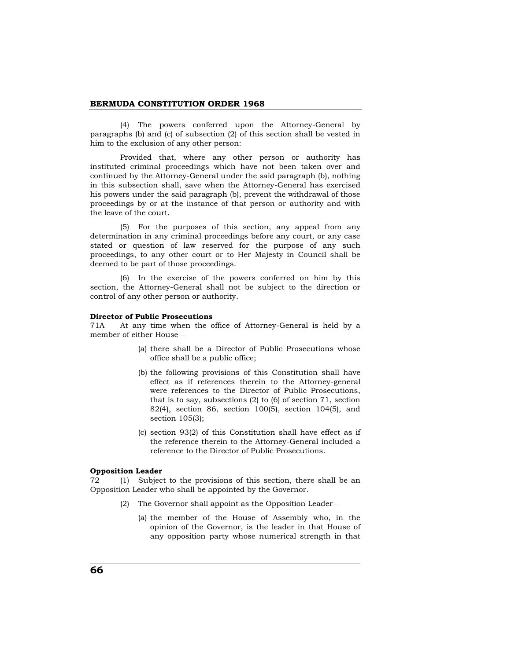(4) The powers conferred upon the Attorney-General by paragraphs (b) and (c) of subsection (2) of this section shall be vested in him to the exclusion of any other person:

Provided that, where any other person or authority has instituted criminal proceedings which have not been taken over and continued by the Attorney-General under the said paragraph (b), nothing in this subsection shall, save when the Attorney-General has exercised his powers under the said paragraph (b), prevent the withdrawal of those proceedings by or at the instance of that person or authority and with the leave of the court.

(5) For the purposes of this section, any appeal from any determination in any criminal proceedings before any court, or any case stated or question of law reserved for the purpose of any such proceedings, to any other court or to Her Majesty in Council shall be deemed to be part of those proceedings.

(6) In the exercise of the powers conferred on him by this section, the Attorney-General shall not be subject to the direction or control of any other person or authority.

### **Director of Public Prosecutions**

71A At any time when the office of Attorney-General is held by a member of either House—

- (a) there shall be a Director of Public Prosecutions whose office shall be a public office;
- (b) the following provisions of this Constitution shall have effect as if references therein to the Attorney-general were references to the Director of Public Prosecutions, that is to say, subsections (2) to (6) of section 71, section 82(4), section 86, section 100(5), section 104(5), and section 105(3);
- (c) section 93(2) of this Constitution shall have effect as if the reference therein to the Attorney-General included a reference to the Director of Public Prosecutions.

### **Opposition Leader**

72 (1) Subject to the provisions of this section, there shall be an Opposition Leader who shall be appointed by the Governor.

- (2) The Governor shall appoint as the Opposition Leader—
	- (a) the member of the House of Assembly who, in the opinion of the Governor, is the leader in that House of any opposition party whose numerical strength in that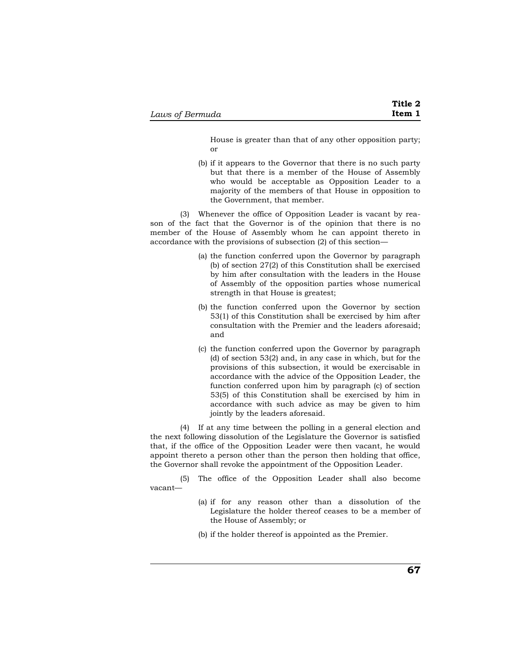House is greater than that of any other opposition party; or

(b) if it appears to the Governor that there is no such party but that there is a member of the House of Assembly who would be acceptable as Opposition Leader to a majority of the members of that House in opposition to the Government, that member.

(3) Whenever the office of Opposition Leader is vacant by reason of the fact that the Governor is of the opinion that there is no member of the House of Assembly whom he can appoint thereto in accordance with the provisions of subsection (2) of this section—

- (a) the function conferred upon the Governor by paragraph (b) of section 27(2) of this Constitution shall be exercised by him after consultation with the leaders in the House of Assembly of the opposition parties whose numerical strength in that House is greatest;
- (b) the function conferred upon the Governor by section 53(1) of this Constitution shall be exercised by him after consultation with the Premier and the leaders aforesaid; and
- (c) the function conferred upon the Governor by paragraph (d) of section 53(2) and, in any case in which, but for the provisions of this subsection, it would be exercisable in accordance with the advice of the Opposition Leader, the function conferred upon him by paragraph (c) of section 53(5) of this Constitution shall be exercised by him in accordance with such advice as may be given to him jointly by the leaders aforesaid.

(4) If at any time between the polling in a general election and the next following dissolution of the Legislature the Governor is satisfied that, if the office of the Opposition Leader were then vacant, he would appoint thereto a person other than the person then holding that office, the Governor shall revoke the appointment of the Opposition Leader.

(5) The office of the Opposition Leader shall also become vacant—

- (a) if for any reason other than a dissolution of the Legislature the holder thereof ceases to be a member of the House of Assembly; or
- (b) if the holder thereof is appointed as the Premier.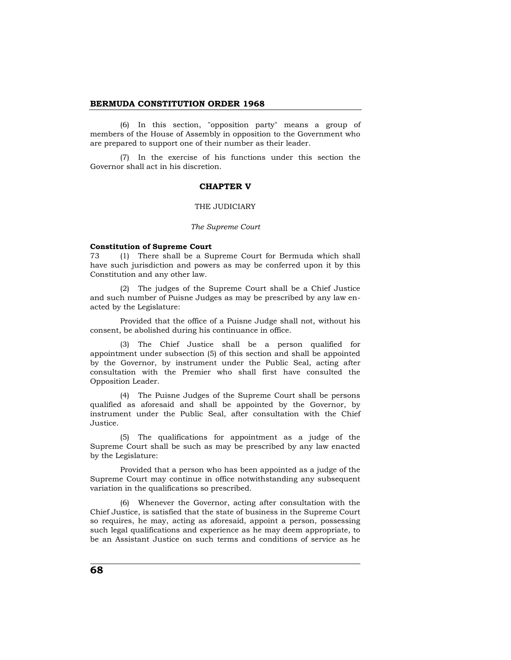(6) In this section, "opposition party" means a group of members of the House of Assembly in opposition to the Government who are prepared to support one of their number as their leader.

(7) In the exercise of his functions under this section the Governor shall act in his discretion.

## **CHAPTER V**

### THE JUDICIARY

### *The Supreme Court*

### **Constitution of Supreme Court**

73 (1) There shall be a Supreme Court for Bermuda which shall have such jurisdiction and powers as may be conferred upon it by this Constitution and any other law.

(2) The judges of the Supreme Court shall be a Chief Justice and such number of Puisne Judges as may be prescribed by any law enacted by the Legislature:

Provided that the office of a Puisne Judge shall not, without his consent, be abolished during his continuance in office.

(3) The Chief Justice shall be a person qualified for appointment under subsection (5) of this section and shall be appointed by the Governor, by instrument under the Public Seal, acting after consultation with the Premier who shall first have consulted the Opposition Leader.

(4) The Puisne Judges of the Supreme Court shall be persons qualified as aforesaid and shall be appointed by the Governor, by instrument under the Public Seal, after consultation with the Chief Justice.

(5) The qualifications for appointment as a judge of the Supreme Court shall be such as may be prescribed by any law enacted by the Legislature:

Provided that a person who has been appointed as a judge of the Supreme Court may continue in office notwithstanding any subsequent variation in the qualifications so prescribed.

(6) Whenever the Governor, acting after consultation with the Chief Justice, is satisfied that the state of business in the Supreme Court so requires, he may, acting as aforesaid, appoint a person, possessing such legal qualifications and experience as he may deem appropriate, to be an Assistant Justice on such terms and conditions of service as he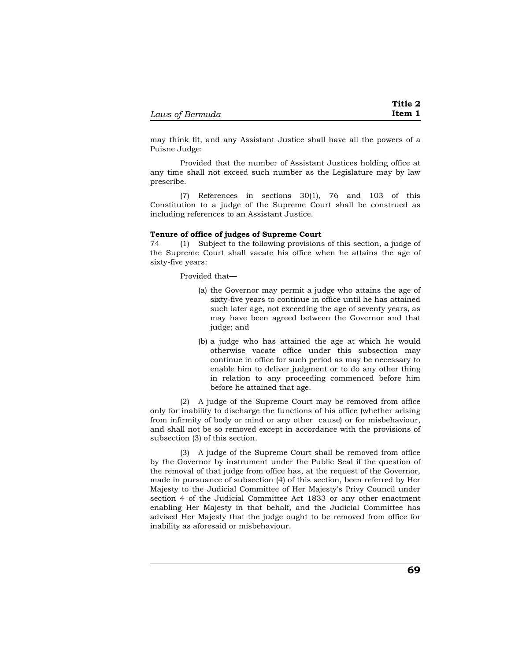may think fit, and any Assistant Justice shall have all the powers of a Puisne Judge:

Provided that the number of Assistant Justices holding office at any time shall not exceed such number as the Legislature may by law prescribe.

(7) References in sections 30(1), 76 and 103 of this Constitution to a judge of the Supreme Court shall be construed as including references to an Assistant Justice.

## **Tenure of office of judges of Supreme Court**

74 (1) Subject to the following provisions of this section, a judge of the Supreme Court shall vacate his office when he attains the age of sixty-five years:

Provided that—

- (a) the Governor may permit a judge who attains the age of sixty-five years to continue in office until he has attained such later age, not exceeding the age of seventy years, as may have been agreed between the Governor and that judge; and
- (b) a judge who has attained the age at which he would otherwise vacate office under this subsection may continue in office for such period as may be necessary to enable him to deliver judgment or to do any other thing in relation to any proceeding commenced before him before he attained that age.

(2) A judge of the Supreme Court may be removed from office only for inability to discharge the functions of his office (whether arising from infirmity of body or mind or any other cause) or for misbehaviour, and shall not be so removed except in accordance with the provisions of subsection (3) of this section.

(3) A judge of the Supreme Court shall be removed from office by the Governor by instrument under the Public Seal if the question of the removal of that judge from office has, at the request of the Governor, made in pursuance of subsection (4) of this section, been referred by Her Majesty to the Judicial Committee of Her Majesty's Privy Council under section 4 of the Judicial Committee Act 1833 or any other enactment enabling Her Majesty in that behalf, and the Judicial Committee has advised Her Majesty that the judge ought to be removed from office for inability as aforesaid or misbehaviour.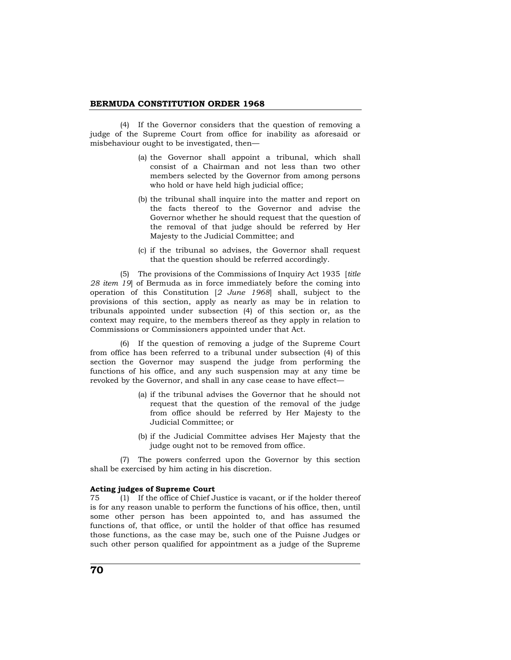(4) If the Governor considers that the question of removing a judge of the Supreme Court from office for inability as aforesaid or misbehaviour ought to be investigated, then—

- (a) the Governor shall appoint a tribunal, which shall consist of a Chairman and not less than two other members selected by the Governor from among persons who hold or have held high judicial office;
- (b) the tribunal shall inquire into the matter and report on the facts thereof to the Governor and advise the Governor whether he should request that the question of the removal of that judge should be referred by Her Majesty to the Judicial Committee; and
- (c) if the tribunal so advises, the Governor shall request that the question should be referred accordingly.

(5) The provisions of the Commissions of Inquiry Act 1935 [*title 28 item 19*] of Bermuda as in force immediately before the coming into operation of this Constitution [*2 June 1968*] shall, subject to the provisions of this section, apply as nearly as may be in relation to tribunals appointed under subsection (4) of this section or, as the context may require, to the members thereof as they apply in relation to Commissions or Commissioners appointed under that Act.

(6) If the question of removing a judge of the Supreme Court from office has been referred to a tribunal under subsection (4) of this section the Governor may suspend the judge from performing the functions of his office, and any such suspension may at any time be revoked by the Governor, and shall in any case cease to have effect—

- (a) if the tribunal advises the Governor that he should not request that the question of the removal of the judge from office should be referred by Her Majesty to the Judicial Committee; or
- (b) if the Judicial Committee advises Her Majesty that the judge ought not to be removed from office.

(7) The powers conferred upon the Governor by this section shall be exercised by him acting in his discretion.

## **Acting judges of Supreme Court**

75 (1) If the office of Chief Justice is vacant, or if the holder thereof is for any reason unable to perform the functions of his office, then, until some other person has been appointed to, and has assumed the functions of, that office, or until the holder of that office has resumed those functions, as the case may be, such one of the Puisne Judges or such other person qualified for appointment as a judge of the Supreme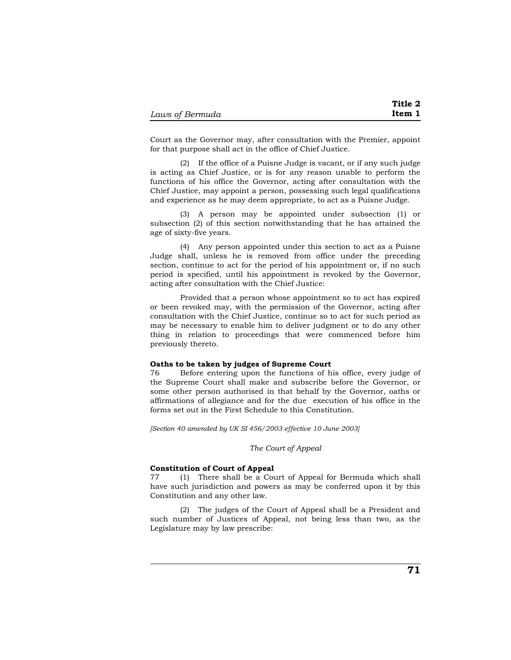Court as the Governor may, after consultation with the Premier, appoint for that purpose shall act in the office of Chief Justice.

(2) If the office of a Puisne Judge is vacant, or if any such judge is acting as Chief Justice, or is for any reason unable to perform the functions of his office the Governor, acting after consultation with the Chief Justice, may appoint a person, possessing such legal qualifications and experience as he may deem appropriate, to act as a Puisne Judge.

(3) A person may be appointed under subsection (1) or subsection (2) of this section notwithstanding that he has attained the age of sixty-five years.

(4) Any person appointed under this section to act as a Puisne Judge shall, unless he is removed from office under the preceding section, continue to act for the period of his appointment or, if no such period is specified, until his appointment is revoked by the Governor, acting after consultation with the Chief Justice:

Provided that a person whose appointment so to act has expired or been revoked may, with the permission of the Governor, acting after consultation with the Chief Justice, continue so to act for such period as may be necessary to enable him to deliver judgment or to do any other thing in relation to proceedings that were commenced before him previously thereto.

## **Oaths to be taken by judges of Supreme Court**

76 Before entering upon the functions of his office, every judge of the Supreme Court shall make and subscribe before the Governor, or some other person authorised in that behalf by the Governor, oaths or affirmations of allegiance and for the due execution of his office in the forms set out in the First Schedule to this Constitution.

*[Section 40 amended by UK SI 456/2003 effective 10 June 2003]* 

*The Court of Appeal* 

## **Constitution of Court of Appeal**

77 (1) There shall be a Court of Appeal for Bermuda which shall have such jurisdiction and powers as may be conferred upon it by this Constitution and any other law.

(2) The judges of the Court of Appeal shall be a President and such number of Justices of Appeal, not being less than two, as the Legislature may by law prescribe: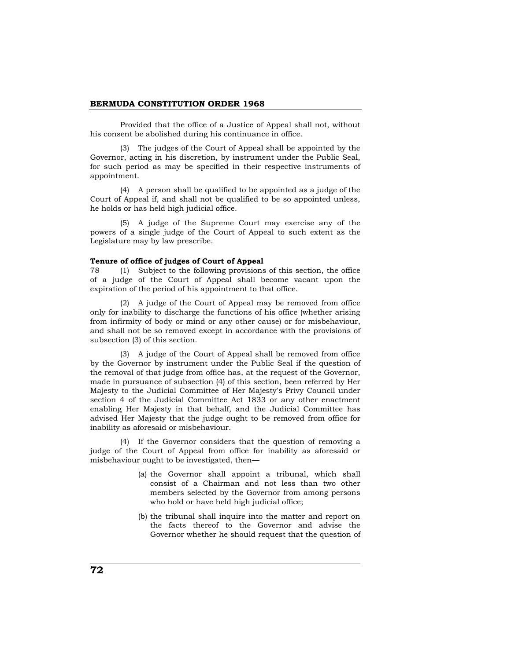Provided that the office of a Justice of Appeal shall not, without his consent be abolished during his continuance in office.

(3) The judges of the Court of Appeal shall be appointed by the Governor, acting in his discretion, by instrument under the Public Seal, for such period as may be specified in their respective instruments of appointment.

(4) A person shall be qualified to be appointed as a judge of the Court of Appeal if, and shall not be qualified to be so appointed unless, he holds or has held high judicial office.

(5) A judge of the Supreme Court may exercise any of the powers of a single judge of the Court of Appeal to such extent as the Legislature may by law prescribe.

## **Tenure of office of judges of Court of Appeal**

78 (1) Subject to the following provisions of this section, the office of a judge of the Court of Appeal shall become vacant upon the expiration of the period of his appointment to that office.

(2) A judge of the Court of Appeal may be removed from office only for inability to discharge the functions of his office (whether arising from infirmity of body or mind or any other cause) or for misbehaviour, and shall not be so removed except in accordance with the provisions of subsection (3) of this section.

(3) A judge of the Court of Appeal shall be removed from office by the Governor by instrument under the Public Seal if the question of the removal of that judge from office has, at the request of the Governor, made in pursuance of subsection (4) of this section, been referred by Her Majesty to the Judicial Committee of Her Majesty's Privy Council under section 4 of the Judicial Committee Act 1833 or any other enactment enabling Her Majesty in that behalf, and the Judicial Committee has advised Her Majesty that the judge ought to be removed from office for inability as aforesaid or misbehaviour.

(4) If the Governor considers that the question of removing a judge of the Court of Appeal from office for inability as aforesaid or misbehaviour ought to be investigated, then—

- (a) the Governor shall appoint a tribunal, which shall consist of a Chairman and not less than two other members selected by the Governor from among persons who hold or have held high judicial office;
- (b) the tribunal shall inquire into the matter and report on the facts thereof to the Governor and advise the Governor whether he should request that the question of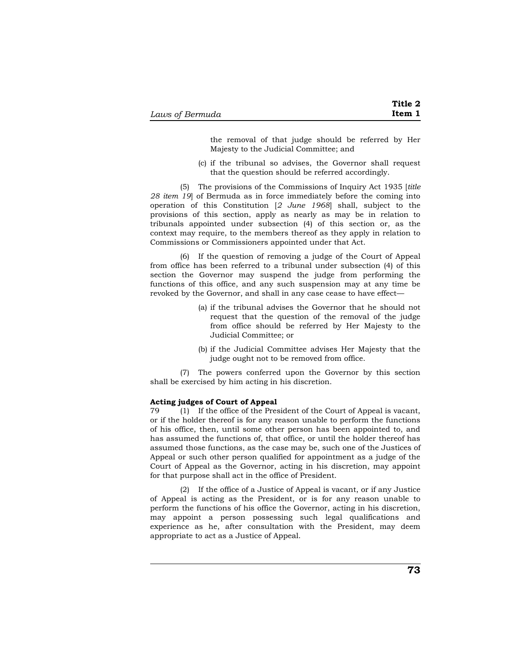the removal of that judge should be referred by Her Majesty to the Judicial Committee; and

(c) if the tribunal so advises, the Governor shall request that the question should be referred accordingly.

(5) The provisions of the Commissions of Inquiry Act 1935 [*title 28 item 19*] of Bermuda as in force immediately before the coming into operation of this Constitution [*2 June 1968*] shall, subject to the provisions of this section, apply as nearly as may be in relation to tribunals appointed under subsection (4) of this section or, as the context may require, to the members thereof as they apply in relation to Commissions or Commissioners appointed under that Act.

(6) If the question of removing a judge of the Court of Appeal from office has been referred to a tribunal under subsection (4) of this section the Governor may suspend the judge from performing the functions of this office, and any such suspension may at any time be revoked by the Governor, and shall in any case cease to have effect—

- (a) if the tribunal advises the Governor that he should not request that the question of the removal of the judge from office should be referred by Her Majesty to the Judicial Committee; or
- (b) if the Judicial Committee advises Her Majesty that the judge ought not to be removed from office.

(7) The powers conferred upon the Governor by this section shall be exercised by him acting in his discretion.

### **Acting judges of Court of Appeal**

79 (1) If the office of the President of the Court of Appeal is vacant, or if the holder thereof is for any reason unable to perform the functions of his office, then, until some other person has been appointed to, and has assumed the functions of, that office, or until the holder thereof has assumed those functions, as the case may be, such one of the Justices of Appeal or such other person qualified for appointment as a judge of the Court of Appeal as the Governor, acting in his discretion, may appoint for that purpose shall act in the office of President.

(2) If the office of a Justice of Appeal is vacant, or if any Justice of Appeal is acting as the President, or is for any reason unable to perform the functions of his office the Governor, acting in his discretion, may appoint a person possessing such legal qualifications and experience as he, after consultation with the President, may deem appropriate to act as a Justice of Appeal.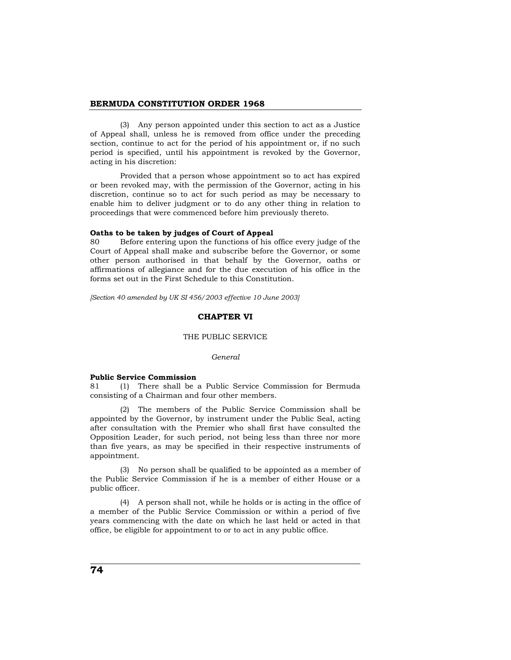(3) Any person appointed under this section to act as a Justice of Appeal shall, unless he is removed from office under the preceding section, continue to act for the period of his appointment or, if no such period is specified, until his appointment is revoked by the Governor, acting in his discretion:

Provided that a person whose appointment so to act has expired or been revoked may, with the permission of the Governor, acting in his discretion, continue so to act for such period as may be necessary to enable him to deliver judgment or to do any other thing in relation to proceedings that were commenced before him previously thereto.

### **Oaths to be taken by judges of Court of Appeal**

80 Before entering upon the functions of his office every judge of the Court of Appeal shall make and subscribe before the Governor, or some other person authorised in that behalf by the Governor, oaths or affirmations of allegiance and for the due execution of his office in the forms set out in the First Schedule to this Constitution.

*[Section 40 amended by UK SI 456/2003 effective 10 June 2003]* 

# **CHAPTER VI**

### THE PUBLIC SERVICE

## *General*

### **Public Service Commission**

81 (1) There shall be a Public Service Commission for Bermuda consisting of a Chairman and four other members.

(2) The members of the Public Service Commission shall be appointed by the Governor, by instrument under the Public Seal, acting after consultation with the Premier who shall first have consulted the Opposition Leader, for such period, not being less than three nor more than five years, as may be specified in their respective instruments of appointment.

(3) No person shall be qualified to be appointed as a member of the Public Service Commission if he is a member of either House or a public officer.

(4) A person shall not, while he holds or is acting in the office of a member of the Public Service Commission or within a period of five years commencing with the date on which he last held or acted in that office, be eligible for appointment to or to act in any public office.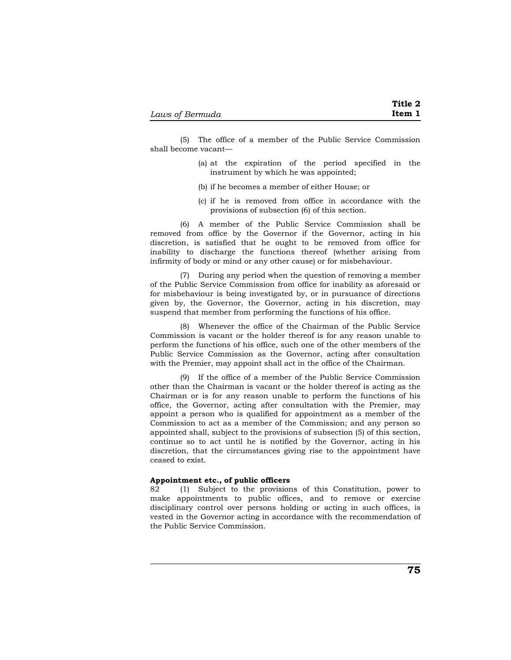(5) The office of a member of the Public Service Commission shall become vacant—

- (a) at the expiration of the period specified in the instrument by which he was appointed;
- (b) if he becomes a member of either House; or
- (c) if he is removed from office in accordance with the provisions of subsection (6) of this section.

(6) A member of the Public Service Commission shall be removed from office by the Governor if the Governor, acting in his discretion, is satisfied that he ought to be removed from office for inability to discharge the functions thereof (whether arising from infirmity of body or mind or any other cause) or for misbehaviour.

(7) During any period when the question of removing a member of the Public Service Commission from office for inability as aforesaid or for misbehaviour is being investigated by, or in pursuance of directions given by, the Governor, the Governor, acting in his discretion, may suspend that member from performing the functions of his office.

(8) Whenever the office of the Chairman of the Public Service Commission is vacant or the holder thereof is for any reason unable to perform the functions of his office, such one of the other members of the Public Service Commission as the Governor, acting after consultation with the Premier, may appoint shall act in the office of the Chairman.

(9) If the office of a member of the Public Service Commission other than the Chairman is vacant or the holder thereof is acting as the Chairman or is for any reason unable to perform the functions of his office, the Governor, acting after consultation with the Premier, may appoint a person who is qualified for appointment as a member of the Commission to act as a member of the Commission; and any person so appointed shall, subject to the provisions of subsection (5) of this section, continue so to act until he is notified by the Governor, acting in his discretion, that the circumstances giving rise to the appointment have ceased to exist.

### **Appointment etc., of public officers**

82 (1) Subject to the provisions of this Constitution, power to make appointments to public offices, and to remove or exercise disciplinary control over persons holding or acting in such offices, is vested in the Governor acting in accordance with the recommendation of the Public Service Commission.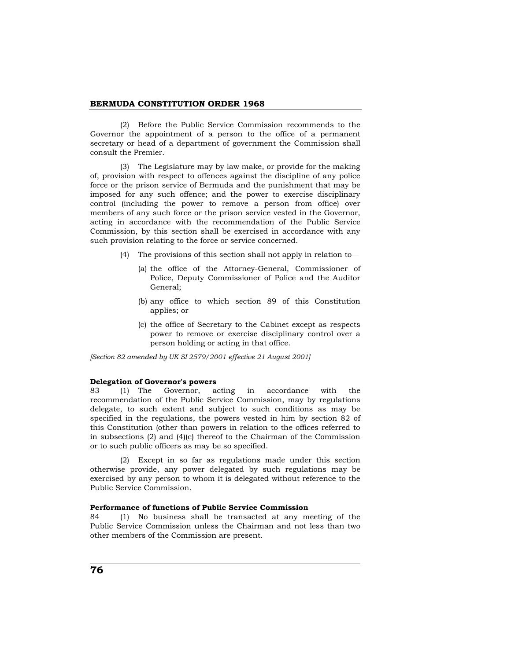(2) Before the Public Service Commission recommends to the Governor the appointment of a person to the office of a permanent secretary or head of a department of government the Commission shall consult the Premier.

(3) The Legislature may by law make, or provide for the making of, provision with respect to offences against the discipline of any police force or the prison service of Bermuda and the punishment that may be imposed for any such offence; and the power to exercise disciplinary control (including the power to remove a person from office) over members of any such force or the prison service vested in the Governor, acting in accordance with the recommendation of the Public Service Commission, by this section shall be exercised in accordance with any such provision relating to the force or service concerned.

- (4) The provisions of this section shall not apply in relation to—
	- (a) the office of the Attorney-General, Commissioner of Police, Deputy Commissioner of Police and the Auditor General;
	- (b) any office to which section 89 of this Constitution applies; or
	- (c) the office of Secretary to the Cabinet except as respects power to remove or exercise disciplinary control over a person holding or acting in that office.

*[Section 82 amended by UK SI 2579/2001 effective 21 August 2001]* 

### **Delegation of Governor's powers**

83 (1) The Governor, acting in accordance with the recommendation of the Public Service Commission, may by regulations delegate, to such extent and subject to such conditions as may be specified in the regulations, the powers vested in him by section 82 of this Constitution (other than powers in relation to the offices referred to in subsections (2) and (4)(c) thereof to the Chairman of the Commission or to such public officers as may be so specified.

(2) Except in so far as regulations made under this section otherwise provide, any power delegated by such regulations may be exercised by any person to whom it is delegated without reference to the Public Service Commission.

#### **Performance of functions of Public Service Commission**

84 (1) No business shall be transacted at any meeting of the Public Service Commission unless the Chairman and not less than two other members of the Commission are present.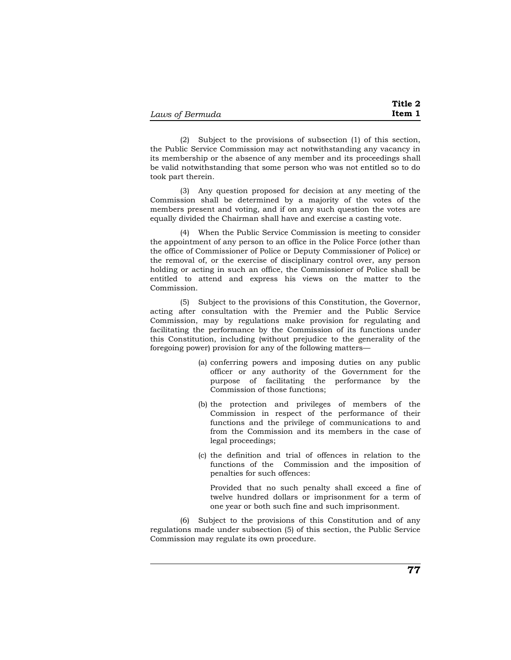(2) Subject to the provisions of subsection (1) of this section, the Public Service Commission may act notwithstanding any vacancy in its membership or the absence of any member and its proceedings shall be valid notwithstanding that some person who was not entitled so to do took part therein.

(3) Any question proposed for decision at any meeting of the Commission shall be determined by a majority of the votes of the members present and voting, and if on any such question the votes are equally divided the Chairman shall have and exercise a casting vote.

(4) When the Public Service Commission is meeting to consider the appointment of any person to an office in the Police Force (other than the office of Commissioner of Police or Deputy Commissioner of Police) or the removal of, or the exercise of disciplinary control over, any person holding or acting in such an office, the Commissioner of Police shall be entitled to attend and express his views on the matter to the Commission.

(5) Subject to the provisions of this Constitution, the Governor, acting after consultation with the Premier and the Public Service Commission, may by regulations make provision for regulating and facilitating the performance by the Commission of its functions under this Constitution, including (without prejudice to the generality of the foregoing power) provision for any of the following matters—

- (a) conferring powers and imposing duties on any public officer or any authority of the Government for the purpose of facilitating the performance by the Commission of those functions;
- (b) the protection and privileges of members of the Commission in respect of the performance of their functions and the privilege of communications to and from the Commission and its members in the case of legal proceedings;
- (c) the definition and trial of offences in relation to the functions of the Commission and the imposition of penalties for such offences:

 Provided that no such penalty shall exceed a fine of twelve hundred dollars or imprisonment for a term of one year or both such fine and such imprisonment.

(6) Subject to the provisions of this Constitution and of any regulations made under subsection (5) of this section, the Public Service Commission may regulate its own procedure.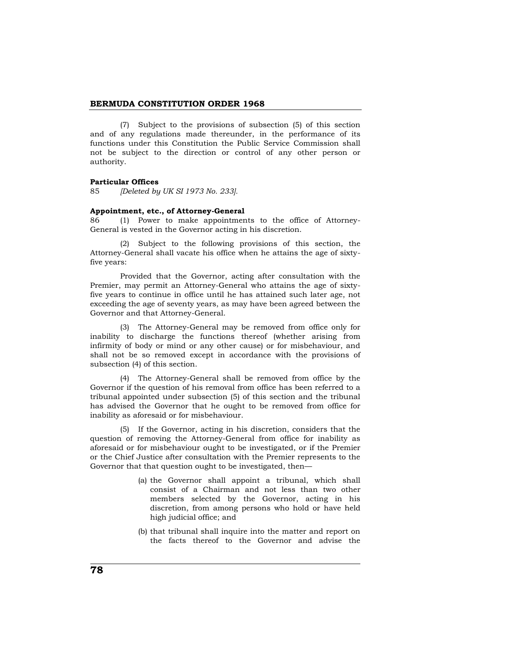(7) Subject to the provisions of subsection (5) of this section and of any regulations made thereunder, in the performance of its functions under this Constitution the Public Service Commission shall not be subject to the direction or control of any other person or authority.

#### **Particular Offices**

85 *[Deleted by UK SI 1973 No. 233].* 

### **Appointment, etc., of Attorney-General**

86 (1) Power to make appointments to the office of Attorney-General is vested in the Governor acting in his discretion.

(2) Subject to the following provisions of this section, the Attorney-General shall vacate his office when he attains the age of sixtyfive years:

Provided that the Governor, acting after consultation with the Premier, may permit an Attorney-General who attains the age of sixtyfive years to continue in office until he has attained such later age, not exceeding the age of seventy years, as may have been agreed between the Governor and that Attorney-General.

(3) The Attorney-General may be removed from office only for inability to discharge the functions thereof (whether arising from infirmity of body or mind or any other cause) or for misbehaviour, and shall not be so removed except in accordance with the provisions of subsection (4) of this section.

(4) The Attorney-General shall be removed from office by the Governor if the question of his removal from office has been referred to a tribunal appointed under subsection (5) of this section and the tribunal has advised the Governor that he ought to be removed from office for inability as aforesaid or for misbehaviour.

(5) If the Governor, acting in his discretion, considers that the question of removing the Attorney-General from office for inability as aforesaid or for misbehaviour ought to be investigated, or if the Premier or the Chief Justice after consultation with the Premier represents to the Governor that that question ought to be investigated, then—

- (a) the Governor shall appoint a tribunal, which shall consist of a Chairman and not less than two other members selected by the Governor, acting in his discretion, from among persons who hold or have held high judicial office; and
- (b) that tribunal shall inquire into the matter and report on the facts thereof to the Governor and advise the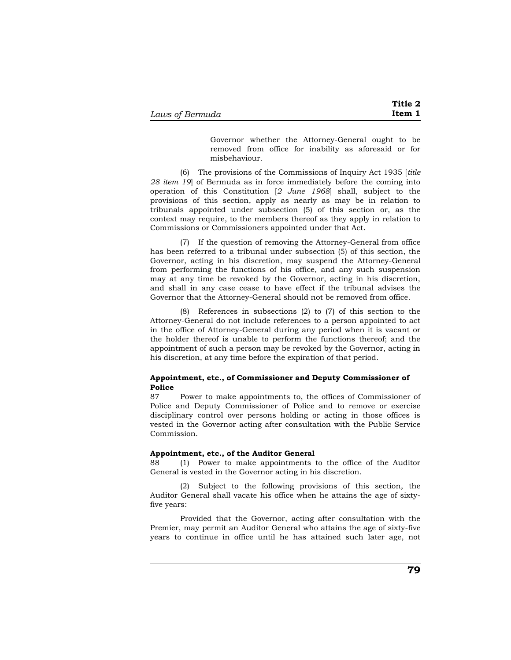Governor whether the Attorney-General ought to be removed from office for inability as aforesaid or for misbehaviour.

(6) The provisions of the Commissions of Inquiry Act 1935 [*title 28 item 19*] of Bermuda as in force immediately before the coming into operation of this Constitution [*2 June 1968*] shall, subject to the provisions of this section, apply as nearly as may be in relation to tribunals appointed under subsection (5) of this section or, as the context may require, to the members thereof as they apply in relation to Commissions or Commissioners appointed under that Act.

(7) If the question of removing the Attorney-General from office has been referred to a tribunal under subsection (5) of this section, the Governor, acting in his discretion, may suspend the Attorney-General from performing the functions of his office, and any such suspension may at any time be revoked by the Governor, acting in his discretion, and shall in any case cease to have effect if the tribunal advises the Governor that the Attorney-General should not be removed from office.

(8) References in subsections (2) to (7) of this section to the Attorney-General do not include references to a person appointed to act in the office of Attorney-General during any period when it is vacant or the holder thereof is unable to perform the functions thereof; and the appointment of such a person may be revoked by the Governor, acting in his discretion, at any time before the expiration of that period.

## **Appointment, etc., of Commissioner and Deputy Commissioner of Police**

87 Power to make appointments to, the offices of Commissioner of Police and Deputy Commissioner of Police and to remove or exercise disciplinary control over persons holding or acting in those offices is vested in the Governor acting after consultation with the Public Service Commission.

### **Appointment, etc., of the Auditor General**

88 (1) Power to make appointments to the office of the Auditor General is vested in the Governor acting in his discretion.

(2) Subject to the following provisions of this section, the Auditor General shall vacate his office when he attains the age of sixtyfive years:

Provided that the Governor, acting after consultation with the Premier, may permit an Auditor General who attains the age of sixty-five years to continue in office until he has attained such later age, not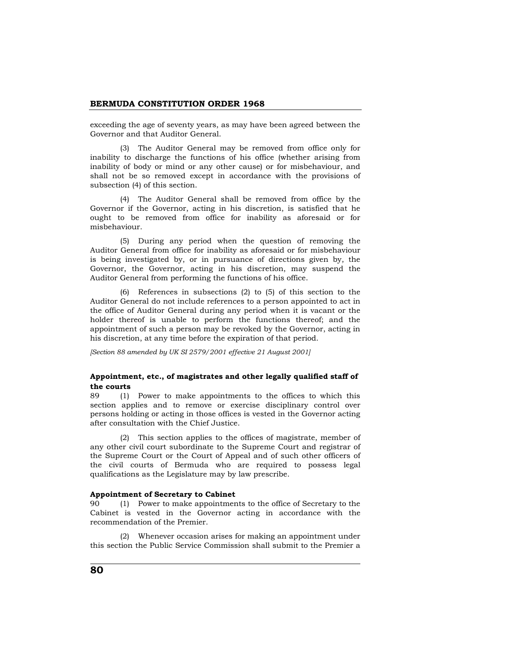exceeding the age of seventy years, as may have been agreed between the Governor and that Auditor General.

(3) The Auditor General may be removed from office only for inability to discharge the functions of his office (whether arising from inability of body or mind or any other cause) or for misbehaviour, and shall not be so removed except in accordance with the provisions of subsection (4) of this section.

(4) The Auditor General shall be removed from office by the Governor if the Governor, acting in his discretion, is satisfied that he ought to be removed from office for inability as aforesaid or for misbehaviour.

(5) During any period when the question of removing the Auditor General from office for inability as aforesaid or for misbehaviour is being investigated by, or in pursuance of directions given by, the Governor, the Governor, acting in his discretion, may suspend the Auditor General from performing the functions of his office.

(6) References in subsections (2) to (5) of this section to the Auditor General do not include references to a person appointed to act in the office of Auditor General during any period when it is vacant or the holder thereof is unable to perform the functions thereof; and the appointment of such a person may be revoked by the Governor, acting in his discretion, at any time before the expiration of that period.

*[Section 88 amended by UK SI 2579/2001 effective 21 August 2001]* 

### **Appointment, etc., of magistrates and other legally qualified staff of the courts**

89 (1) Power to make appointments to the offices to which this section applies and to remove or exercise disciplinary control over persons holding or acting in those offices is vested in the Governor acting after consultation with the Chief Justice.

(2) This section applies to the offices of magistrate, member of any other civil court subordinate to the Supreme Court and registrar of the Supreme Court or the Court of Appeal and of such other officers of the civil courts of Bermuda who are required to possess legal qualifications as the Legislature may by law prescribe.

### **Appointment of Secretary to Cabinet**

90 (1) Power to make appointments to the office of Secretary to the Cabinet is vested in the Governor acting in accordance with the recommendation of the Premier.

(2) Whenever occasion arises for making an appointment under this section the Public Service Commission shall submit to the Premier a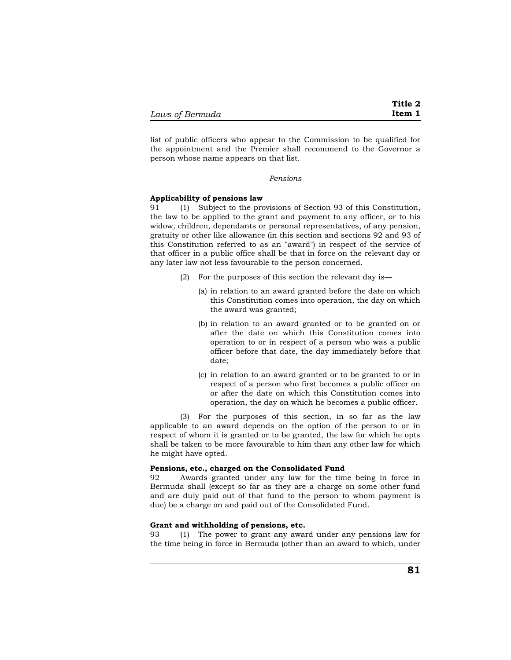list of public officers who appear to the Commission to be qualified for the appointment and the Premier shall recommend to the Governor a person whose name appears on that list.

### *Pensions*

### **Applicability of pensions law**

91 (1) Subject to the provisions of Section 93 of this Constitution, the law to be applied to the grant and payment to any officer, or to his widow, children, dependants or personal representatives, of any pension, gratuity or other like allowance (in this section and sections 92 and 93 of this Constitution referred to as an "award") in respect of the service of that officer in a public office shall be that in force on the relevant day or any later law not less favourable to the person concerned.

- (2) For the purposes of this section the relevant day is—
	- (a) in relation to an award granted before the date on which this Constitution comes into operation, the day on which the award was granted;
	- (b) in relation to an award granted or to be granted on or after the date on which this Constitution comes into operation to or in respect of a person who was a public officer before that date, the day immediately before that date;
	- (c) in relation to an award granted or to be granted to or in respect of a person who first becomes a public officer on or after the date on which this Constitution comes into operation, the day on which he becomes a public officer.

(3) For the purposes of this section, in so far as the law applicable to an award depends on the option of the person to or in respect of whom it is granted or to be granted, the law for which he opts shall be taken to be more favourable to him than any other law for which he might have opted.

### **Pensions, etc., charged on the Consolidated Fund**

92 Awards granted under any law for the time being in force in Bermuda shall (except so far as they are a charge on some other fund and are duly paid out of that fund to the person to whom payment is due) be a charge on and paid out of the Consolidated Fund.

#### **Grant and withholding of pensions, etc.**

93 (1) The power to grant any award under any pensions law for the time being in force in Bermuda (other than an award to which, under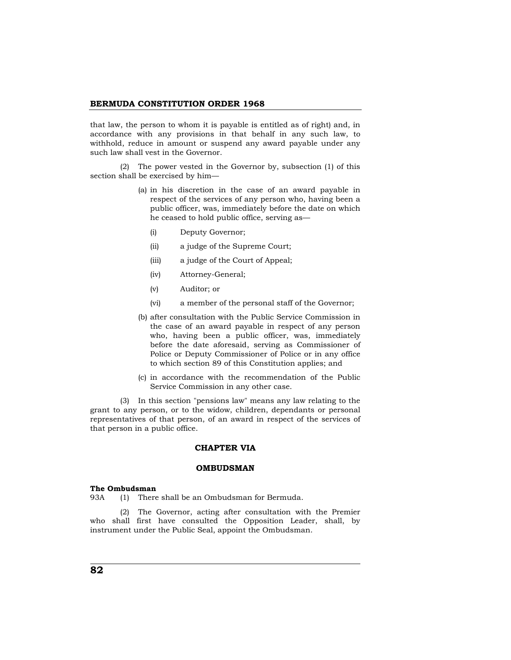that law, the person to whom it is payable is entitled as of right) and, in accordance with any provisions in that behalf in any such law, to withhold, reduce in amount or suspend any award payable under any such law shall vest in the Governor.

(2) The power vested in the Governor by, subsection (1) of this section shall be exercised by him—

- (a) in his discretion in the case of an award payable in respect of the services of any person who, having been a public officer, was, immediately before the date on which he ceased to hold public office, serving as—
	- (i) Deputy Governor;
	- (ii) a judge of the Supreme Court;
	- (iii) a judge of the Court of Appeal;
	- (iv) Attorney-General;
	- (v) Auditor; or
	- (vi) a member of the personal staff of the Governor;
- (b) after consultation with the Public Service Commission in the case of an award payable in respect of any person who, having been a public officer, was, immediately before the date aforesaid, serving as Commissioner of Police or Deputy Commissioner of Police or in any office to which section 89 of this Constitution applies; and
- (c) in accordance with the recommendation of the Public Service Commission in any other case.

(3) In this section "pensions law" means any law relating to the grant to any person, or to the widow, children, dependants or personal representatives of that person, of an award in respect of the services of that person in a public office.

### **CHAPTER VIA**

### **OMBUDSMAN**

#### **The Ombudsman**

93A (1) There shall be an Ombudsman for Bermuda.

(2) The Governor, acting after consultation with the Premier who shall first have consulted the Opposition Leader, shall, by instrument under the Public Seal, appoint the Ombudsman.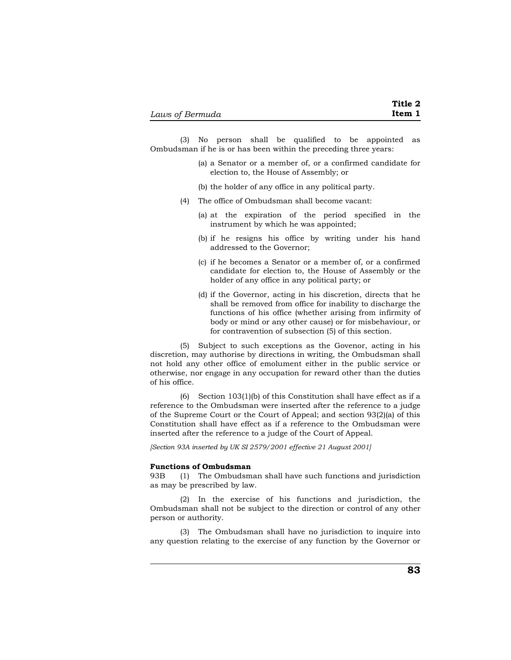(3) No person shall be qualified to be appointed as Ombudsman if he is or has been within the preceding three years:

- (a) a Senator or a member of, or a confirmed candidate for election to, the House of Assembly; or
- (b) the holder of any office in any political party.
- (4) The office of Ombudsman shall become vacant:
	- (a) at the expiration of the period specified in the instrument by which he was appointed;
	- (b) if he resigns his office by writing under his hand addressed to the Governor;
	- (c) if he becomes a Senator or a member of, or a confirmed candidate for election to, the House of Assembly or the holder of any office in any political party; or
	- (d) if the Governor, acting in his discretion, directs that he shall be removed from office for inability to discharge the functions of his office (whether arising from infirmity of body or mind or any other cause) or for misbehaviour, or for contravention of subsection (5) of this section.

(5) Subject to such exceptions as the Govenor, acting in his discretion, may authorise by directions in writing, the Ombudsman shall not hold any other office of emolument either in the public service or otherwise, nor engage in any occupation for reward other than the duties of his office.

(6) Section 103(1)(b) of this Constitution shall have effect as if a reference to the Ombudsman were inserted after the reference to a judge of the Supreme Court or the Court of Appeal; and section 93(2)(a) of this Constitution shall have effect as if a reference to the Ombudsman were inserted after the reference to a judge of the Court of Appeal.

*[Section 93A inserted by UK SI 2579/2001 effective 21 August 2001]* 

### **Functions of Ombudsman**

93B (1) The Ombudsman shall have such functions and jurisdiction as may be prescribed by law.

 (2) In the exercise of his functions and jurisdiction, the Ombudsman shall not be subject to the direction or control of any other person or authority.

 (3) The Ombudsman shall have no jurisdiction to inquire into any question relating to the exercise of any function by the Governor or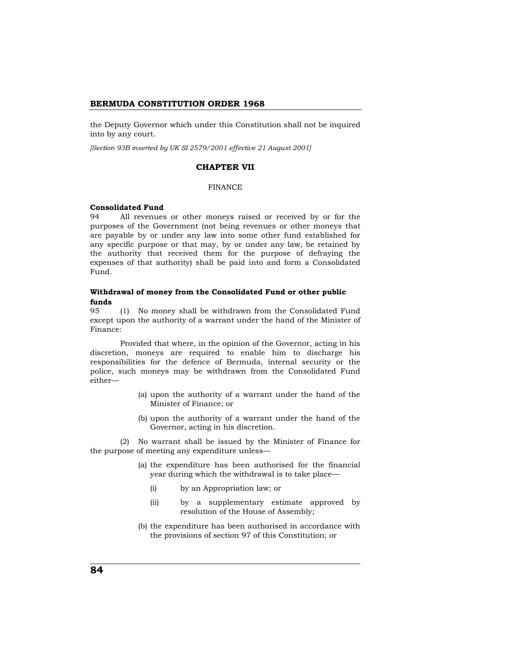the Deputy Governor which under this Constitution shall not be inquired into by any court.

*[Section 93B inserted by UK SI 2579/2001 effective 21 August 2001]* 

### **CHAPTER VII**

# FINANCE

# **Consolidated Fund**

94 All revenues or other moneys raised or received by or for the purposes of the Government (not being revenues or other moneys that are payable by or under any law into some other fund established for any specific purpose or that may, by or under any law, be retained by the authority that received them for the purpose of defraying the expenses of that authority) shall be paid into and form a Consolidated Fund.

### **Withdrawal of money from the Consolidated Fund or other public funds**

95 (1) No money shall be withdrawn from the Consolidated Fund except upon the authority of a warrant under the hand of the Minister of Finance:

Provided that where, in the opinion of the Governor, acting in his discretion, moneys are required to enable him to discharge his responsibilities for the defence of Bermuda, internal security or the police, such moneys may be withdrawn from the Consolidated Fund either—

- (a) upon the authority of a warrant under the hand of the Minister of Finance; or
- (b) upon the authority of a warrant under the hand of the Governor, acting in his discretion.

(2) No warrant shall be issued by the Minister of Finance for the purpose of meeting any expenditure unless—

- (a) the expenditure has been authorised for the financial year during which the withdrawal is to take place—
	- (i) by an Appropriation law; or
	- (ii) by a supplementary estimate approved by resolution of the House of Assembly;
- (b) the expenditure has been authorised in accordance with the provisions of section 97 of this Constitution; or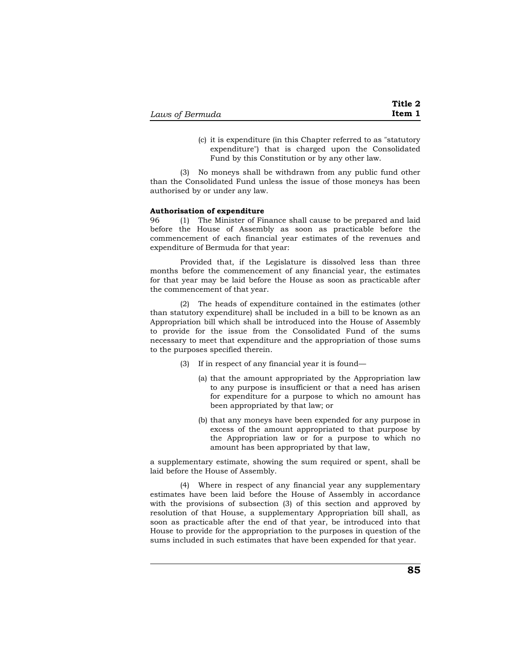(c) it is expenditure (in this Chapter referred to as "statutory expenditure") that is charged upon the Consolidated Fund by this Constitution or by any other law.

(3) No moneys shall be withdrawn from any public fund other than the Consolidated Fund unless the issue of those moneys has been authorised by or under any law.

#### **Authorisation of expenditure**

96 (1) The Minister of Finance shall cause to be prepared and laid before the House of Assembly as soon as practicable before the commencement of each financial year estimates of the revenues and expenditure of Bermuda for that year:

Provided that, if the Legislature is dissolved less than three months before the commencement of any financial year, the estimates for that year may be laid before the House as soon as practicable after the commencement of that year.

(2) The heads of expenditure contained in the estimates (other than statutory expenditure) shall be included in a bill to be known as an Appropriation bill which shall be introduced into the House of Assembly to provide for the issue from the Consolidated Fund of the sums necessary to meet that expenditure and the appropriation of those sums to the purposes specified therein.

- (3) If in respect of any financial year it is found—
	- (a) that the amount appropriated by the Appropriation law to any purpose is insufficient or that a need has arisen for expenditure for a purpose to which no amount has been appropriated by that law; or
	- (b) that any moneys have been expended for any purpose in excess of the amount appropriated to that purpose by the Appropriation law or for a purpose to which no amount has been appropriated by that law,

a supplementary estimate, showing the sum required or spent, shall be laid before the House of Assembly.

(4) Where in respect of any financial year any supplementary estimates have been laid before the House of Assembly in accordance with the provisions of subsection (3) of this section and approved by resolution of that House, a supplementary Appropriation bill shall, as soon as practicable after the end of that year, be introduced into that House to provide for the appropriation to the purposes in question of the sums included in such estimates that have been expended for that year.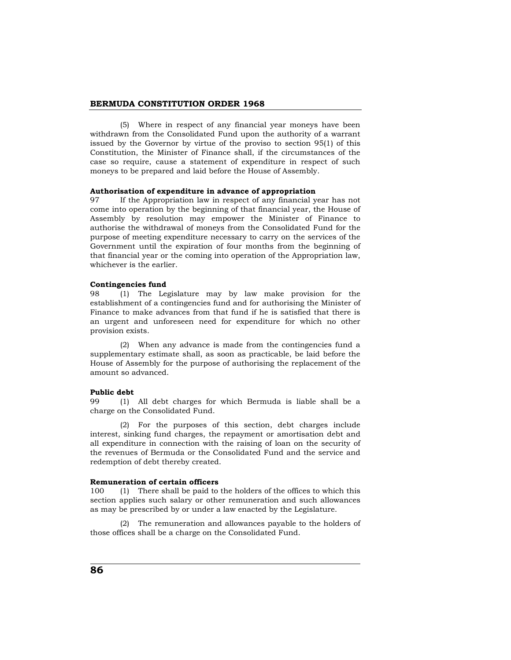(5) Where in respect of any financial year moneys have been withdrawn from the Consolidated Fund upon the authority of a warrant issued by the Governor by virtue of the proviso to section 95(1) of this Constitution, the Minister of Finance shall, if the circumstances of the case so require, cause a statement of expenditure in respect of such moneys to be prepared and laid before the House of Assembly.

#### **Authorisation of expenditure in advance of appropriation**

97 If the Appropriation law in respect of any financial year has not come into operation by the beginning of that financial year, the House of Assembly by resolution may empower the Minister of Finance to authorise the withdrawal of moneys from the Consolidated Fund for the purpose of meeting expenditure necessary to carry on the services of the Government until the expiration of four months from the beginning of that financial year or the coming into operation of the Appropriation law, whichever is the earlier.

### **Contingencies fund**

98 (1) The Legislature may by law make provision for the establishment of a contingencies fund and for authorising the Minister of Finance to make advances from that fund if he is satisfied that there is an urgent and unforeseen need for expenditure for which no other provision exists.

(2) When any advance is made from the contingencies fund a supplementary estimate shall, as soon as practicable, be laid before the House of Assembly for the purpose of authorising the replacement of the amount so advanced.

#### **Public debt**

99 (1) All debt charges for which Bermuda is liable shall be a charge on the Consolidated Fund.

(2) For the purposes of this section, debt charges include interest, sinking fund charges, the repayment or amortisation debt and all expenditure in connection with the raising of loan on the security of the revenues of Bermuda or the Consolidated Fund and the service and redemption of debt thereby created.

### **Remuneration of certain officers**

100 (1) There shall be paid to the holders of the offices to which this section applies such salary or other remuneration and such allowances as may be prescribed by or under a law enacted by the Legislature.

(2) The remuneration and allowances payable to the holders of those offices shall be a charge on the Consolidated Fund.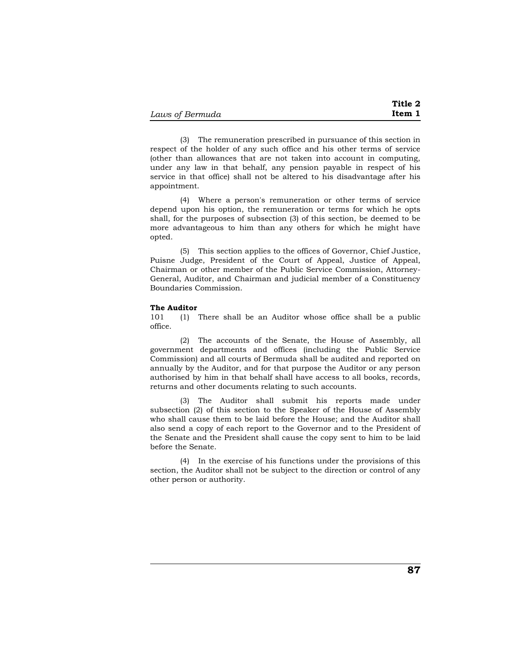(3) The remuneration prescribed in pursuance of this section in respect of the holder of any such office and his other terms of service (other than allowances that are not taken into account in computing, under any law in that behalf, any pension payable in respect of his service in that office) shall not be altered to his disadvantage after his appointment.

(4) Where a person's remuneration or other terms of service depend upon his option, the remuneration or terms for which he opts shall, for the purposes of subsection (3) of this section, be deemed to be more advantageous to him than any others for which he might have opted.

(5) This section applies to the offices of Governor, Chief Justice, Puisne Judge, President of the Court of Appeal, Justice of Appeal, Chairman or other member of the Public Service Commission, Attorney-General, Auditor, and Chairman and judicial member of a Constituency Boundaries Commission.

#### **The Auditor**

101 (1) There shall be an Auditor whose office shall be a public office.

(2) The accounts of the Senate, the House of Assembly, all government departments and offices (including the Public Service Commission) and all courts of Bermuda shall be audited and reported on annually by the Auditor, and for that purpose the Auditor or any person authorised by him in that behalf shall have access to all books, records, returns and other documents relating to such accounts.

(3) The Auditor shall submit his reports made under subsection (2) of this section to the Speaker of the House of Assembly who shall cause them to be laid before the House; and the Auditor shall also send a copy of each report to the Governor and to the President of the Senate and the President shall cause the copy sent to him to be laid before the Senate.

(4) In the exercise of his functions under the provisions of this section, the Auditor shall not be subject to the direction or control of any other person or authority.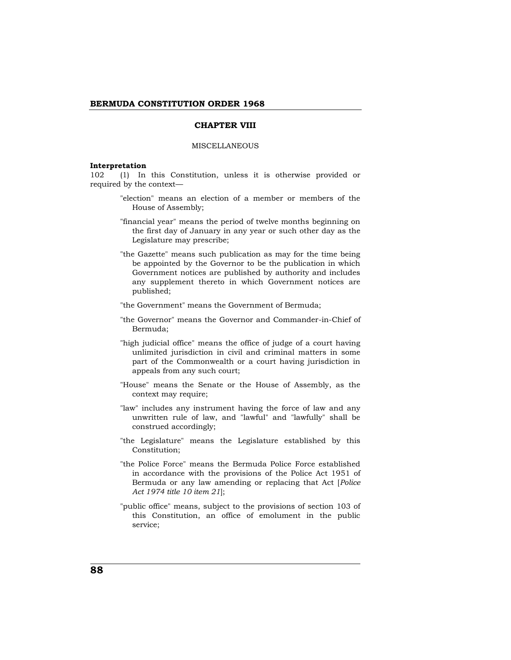### **CHAPTER VIII**

#### MISCELLANEOUS

### **Interpretation**

102 (1) In this Constitution, unless it is otherwise provided or required by the context—

- "election" means an election of a member or members of the House of Assembly;
- "financial year" means the period of twelve months beginning on the first day of January in any year or such other day as the Legislature may prescribe;
- "the Gazette" means such publication as may for the time being be appointed by the Governor to be the publication in which Government notices are published by authority and includes any supplement thereto in which Government notices are published;
- "the Government" means the Government of Bermuda;
- "the Governor" means the Governor and Commander-in-Chief of Bermuda;
- "high judicial office" means the office of judge of a court having unlimited jurisdiction in civil and criminal matters in some part of the Commonwealth or a court having jurisdiction in appeals from any such court;
- "House" means the Senate or the House of Assembly, as the context may require;
- "law" includes any instrument having the force of law and any unwritten rule of law, and "lawful" and "lawfully" shall be construed accordingly;
- "the Legislature" means the Legislature established by this Constitution;
- "the Police Force" means the Bermuda Police Force established in accordance with the provisions of the Police Act 1951 of Bermuda or any law amending or replacing that Act [*Police Act 1974 title 10 item 21*];
- "public office" means, subject to the provisions of section 103 of this Constitution, an office of emolument in the public service;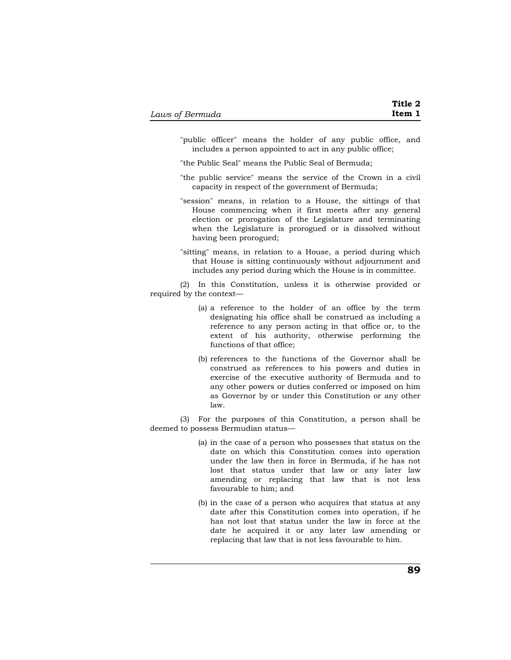"public officer" means the holder of any public office, and includes a person appointed to act in any public office;

"the Public Seal" means the Public Seal of Bermuda;

- "the public service" means the service of the Crown in a civil capacity in respect of the government of Bermuda;
- "session" means, in relation to a House, the sittings of that House commencing when it first meets after any general election or prorogation of the Legislature and terminating when the Legislature is prorogued or is dissolved without having been prorogued;
- "sitting" means, in relation to a House, a period during which that House is sitting continuously without adjournment and includes any period during which the House is in committee.

(2) In this Constitution, unless it is otherwise provided or required by the context—

- (a) a reference to the holder of an office by the term designating his office shall be construed as including a reference to any person acting in that office or, to the extent of his authority, otherwise performing the functions of that office;
- (b) references to the functions of the Governor shall be construed as references to his powers and duties in exercise of the executive authority of Bermuda and to any other powers or duties conferred or imposed on him as Governor by or under this Constitution or any other law.

(3) For the purposes of this Constitution, a person shall be deemed to possess Bermudian status—

- (a) in the case of a person who possesses that status on the date on which this Constitution comes into operation under the law then in force in Bermuda, if he has not lost that status under that law or any later law amending or replacing that law that is not less favourable to him; and
- (b) in the case of a person who acquires that status at any date after this Constitution comes into operation, if he has not lost that status under the law in force at the date he acquired it or any later law amending or replacing that law that is not less favourable to him.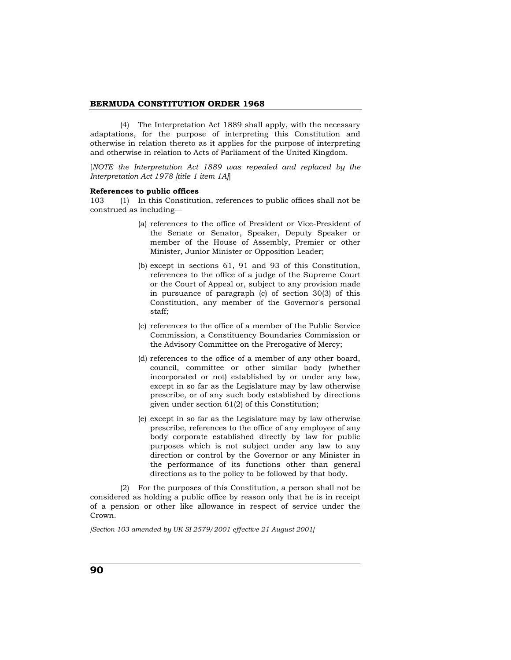(4) The Interpretation Act 1889 shall apply, with the necessary adaptations, for the purpose of interpreting this Constitution and otherwise in relation thereto as it applies for the purpose of interpreting and otherwise in relation to Acts of Parliament of the United Kingdom.

[*NOTE the Interpretation Act 1889 was repealed and replaced by the Interpretation Act 1978 [title 1 item 1A]*]

#### **References to public offices**

103 (1) In this Constitution, references to public offices shall not be construed as including—

- (a) references to the office of President or Vice-President of the Senate or Senator, Speaker, Deputy Speaker or member of the House of Assembly, Premier or other Minister, Junior Minister or Opposition Leader;
- (b) except in sections 61, 91 and 93 of this Constitution, references to the office of a judge of the Supreme Court or the Court of Appeal or, subject to any provision made in pursuance of paragraph (c) of section 30(3) of this Constitution, any member of the Governor's personal staff;
- (c) references to the office of a member of the Public Service Commission, a Constituency Boundaries Commission or the Advisory Committee on the Prerogative of Mercy;
- (d) references to the office of a member of any other board, council, committee or other similar body (whether incorporated or not) established by or under any law, except in so far as the Legislature may by law otherwise prescribe, or of any such body established by directions given under section 61(2) of this Constitution;
- (e) except in so far as the Legislature may by law otherwise prescribe, references to the office of any employee of any body corporate established directly by law for public purposes which is not subject under any law to any direction or control by the Governor or any Minister in the performance of its functions other than general directions as to the policy to be followed by that body.

(2) For the purposes of this Constitution, a person shall not be considered as holding a public office by reason only that he is in receipt of a pension or other like allowance in respect of service under the Crown.

*[Section 103 amended by UK SI 2579/2001 effective 21 August 2001]*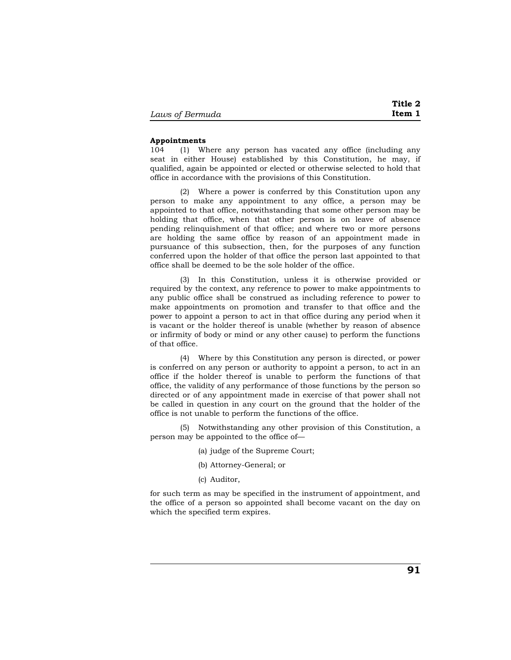#### **Appointments**

104 (1) Where any person has vacated any office (including any seat in either House) established by this Constitution, he may, if qualified, again be appointed or elected or otherwise selected to hold that office in accordance with the provisions of this Constitution.

(2) Where a power is conferred by this Constitution upon any person to make any appointment to any office, a person may be appointed to that office, notwithstanding that some other person may be holding that office, when that other person is on leave of absence pending relinquishment of that office; and where two or more persons are holding the same office by reason of an appointment made in pursuance of this subsection, then, for the purposes of any function conferred upon the holder of that office the person last appointed to that office shall be deemed to be the sole holder of the office.

(3) In this Constitution, unless it is otherwise provided or required by the context, any reference to power to make appointments to any public office shall be construed as including reference to power to make appointments on promotion and transfer to that office and the power to appoint a person to act in that office during any period when it is vacant or the holder thereof is unable (whether by reason of absence or infirmity of body or mind or any other cause) to perform the functions of that office.

(4) Where by this Constitution any person is directed, or power is conferred on any person or authority to appoint a person, to act in an office if the holder thereof is unable to perform the functions of that office, the validity of any performance of those functions by the person so directed or of any appointment made in exercise of that power shall not be called in question in any court on the ground that the holder of the office is not unable to perform the functions of the office.

(5) Notwithstanding any other provision of this Constitution, a person may be appointed to the office of—

- (a) judge of the Supreme Court;
- (b) Attorney-General; or
- (c) Auditor,

for such term as may be specified in the instrument of appointment, and the office of a person so appointed shall become vacant on the day on which the specified term expires.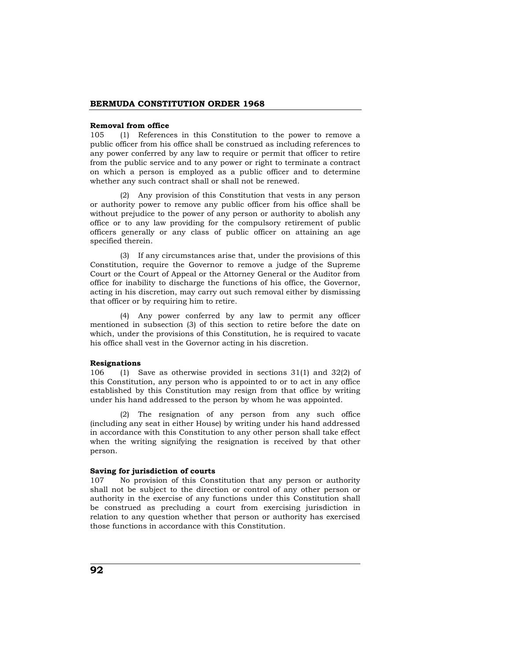#### **Removal from office**

105 (1) References in this Constitution to the power to remove a public officer from his office shall be construed as including references to any power conferred by any law to require or permit that officer to retire from the public service and to any power or right to terminate a contract on which a person is employed as a public officer and to determine whether any such contract shall or shall not be renewed.

(2) Any provision of this Constitution that vests in any person or authority power to remove any public officer from his office shall be without prejudice to the power of any person or authority to abolish any office or to any law providing for the compulsory retirement of public officers generally or any class of public officer on attaining an age specified therein.

(3) If any circumstances arise that, under the provisions of this Constitution, require the Governor to remove a judge of the Supreme Court or the Court of Appeal or the Attorney General or the Auditor from office for inability to discharge the functions of his office, the Governor, acting in his discretion, may carry out such removal either by dismissing that officer or by requiring him to retire.

(4) Any power conferred by any law to permit any officer mentioned in subsection (3) of this section to retire before the date on which, under the provisions of this Constitution, he is required to vacate his office shall vest in the Governor acting in his discretion.

### **Resignations**

106 (1) Save as otherwise provided in sections 31(1) and 32(2) of this Constitution, any person who is appointed to or to act in any office established by this Constitution may resign from that office by writing under his hand addressed to the person by whom he was appointed.

(2) The resignation of any person from any such office (including any seat in either House) by writing under his hand addressed in accordance with this Constitution to any other person shall take effect when the writing signifying the resignation is received by that other person.

#### **Saving for jurisdiction of courts**

107 No provision of this Constitution that any person or authority shall not be subject to the direction or control of any other person or authority in the exercise of any functions under this Constitution shall be construed as precluding a court from exercising jurisdiction in relation to any question whether that person or authority has exercised those functions in accordance with this Constitution.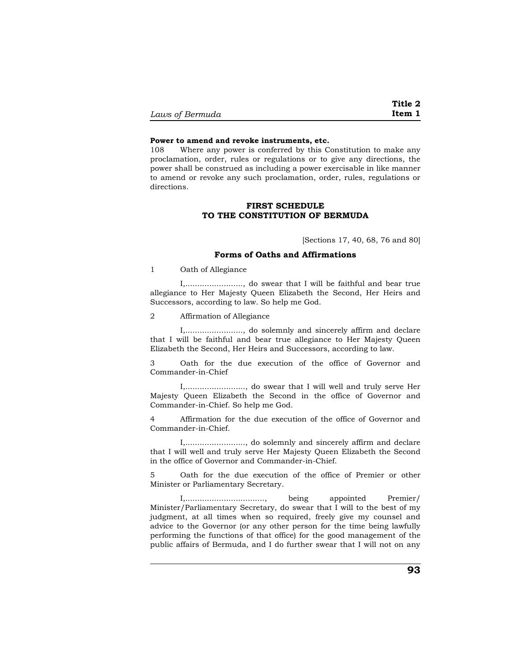#### **Power to amend and revoke instruments, etc.**

108 Where any power is conferred by this Constitution to make any proclamation, order, rules or regulations or to give any directions, the power shall be construed as including a power exercisable in like manner to amend or revoke any such proclamation, order, rules, regulations or directions.

# **FIRST SCHEDULE TO THE CONSTITUTION OF BERMUDA**

[Sections 17, 40, 68, 76 and 80]

### **Forms of Oaths and Affirmations**

1 Oath of Allegiance

I,........................, do swear that I will be faithful and bear true allegiance to Her Majesty Queen Elizabeth the Second, Her Heirs and Successors, according to law. So help me God.

# 2 Affirmation of Allegiance

I,........................, do solemnly and sincerely affirm and declare that I will be faithful and bear true allegiance to Her Majesty Queen Elizabeth the Second, Her Heirs and Successors, according to law.

3 Oath for the due execution of the office of Governor and Commander-in-Chief

I,........................., do swear that I will well and truly serve Her Majesty Queen Elizabeth the Second in the office of Governor and Commander-in-Chief. So help me God.

4 Affirmation for the due execution of the office of Governor and Commander-in-Chief.

I,........................., do solemnly and sincerely affirm and declare that I will well and truly serve Her Majesty Queen Elizabeth the Second in the office of Governor and Commander-in-Chief.

5 Oath for the due execution of the office of Premier or other Minister or Parliamentary Secretary.

I,................................., being appointed Premier/ Minister/Parliamentary Secretary, do swear that I will to the best of my judgment, at all times when so required, freely give my counsel and advice to the Governor (or any other person for the time being lawfully performing the functions of that office) for the good management of the public affairs of Bermuda, and I do further swear that I will not on any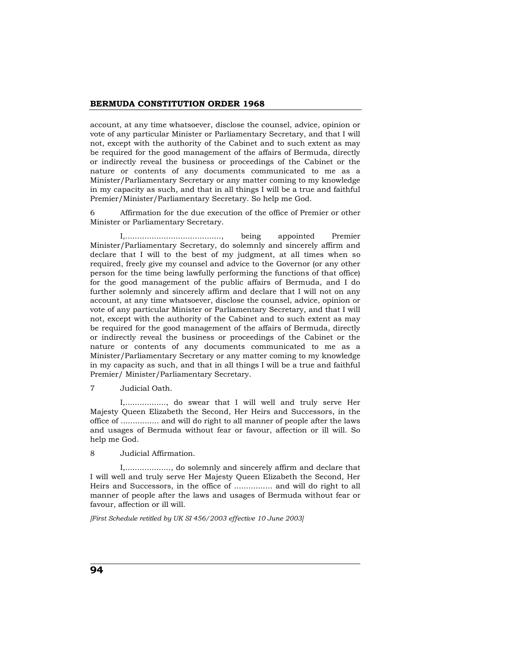account, at any time whatsoever, disclose the counsel, advice, opinion or vote of any particular Minister or Parliamentary Secretary, and that I will not, except with the authority of the Cabinet and to such extent as may be required for the good management of the affairs of Bermuda, directly or indirectly reveal the business or proceedings of the Cabinet or the nature or contents of any documents communicated to me as a Minister/Parliamentary Secretary or any matter coming to my knowledge in my capacity as such, and that in all things I will be a true and faithful Premier/Minister/Parliamentary Secretary. So help me God.

6 Affirmation for the due execution of the office of Premier or other Minister or Parliamentary Secretary.

I,........................................, being appointed Premier Minister/Parliamentary Secretary, do solemnly and sincerely affirm and declare that I will to the best of my judgment, at all times when so required, freely give my counsel and advice to the Governor (or any other person for the time being lawfully performing the functions of that office) for the good management of the public affairs of Bermuda, and I do further solemnly and sincerely affirm and declare that I will not on any account, at any time whatsoever, disclose the counsel, advice, opinion or vote of any particular Minister or Parliamentary Secretary, and that I will not, except with the authority of the Cabinet and to such extent as may be required for the good management of the affairs of Bermuda, directly or indirectly reveal the business or proceedings of the Cabinet or the nature or contents of any documents communicated to me as a Minister/Parliamentary Secretary or any matter coming to my knowledge in my capacity as such, and that in all things I will be a true and faithful Premier/ Minister/Parliamentary Secretary.

7 Judicial Oath.

I,................., do swear that I will well and truly serve Her Majesty Queen Elizabeth the Second, Her Heirs and Successors, in the office of ................ and will do right to all manner of people after the laws and usages of Bermuda without fear or favour, affection or ill will. So help me God.

8 Judicial Affirmation.

I,..................., do solemnly and sincerely affirm and declare that I will well and truly serve Her Majesty Queen Elizabeth the Second, Her Heirs and Successors, in the office of ................ and will do right to all manner of people after the laws and usages of Bermuda without fear or favour, affection or ill will.

*[First Schedule retitled by UK SI 456/2003 effective 10 June 2003]*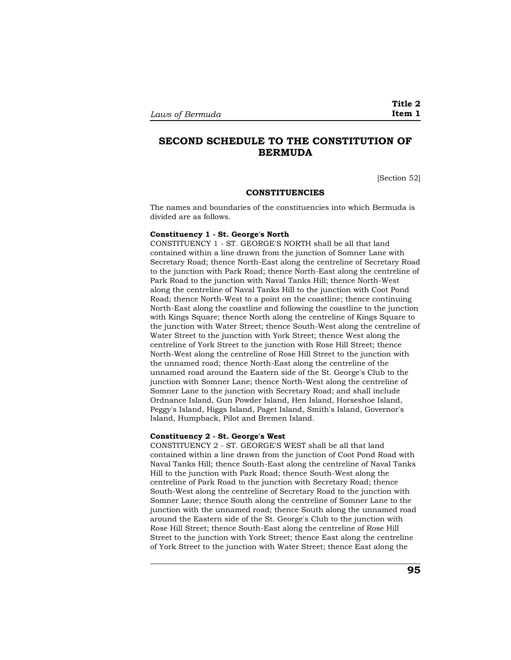# **SECOND SCHEDULE TO THE CONSTITUTION OF BERMUDA**

[Section 52]

### **CONSTITUENCIES**

The names and boundaries of the constituencies into which Bermuda is divided are as follows.

### **Constituency 1 - St. George's North**

CONSTITUENCY 1 - ST. GEORGE'S NORTH shall be all that land contained within a line drawn from the junction of Somner Lane with Secretary Road; thence North-East along the centreline of Secretary Road to the junction with Park Road; thence North-East along the centreline of Park Road to the junction with Naval Tanks Hill; thence North-West along the centreline of Naval Tanks Hill to the junction with Coot Pond Road; thence North-West to a point on the coastline; thence continuing North-East along the coastline and following the coastline to the junction with Kings Square; thence North along the centreline of Kings Square to the junction with Water Street; thence South-West along the centreline of Water Street to the junction with York Street; thence West along the centreline of York Street to the junction with Rose Hill Street; thence North-West along the centreline of Rose Hill Street to the junction with the unnamed road; thence North-East along the centreline of the unnamed road around the Eastern side of the St. George's Club to the junction with Somner Lane; thence North-West along the centreline of Somner Lane to the junction with Secretary Road; and shall include Ordnance Island, Gun Powder Island, Hen Island, Horseshoe Island, Peggy's Island, Higgs Island, Paget Island, Smith's Island, Governor's Island, Humpback, Pilot and Bremen Island.

#### **Constituency 2 - St. George's West**

CONSTITUENCY 2 - ST. GEORGE'S WEST shall be all that land contained within a line drawn from the junction of Coot Pond Road with Naval Tanks Hill; thence South-East along the centreline of Naval Tanks Hill to the junction with Park Road; thence South-West along the centreline of Park Road to the junction with Secretary Road; thence South-West along the centreline of Secretary Road to the junction with Somner Lane; thence South along the centreline of Somner Lane to the junction with the unnamed road; thence South along the unnamed road around the Eastern side of the St. George's Club to the junction with Rose Hill Street; thence South-East along the centreline of Rose Hill Street to the junction with York Street; thence East along the centreline of York Street to the junction with Water Street; thence East along the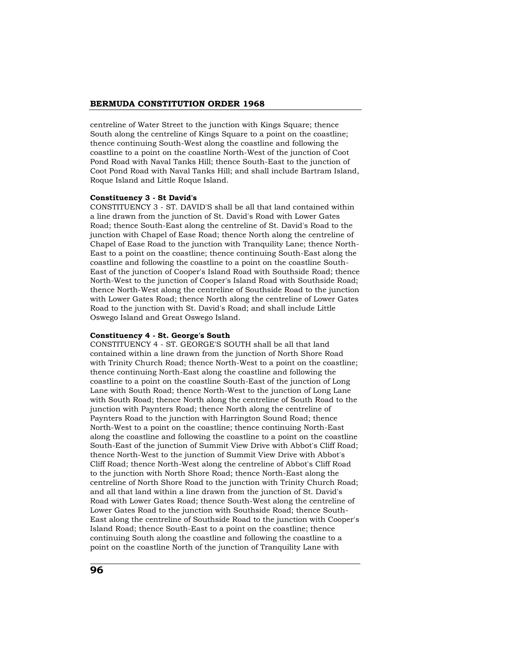centreline of Water Street to the junction with Kings Square; thence South along the centreline of Kings Square to a point on the coastline; thence continuing South-West along the coastline and following the coastline to a point on the coastline North-West of the junction of Coot Pond Road with Naval Tanks Hill; thence South-East to the junction of Coot Pond Road with Naval Tanks Hill; and shall include Bartram Island, Roque Island and Little Roque Island.

### **Constituency 3 - St David's**

CONSTITUENCY 3 - ST. DAVID'S shall be all that land contained within a line drawn from the junction of St. David's Road with Lower Gates Road; thence South-East along the centreline of St. David's Road to the junction with Chapel of Ease Road; thence North along the centreline of Chapel of Ease Road to the junction with Tranquility Lane; thence North-East to a point on the coastline; thence continuing South-East along the coastline and following the coastline to a point on the coastline South-East of the junction of Cooper's Island Road with Southside Road; thence North-West to the junction of Cooper's Island Road with Southside Road; thence North-West along the centreline of Southside Road to the junction with Lower Gates Road; thence North along the centreline of Lower Gates Road to the junction with St. David's Road; and shall include Little Oswego Island and Great Oswego Island.

#### **Constituency 4 - St. George's South**

CONSTITUENCY 4 - ST. GEORGE'S SOUTH shall be all that land contained within a line drawn from the junction of North Shore Road with Trinity Church Road; thence North-West to a point on the coastline; thence continuing North-East along the coastline and following the coastline to a point on the coastline South-East of the junction of Long Lane with South Road; thence North-West to the junction of Long Lane with South Road; thence North along the centreline of South Road to the junction with Paynters Road; thence North along the centreline of Paynters Road to the junction with Harrington Sound Road; thence North-West to a point on the coastline; thence continuing North-East along the coastline and following the coastline to a point on the coastline South-East of the junction of Summit View Drive with Abbot's Cliff Road; thence North-West to the junction of Summit View Drive with Abbot's Cliff Road; thence North-West along the centreline of Abbot's Cliff Road to the junction with North Shore Road; thence North-East along the centreline of North Shore Road to the junction with Trinity Church Road; and all that land within a line drawn from the junction of St. David's Road with Lower Gates Road; thence South-West along the centreline of Lower Gates Road to the junction with Southside Road; thence South-East along the centreline of Southside Road to the junction with Cooper's Island Road; thence South-East to a point on the coastline; thence continuing South along the coastline and following the coastline to a point on the coastline North of the junction of Tranquility Lane with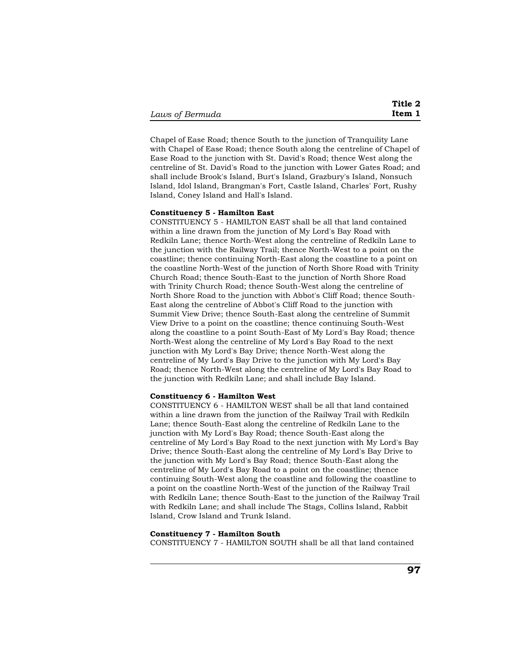| Laws of Bermuda | Item 1 |  |
|-----------------|--------|--|
|                 |        |  |

Chapel of Ease Road; thence South to the junction of Tranquility Lane with Chapel of Ease Road; thence South along the centreline of Chapel of Ease Road to the junction with St. David's Road; thence West along the centreline of St. David's Road to the junction with Lower Gates Road; and shall include Brook's Island, Burt's Island, Grazbury's Island, Nonsuch Island, Idol Island, Brangman's Fort, Castle Island, Charles' Fort, Rushy Island, Coney Island and Hall's Island.

#### **Constituency 5 - Hamilton East**

CONSTITUENCY 5 - HAMILTON EAST shall be all that land contained within a line drawn from the junction of My Lord's Bay Road with Redkiln Lane; thence North-West along the centreline of Redkiln Lane to the junction with the Railway Trail; thence North-West to a point on the coastline; thence continuing North-East along the coastline to a point on the coastline North-West of the junction of North Shore Road with Trinity Church Road; thence South-East to the junction of North Shore Road with Trinity Church Road; thence South-West along the centreline of North Shore Road to the junction with Abbot's Cliff Road; thence South-East along the centreline of Abbot's Cliff Road to the junction with Summit View Drive; thence South-East along the centreline of Summit View Drive to a point on the coastline; thence continuing South-West along the coastline to a point South-East of My Lord's Bay Road; thence North-West along the centreline of My Lord's Bay Road to the next junction with My Lord's Bay Drive; thence North-West along the centreline of My Lord's Bay Drive to the junction with My Lord's Bay Road; thence North-West along the centreline of My Lord's Bay Road to the junction with Redkiln Lane; and shall include Bay Island.

### **Constituency 6 - Hamilton West**

CONSTITUENCY 6 - HAMILTON WEST shall be all that land contained within a line drawn from the junction of the Railway Trail with Redkiln Lane; thence South-East along the centreline of Redkiln Lane to the junction with My Lord's Bay Road; thence South-East along the centreline of My Lord's Bay Road to the next junction with My Lord's Bay Drive; thence South-East along the centreline of My Lord's Bay Drive to the junction with My Lord's Bay Road; thence South-East along the centreline of My Lord's Bay Road to a point on the coastline; thence continuing South-West along the coastline and following the coastline to a point on the coastline North-West of the junction of the Railway Trail with Redkiln Lane; thence South-East to the junction of the Railway Trail with Redkiln Lane; and shall include The Stags, Collins Island, Rabbit Island, Crow Island and Trunk Island.

# **Constituency 7 - Hamilton South**

CONSTITUENCY 7 - HAMILTON SOUTH shall be all that land contained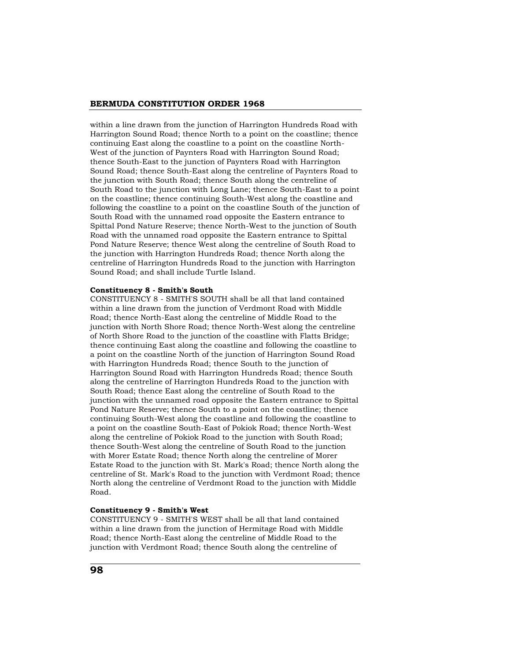within a line drawn from the junction of Harrington Hundreds Road with Harrington Sound Road; thence North to a point on the coastline; thence continuing East along the coastline to a point on the coastline North-West of the junction of Paynters Road with Harrington Sound Road; thence South-East to the junction of Paynters Road with Harrington Sound Road; thence South-East along the centreline of Paynters Road to the junction with South Road; thence South along the centreline of South Road to the junction with Long Lane; thence South-East to a point on the coastline; thence continuing South-West along the coastline and following the coastline to a point on the coastline South of the junction of South Road with the unnamed road opposite the Eastern entrance to Spittal Pond Nature Reserve; thence North-West to the junction of South Road with the unnamed road opposite the Eastern entrance to Spittal Pond Nature Reserve; thence West along the centreline of South Road to the junction with Harrington Hundreds Road; thence North along the centreline of Harrington Hundreds Road to the junction with Harrington Sound Road; and shall include Turtle Island.

### **Constituency 8 - Smith's South**

CONSTITUENCY 8 - SMITH'S SOUTH shall be all that land contained within a line drawn from the junction of Verdmont Road with Middle Road; thence North-East along the centreline of Middle Road to the junction with North Shore Road; thence North-West along the centreline of North Shore Road to the junction of the coastline with Flatts Bridge; thence continuing East along the coastline and following the coastline to a point on the coastline North of the junction of Harrington Sound Road with Harrington Hundreds Road; thence South to the junction of Harrington Sound Road with Harrington Hundreds Road; thence South along the centreline of Harrington Hundreds Road to the junction with South Road; thence East along the centreline of South Road to the junction with the unnamed road opposite the Eastern entrance to Spittal Pond Nature Reserve; thence South to a point on the coastline; thence continuing South-West along the coastline and following the coastline to a point on the coastline South-East of Pokiok Road; thence North-West along the centreline of Pokiok Road to the junction with South Road; thence South-West along the centreline of South Road to the junction with Morer Estate Road; thence North along the centreline of Morer Estate Road to the junction with St. Mark's Road; thence North along the centreline of St. Mark's Road to the junction with Verdmont Road; thence North along the centreline of Verdmont Road to the junction with Middle Road.

### **Constituency 9 - Smith's West**

CONSTITUENCY 9 - SMITH'S WEST shall be all that land contained within a line drawn from the junction of Hermitage Road with Middle Road; thence North-East along the centreline of Middle Road to the junction with Verdmont Road; thence South along the centreline of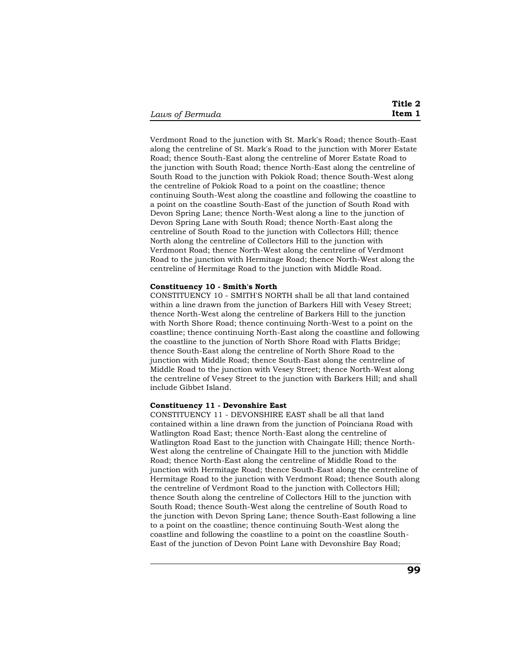| Laws of Bermuda | Item 1 |
|-----------------|--------|
|                 |        |

Verdmont Road to the junction with St. Mark's Road; thence South-East along the centreline of St. Mark's Road to the junction with Morer Estate Road; thence South-East along the centreline of Morer Estate Road to the junction with South Road; thence North-East along the centreline of South Road to the junction with Pokiok Road; thence South-West along the centreline of Pokiok Road to a point on the coastline; thence continuing South-West along the coastline and following the coastline to a point on the coastline South-East of the junction of South Road with Devon Spring Lane; thence North-West along a line to the junction of Devon Spring Lane with South Road; thence North-East along the centreline of South Road to the junction with Collectors Hill; thence North along the centreline of Collectors Hill to the junction with Verdmont Road; thence North-West along the centreline of Verdmont Road to the junction with Hermitage Road; thence North-West along the centreline of Hermitage Road to the junction with Middle Road.

### **Constituency 10 - Smith's North**

CONSTITUENCY 10 - SMITH'S NORTH shall be all that land contained within a line drawn from the junction of Barkers Hill with Vesey Street; thence North-West along the centreline of Barkers Hill to the junction with North Shore Road; thence continuing North-West to a point on the coastline; thence continuing North-East along the coastline and following the coastline to the junction of North Shore Road with Flatts Bridge; thence South-East along the centreline of North Shore Road to the junction with Middle Road; thence South-East along the centreline of Middle Road to the junction with Vesey Street; thence North-West along the centreline of Vesey Street to the junction with Barkers Hill; and shall include Gibbet Island.

### **Constituency 11 - Devonshire East**

CONSTITUENCY 11 - DEVONSHIRE EAST shall be all that land contained within a line drawn from the junction of Poinciana Road with Watlington Road East; thence North-East along the centreline of Watlington Road East to the junction with Chaingate Hill; thence North-West along the centreline of Chaingate Hill to the junction with Middle Road; thence North-East along the centreline of Middle Road to the junction with Hermitage Road; thence South-East along the centreline of Hermitage Road to the junction with Verdmont Road; thence South along the centreline of Verdmont Road to the junction with Collectors Hill; thence South along the centreline of Collectors Hill to the junction with South Road; thence South-West along the centreline of South Road to the junction with Devon Spring Lane; thence South-East following a line to a point on the coastline; thence continuing South-West along the coastline and following the coastline to a point on the coastline South-East of the junction of Devon Point Lane with Devonshire Bay Road;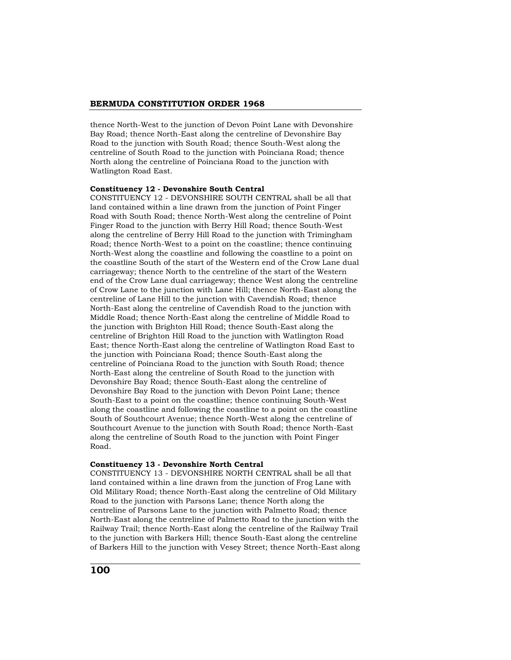thence North-West to the junction of Devon Point Lane with Devonshire Bay Road; thence North-East along the centreline of Devonshire Bay Road to the junction with South Road; thence South-West along the centreline of South Road to the junction with Poinciana Road; thence North along the centreline of Poinciana Road to the junction with Watlington Road East.

### **Constituency 12 - Devonshire South Central**

CONSTITUENCY 12 - DEVONSHIRE SOUTH CENTRAL shall be all that land contained within a line drawn from the junction of Point Finger Road with South Road; thence North-West along the centreline of Point Finger Road to the junction with Berry Hill Road; thence South-West along the centreline of Berry Hill Road to the junction with Trimingham Road; thence North-West to a point on the coastline; thence continuing North-West along the coastline and following the coastline to a point on the coastline South of the start of the Western end of the Crow Lane dual carriageway; thence North to the centreline of the start of the Western end of the Crow Lane dual carriageway; thence West along the centreline of Crow Lane to the junction with Lane Hill; thence North-East along the centreline of Lane Hill to the junction with Cavendish Road; thence North-East along the centreline of Cavendish Road to the junction with Middle Road; thence North-East along the centreline of Middle Road to the junction with Brighton Hill Road; thence South-East along the centreline of Brighton Hill Road to the junction with Watlington Road East; thence North-East along the centreline of Watlington Road East to the junction with Poinciana Road; thence South-East along the centreline of Poinciana Road to the junction with South Road; thence North-East along the centreline of South Road to the junction with Devonshire Bay Road; thence South-East along the centreline of Devonshire Bay Road to the junction with Devon Point Lane; thence South-East to a point on the coastline; thence continuing South-West along the coastline and following the coastline to a point on the coastline South of Southcourt Avenue; thence North-West along the centreline of Southcourt Avenue to the junction with South Road; thence North-East along the centreline of South Road to the junction with Point Finger Road.

#### **Constituency 13 - Devonshire North Central**

CONSTITUENCY 13 - DEVONSHIRE NORTH CENTRAL shall be all that land contained within a line drawn from the junction of Frog Lane with Old Military Road; thence North-East along the centreline of Old Military Road to the junction with Parsons Lane; thence North along the centreline of Parsons Lane to the junction with Palmetto Road; thence North-East along the centreline of Palmetto Road to the junction with the Railway Trail; thence North-East along the centreline of the Railway Trail to the junction with Barkers Hill; thence South-East along the centreline of Barkers Hill to the junction with Vesey Street; thence North-East along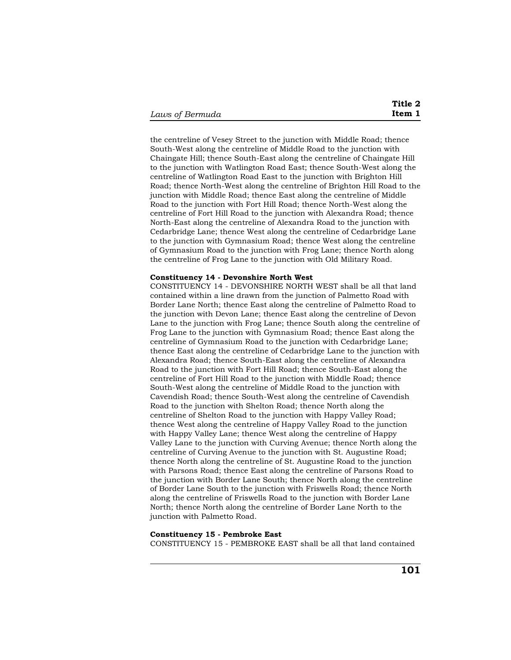the centreline of Vesey Street to the junction with Middle Road; thence South-West along the centreline of Middle Road to the junction with Chaingate Hill; thence South-East along the centreline of Chaingate Hill to the junction with Watlington Road East; thence South-West along the centreline of Watlington Road East to the junction with Brighton Hill Road; thence North-West along the centreline of Brighton Hill Road to the junction with Middle Road; thence East along the centreline of Middle Road to the junction with Fort Hill Road; thence North-West along the centreline of Fort Hill Road to the junction with Alexandra Road; thence North-East along the centreline of Alexandra Road to the junction with Cedarbridge Lane; thence West along the centreline of Cedarbridge Lane to the junction with Gymnasium Road; thence West along the centreline of Gymnasium Road to the junction with Frog Lane; thence North along the centreline of Frog Lane to the junction with Old Military Road.

### **Constituency 14 - Devonshire North West**

CONSTITUENCY 14 - DEVONSHIRE NORTH WEST shall be all that land contained within a line drawn from the junction of Palmetto Road with Border Lane North; thence East along the centreline of Palmetto Road to the junction with Devon Lane; thence East along the centreline of Devon Lane to the junction with Frog Lane; thence South along the centreline of Frog Lane to the junction with Gymnasium Road; thence East along the centreline of Gymnasium Road to the junction with Cedarbridge Lane; thence East along the centreline of Cedarbridge Lane to the junction with Alexandra Road; thence South-East along the centreline of Alexandra Road to the junction with Fort Hill Road; thence South-East along the centreline of Fort Hill Road to the junction with Middle Road; thence South-West along the centreline of Middle Road to the junction with Cavendish Road; thence South-West along the centreline of Cavendish Road to the junction with Shelton Road; thence North along the centreline of Shelton Road to the junction with Happy Valley Road; thence West along the centreline of Happy Valley Road to the junction with Happy Valley Lane; thence West along the centreline of Happy Valley Lane to the junction with Curving Avenue; thence North along the centreline of Curving Avenue to the junction with St. Augustine Road; thence North along the centreline of St. Augustine Road to the junction with Parsons Road; thence East along the centreline of Parsons Road to the junction with Border Lane South; thence North along the centreline of Border Lane South to the junction with Friswells Road; thence North along the centreline of Friswells Road to the junction with Border Lane North; thence North along the centreline of Border Lane North to the junction with Palmetto Road.

#### **Constituency 15 - Pembroke East**

CONSTITUENCY 15 - PEMBROKE EAST shall be all that land contained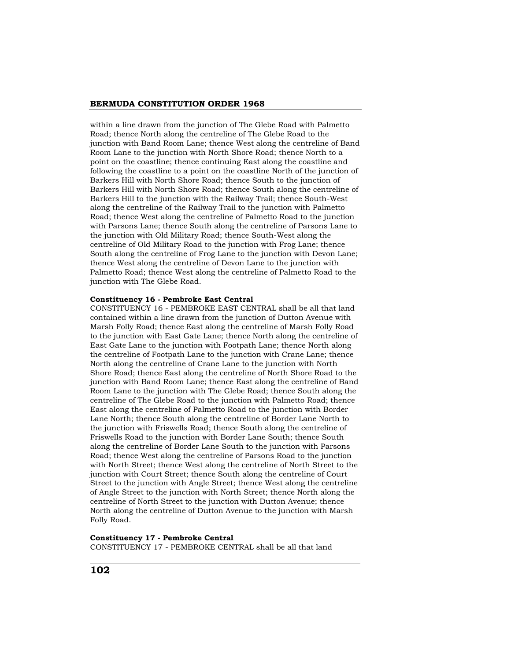within a line drawn from the junction of The Glebe Road with Palmetto Road; thence North along the centreline of The Glebe Road to the junction with Band Room Lane; thence West along the centreline of Band Room Lane to the junction with North Shore Road; thence North to a point on the coastline; thence continuing East along the coastline and following the coastline to a point on the coastline North of the junction of Barkers Hill with North Shore Road; thence South to the junction of Barkers Hill with North Shore Road; thence South along the centreline of Barkers Hill to the junction with the Railway Trail; thence South-West along the centreline of the Railway Trail to the junction with Palmetto Road; thence West along the centreline of Palmetto Road to the junction with Parsons Lane; thence South along the centreline of Parsons Lane to the junction with Old Military Road; thence South-West along the centreline of Old Military Road to the junction with Frog Lane; thence South along the centreline of Frog Lane to the junction with Devon Lane; thence West along the centreline of Devon Lane to the junction with Palmetto Road; thence West along the centreline of Palmetto Road to the junction with The Glebe Road.

# **Constituency 16 - Pembroke East Central**

CONSTITUENCY 16 - PEMBROKE EAST CENTRAL shall be all that land contained within a line drawn from the junction of Dutton Avenue with Marsh Folly Road; thence East along the centreline of Marsh Folly Road to the junction with East Gate Lane; thence North along the centreline of East Gate Lane to the junction with Footpath Lane; thence North along the centreline of Footpath Lane to the junction with Crane Lane; thence North along the centreline of Crane Lane to the junction with North Shore Road; thence East along the centreline of North Shore Road to the junction with Band Room Lane; thence East along the centreline of Band Room Lane to the junction with The Glebe Road; thence South along the centreline of The Glebe Road to the junction with Palmetto Road; thence East along the centreline of Palmetto Road to the junction with Border Lane North; thence South along the centreline of Border Lane North to the junction with Friswells Road; thence South along the centreline of Friswells Road to the junction with Border Lane South; thence South along the centreline of Border Lane South to the junction with Parsons Road; thence West along the centreline of Parsons Road to the junction with North Street; thence West along the centreline of North Street to the junction with Court Street; thence South along the centreline of Court Street to the junction with Angle Street; thence West along the centreline of Angle Street to the junction with North Street; thence North along the centreline of North Street to the junction with Dutton Avenue; thence North along the centreline of Dutton Avenue to the junction with Marsh Folly Road.

### **Constituency 17 - Pembroke Central**

CONSTITUENCY 17 - PEMBROKE CENTRAL shall be all that land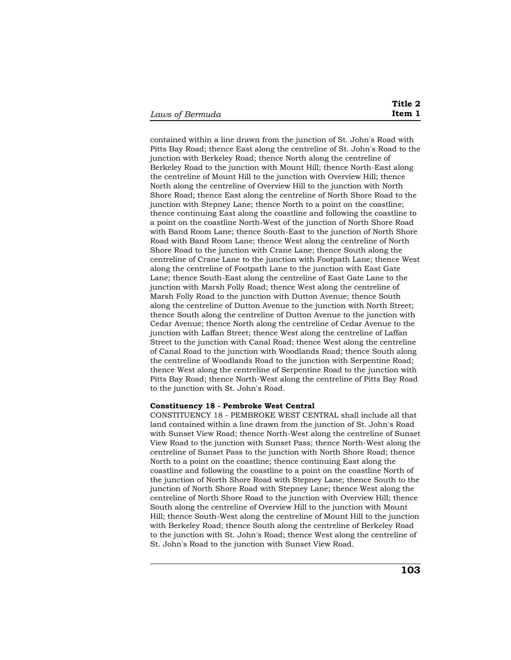contained within a line drawn from the junction of St. John's Road with Pitts Bay Road; thence East along the centreline of St. John's Road to the junction with Berkeley Road; thence North along the centreline of Berkeley Road to the junction with Mount Hill; thence North-East along the centreline of Mount Hill to the junction with Overview Hill; thence North along the centreline of Overview Hill to the junction with North Shore Road; thence East along the centreline of North Shore Road to the junction with Stepney Lane; thence North to a point on the coastline; thence continuing East along the coastline and following the coastline to a point on the coastline North-West of the junction of North Shore Road with Band Room Lane; thence South-East to the junction of North Shore Road with Band Room Lane; thence West along the centreline of North Shore Road to the junction with Crane Lane; thence South along the centreline of Crane Lane to the junction with Footpath Lane; thence West along the centreline of Footpath Lane to the junction with East Gate Lane; thence South-East along the centreline of East Gate Lane to the junction with Marsh Folly Road; thence West along the centreline of Marsh Folly Road to the junction with Dutton Avenue; thence South along the centreline of Dutton Avenue to the junction with North Street; thence South along the centreline of Dutton Avenue to the junction with Cedar Avenue; thence North along the centreline of Cedar Avenue to the junction with Laffan Street; thence West along the centreline of Laffan Street to the junction with Canal Road; thence West along the centreline of Canal Road to the junction with Woodlands Road; thence South along the centreline of Woodlands Road to the junction with Serpentine Road; thence West along the centreline of Serpentine Road to the junction with Pitts Bay Road; thence North-West along the centreline of Pitts Bay Road to the junction with St. John's Road.

#### **Constituency 18 - Pembroke West Central**

CONSTITUENCY 18 - PEMBROKE WEST CENTRAL shall include all that land contained within a line drawn from the junction of St. John's Road with Sunset View Road; thence North-West along the centreline of Sunset View Road to the junction with Sunset Pass; thence North-West along the centreline of Sunset Pass to the junction with North Shore Road; thence North to a point on the coastline; thence continuing East along the coastline and following the coastline to a point on the coastline North of the junction of North Shore Road with Stepney Lane; thence South to the junction of North Shore Road with Stepney Lane; thence West along the centreline of North Shore Road to the junction with Overview Hill; thence South along the centreline of Overview Hill to the junction with Mount Hill; thence South-West along the centreline of Mount Hill to the junction with Berkeley Road; thence South along the centreline of Berkeley Road to the junction with St. John's Road; thence West along the centreline of St. John's Road to the junction with Sunset View Road.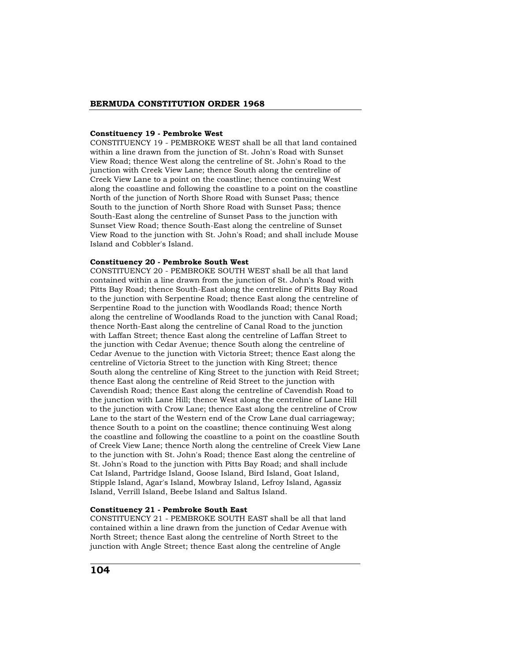#### **Constituency 19 - Pembroke West**

CONSTITUENCY 19 - PEMBROKE WEST shall be all that land contained within a line drawn from the junction of St. John's Road with Sunset View Road; thence West along the centreline of St. John's Road to the junction with Creek View Lane; thence South along the centreline of Creek View Lane to a point on the coastline; thence continuing West along the coastline and following the coastline to a point on the coastline North of the junction of North Shore Road with Sunset Pass; thence South to the junction of North Shore Road with Sunset Pass; thence South-East along the centreline of Sunset Pass to the junction with Sunset View Road; thence South-East along the centreline of Sunset View Road to the junction with St. John's Road; and shall include Mouse Island and Cobbler's Island.

### **Constituency 20 - Pembroke South West**

CONSTITUENCY 20 - PEMBROKE SOUTH WEST shall be all that land contained within a line drawn from the junction of St. John's Road with Pitts Bay Road; thence South-East along the centreline of Pitts Bay Road to the junction with Serpentine Road; thence East along the centreline of Serpentine Road to the junction with Woodlands Road; thence North along the centreline of Woodlands Road to the junction with Canal Road; thence North-East along the centreline of Canal Road to the junction with Laffan Street; thence East along the centreline of Laffan Street to the junction with Cedar Avenue; thence South along the centreline of Cedar Avenue to the junction with Victoria Street; thence East along the centreline of Victoria Street to the junction with King Street; thence South along the centreline of King Street to the junction with Reid Street; thence East along the centreline of Reid Street to the junction with Cavendish Road; thence East along the centreline of Cavendish Road to the junction with Lane Hill; thence West along the centreline of Lane Hill to the junction with Crow Lane; thence East along the centreline of Crow Lane to the start of the Western end of the Crow Lane dual carriageway; thence South to a point on the coastline; thence continuing West along the coastline and following the coastline to a point on the coastline South of Creek View Lane; thence North along the centreline of Creek View Lane to the junction with St. John's Road; thence East along the centreline of St. John's Road to the junction with Pitts Bay Road; and shall include Cat Island, Partridge Island, Goose Island, Bird Island, Goat Island, Stipple Island, Agar's Island, Mowbray Island, Lefroy Island, Agassiz Island, Verrill Island, Beebe Island and Saltus Island.

### **Constituency 21 - Pembroke South East**

CONSTITUENCY 21 - PEMBROKE SOUTH EAST shall be all that land contained within a line drawn from the junction of Cedar Avenue with North Street; thence East along the centreline of North Street to the junction with Angle Street; thence East along the centreline of Angle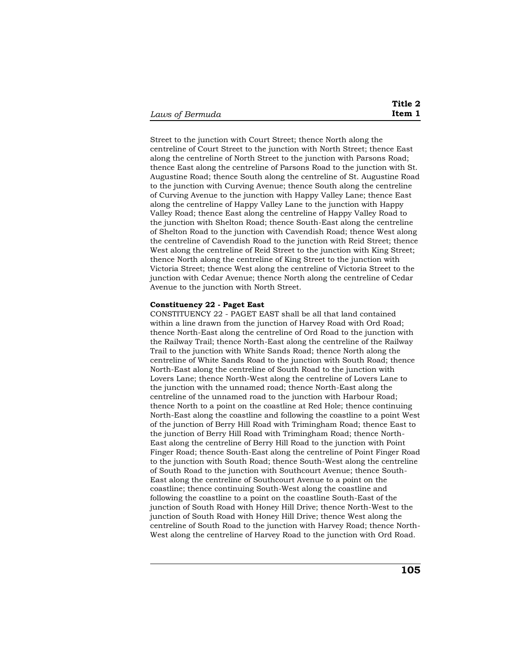Street to the junction with Court Street; thence North along the centreline of Court Street to the junction with North Street; thence East along the centreline of North Street to the junction with Parsons Road; thence East along the centreline of Parsons Road to the junction with St. Augustine Road; thence South along the centreline of St. Augustine Road to the junction with Curving Avenue; thence South along the centreline of Curving Avenue to the junction with Happy Valley Lane; thence East along the centreline of Happy Valley Lane to the junction with Happy Valley Road; thence East along the centreline of Happy Valley Road to the junction with Shelton Road; thence South-East along the centreline of Shelton Road to the junction with Cavendish Road; thence West along the centreline of Cavendish Road to the junction with Reid Street; thence West along the centreline of Reid Street to the junction with King Street; thence North along the centreline of King Street to the junction with Victoria Street; thence West along the centreline of Victoria Street to the junction with Cedar Avenue; thence North along the centreline of Cedar Avenue to the junction with North Street.

### **Constituency 22 - Paget East**

CONSTITUENCY 22 - PAGET EAST shall be all that land contained within a line drawn from the junction of Harvey Road with Ord Road; thence North-East along the centreline of Ord Road to the junction with the Railway Trail; thence North-East along the centreline of the Railway Trail to the junction with White Sands Road; thence North along the centreline of White Sands Road to the junction with South Road; thence North-East along the centreline of South Road to the junction with Lovers Lane; thence North-West along the centreline of Lovers Lane to the junction with the unnamed road; thence North-East along the centreline of the unnamed road to the junction with Harbour Road; thence North to a point on the coastline at Red Hole; thence continuing North-East along the coastline and following the coastline to a point West of the junction of Berry Hill Road with Trimingham Road; thence East to the junction of Berry Hill Road with Trimingham Road; thence North-East along the centreline of Berry Hill Road to the junction with Point Finger Road; thence South-East along the centreline of Point Finger Road to the junction with South Road; thence South-West along the centreline of South Road to the junction with Southcourt Avenue; thence South-East along the centreline of Southcourt Avenue to a point on the coastline; thence continuing South-West along the coastline and following the coastline to a point on the coastline South-East of the junction of South Road with Honey Hill Drive; thence North-West to the junction of South Road with Honey Hill Drive; thence West along the centreline of South Road to the junction with Harvey Road; thence North-West along the centreline of Harvey Road to the junction with Ord Road.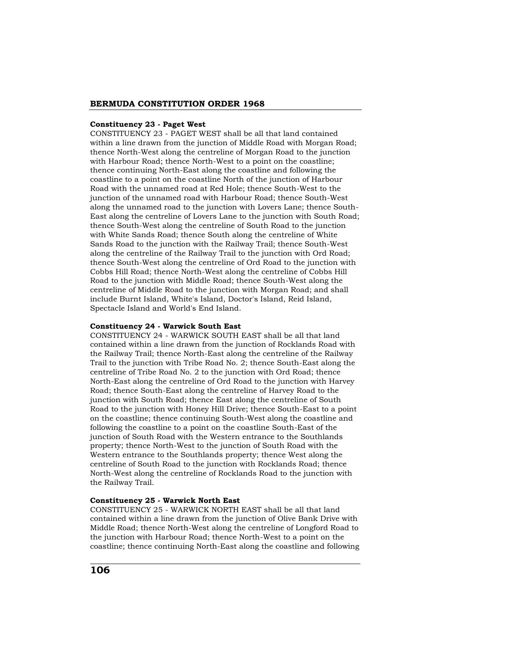### **Constituency 23 - Paget West**

CONSTITUENCY 23 - PAGET WEST shall be all that land contained within a line drawn from the junction of Middle Road with Morgan Road; thence North-West along the centreline of Morgan Road to the junction with Harbour Road; thence North-West to a point on the coastline; thence continuing North-East along the coastline and following the coastline to a point on the coastline North of the junction of Harbour Road with the unnamed road at Red Hole; thence South-West to the junction of the unnamed road with Harbour Road; thence South-West along the unnamed road to the junction with Lovers Lane; thence South-East along the centreline of Lovers Lane to the junction with South Road; thence South-West along the centreline of South Road to the junction with White Sands Road; thence South along the centreline of White Sands Road to the junction with the Railway Trail; thence South-West along the centreline of the Railway Trail to the junction with Ord Road; thence South-West along the centreline of Ord Road to the junction with Cobbs Hill Road; thence North-West along the centreline of Cobbs Hill Road to the junction with Middle Road; thence South-West along the centreline of Middle Road to the junction with Morgan Road; and shall include Burnt Island, White's Island, Doctor's Island, Reid Island, Spectacle Island and World's End Island.

# **Constituency 24 - Warwick South East**

CONSTITUENCY 24 - WARWICK SOUTH EAST shall be all that land contained within a line drawn from the junction of Rocklands Road with the Railway Trail; thence North-East along the centreline of the Railway Trail to the junction with Tribe Road No. 2; thence South-East along the centreline of Tribe Road No. 2 to the junction with Ord Road; thence North-East along the centreline of Ord Road to the junction with Harvey Road; thence South-East along the centreline of Harvey Road to the junction with South Road; thence East along the centreline of South Road to the junction with Honey Hill Drive; thence South-East to a point on the coastline; thence continuing South-West along the coastline and following the coastline to a point on the coastline South-East of the junction of South Road with the Western entrance to the Southlands property; thence North-West to the junction of South Road with the Western entrance to the Southlands property; thence West along the centreline of South Road to the junction with Rocklands Road; thence North-West along the centreline of Rocklands Road to the junction with the Railway Trail.

## **Constituency 25 - Warwick North East**

CONSTITUENCY 25 - WARWICK NORTH EAST shall be all that land contained within a line drawn from the junction of Olive Bank Drive with Middle Road; thence North-West along the centreline of Longford Road to the junction with Harbour Road; thence North-West to a point on the coastline; thence continuing North-East along the coastline and following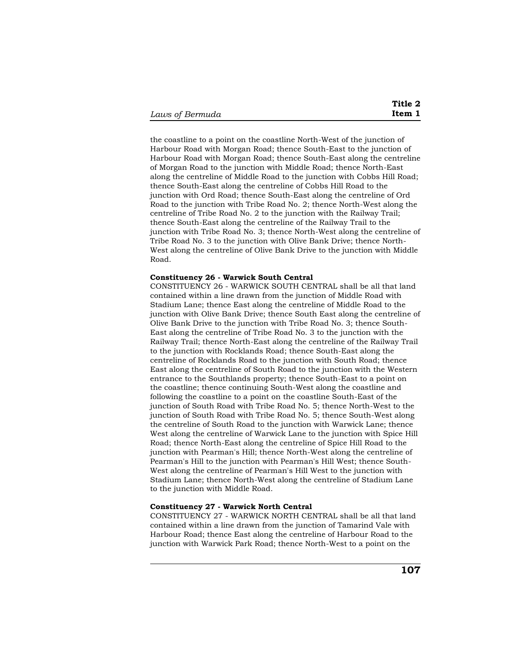|  | Laws of Bermuda | Item 1 |
|--|-----------------|--------|
|--|-----------------|--------|

the coastline to a point on the coastline North-West of the junction of Harbour Road with Morgan Road; thence South-East to the junction of Harbour Road with Morgan Road; thence South-East along the centreline of Morgan Road to the junction with Middle Road; thence North-East along the centreline of Middle Road to the junction with Cobbs Hill Road; thence South-East along the centreline of Cobbs Hill Road to the junction with Ord Road; thence South-East along the centreline of Ord Road to the junction with Tribe Road No. 2; thence North-West along the centreline of Tribe Road No. 2 to the junction with the Railway Trail; thence South-East along the centreline of the Railway Trail to the junction with Tribe Road No. 3; thence North-West along the centreline of Tribe Road No. 3 to the junction with Olive Bank Drive; thence North-West along the centreline of Olive Bank Drive to the junction with Middle Road.

### **Constituency 26 - Warwick South Central**

CONSTITUENCY 26 - WARWICK SOUTH CENTRAL shall be all that land contained within a line drawn from the junction of Middle Road with Stadium Lane; thence East along the centreline of Middle Road to the junction with Olive Bank Drive; thence South East along the centreline of Olive Bank Drive to the junction with Tribe Road No. 3; thence South-East along the centreline of Tribe Road No. 3 to the junction with the Railway Trail; thence North-East along the centreline of the Railway Trail to the junction with Rocklands Road; thence South-East along the centreline of Rocklands Road to the junction with South Road; thence East along the centreline of South Road to the junction with the Western entrance to the Southlands property; thence South-East to a point on the coastline; thence continuing South-West along the coastline and following the coastline to a point on the coastline South-East of the junction of South Road with Tribe Road No. 5; thence North-West to the junction of South Road with Tribe Road No. 5; thence South-West along the centreline of South Road to the junction with Warwick Lane; thence West along the centreline of Warwick Lane to the junction with Spice Hill Road; thence North-East along the centreline of Spice Hill Road to the junction with Pearman's Hill; thence North-West along the centreline of Pearman's Hill to the junction with Pearman's Hill West; thence South-West along the centreline of Pearman's Hill West to the junction with Stadium Lane; thence North-West along the centreline of Stadium Lane to the junction with Middle Road.

### **Constituency 27 - Warwick North Central**

CONSTITUENCY 27 - WARWICK NORTH CENTRAL shall be all that land contained within a line drawn from the junction of Tamarind Vale with Harbour Road; thence East along the centreline of Harbour Road to the junction with Warwick Park Road; thence North-West to a point on the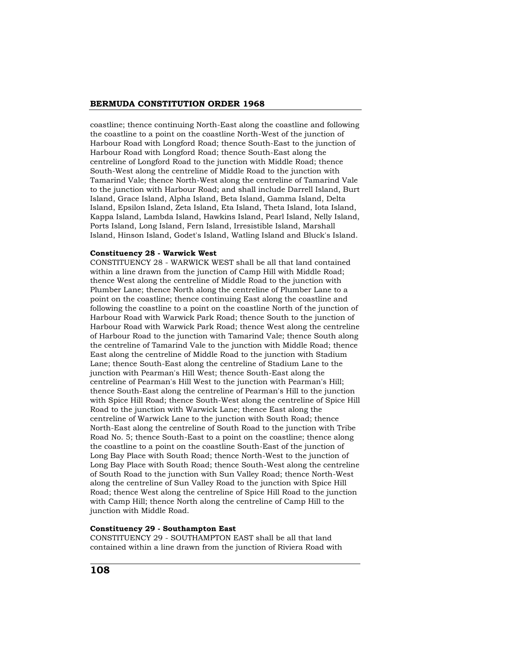coastline; thence continuing North-East along the coastline and following the coastline to a point on the coastline North-West of the junction of Harbour Road with Longford Road; thence South-East to the junction of Harbour Road with Longford Road; thence South-East along the centreline of Longford Road to the junction with Middle Road; thence South-West along the centreline of Middle Road to the junction with Tamarind Vale; thence North-West along the centreline of Tamarind Vale to the junction with Harbour Road; and shall include Darrell Island, Burt Island, Grace Island, Alpha Island, Beta Island, Gamma Island, Delta Island, Epsilon Island, Zeta Island, Eta Island, Theta Island, Iota Island, Kappa Island, Lambda Island, Hawkins Island, Pearl Island, Nelly Island, Ports Island, Long Island, Fern Island, Irresistible Island, Marshall Island, Hinson Island, Godet's Island, Watling Island and Bluck's Island.

#### **Constituency 28 - Warwick West**

CONSTITUENCY 28 - WARWICK WEST shall be all that land contained within a line drawn from the junction of Camp Hill with Middle Road; thence West along the centreline of Middle Road to the junction with Plumber Lane; thence North along the centreline of Plumber Lane to a point on the coastline; thence continuing East along the coastline and following the coastline to a point on the coastline North of the junction of Harbour Road with Warwick Park Road; thence South to the junction of Harbour Road with Warwick Park Road; thence West along the centreline of Harbour Road to the junction with Tamarind Vale; thence South along the centreline of Tamarind Vale to the junction with Middle Road; thence East along the centreline of Middle Road to the junction with Stadium Lane; thence South-East along the centreline of Stadium Lane to the junction with Pearman's Hill West; thence South-East along the centreline of Pearman's Hill West to the junction with Pearman's Hill; thence South-East along the centreline of Pearman's Hill to the junction with Spice Hill Road; thence South-West along the centreline of Spice Hill Road to the junction with Warwick Lane; thence East along the centreline of Warwick Lane to the junction with South Road; thence North-East along the centreline of South Road to the junction with Tribe Road No. 5; thence South-East to a point on the coastline; thence along the coastline to a point on the coastline South-East of the junction of Long Bay Place with South Road; thence North-West to the junction of Long Bay Place with South Road; thence South-West along the centreline of South Road to the junction with Sun Valley Road; thence North-West along the centreline of Sun Valley Road to the junction with Spice Hill Road; thence West along the centreline of Spice Hill Road to the junction with Camp Hill; thence North along the centreline of Camp Hill to the junction with Middle Road.

### **Constituency 29 - Southampton East**

CONSTITUENCY 29 - SOUTHAMPTON EAST shall be all that land contained within a line drawn from the junction of Riviera Road with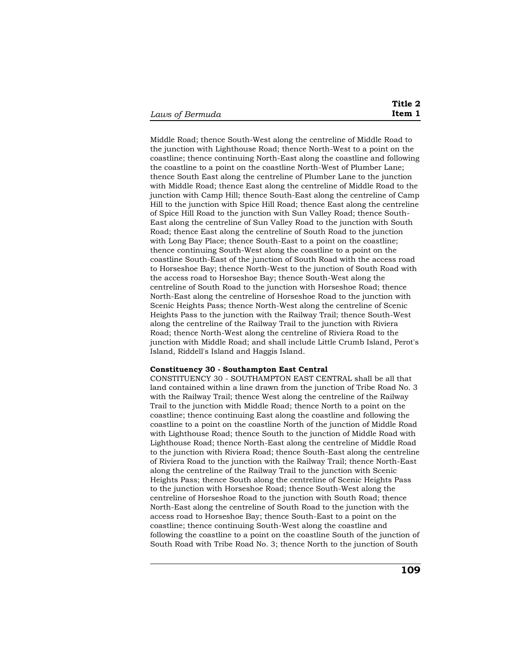Middle Road; thence South-West along the centreline of Middle Road to the junction with Lighthouse Road; thence North-West to a point on the coastline; thence continuing North-East along the coastline and following the coastline to a point on the coastline North-West of Plumber Lane; thence South East along the centreline of Plumber Lane to the junction with Middle Road; thence East along the centreline of Middle Road to the junction with Camp Hill; thence South-East along the centreline of Camp Hill to the junction with Spice Hill Road; thence East along the centreline of Spice Hill Road to the junction with Sun Valley Road; thence South-East along the centreline of Sun Valley Road to the junction with South Road; thence East along the centreline of South Road to the junction with Long Bay Place; thence South-East to a point on the coastline; thence continuing South-West along the coastline to a point on the coastline South-East of the junction of South Road with the access road to Horseshoe Bay; thence North-West to the junction of South Road with the access road to Horseshoe Bay; thence South-West along the centreline of South Road to the junction with Horseshoe Road; thence North-East along the centreline of Horseshoe Road to the junction with Scenic Heights Pass; thence North-West along the centreline of Scenic Heights Pass to the junction with the Railway Trail; thence South-West along the centreline of the Railway Trail to the junction with Riviera Road; thence North-West along the centreline of Riviera Road to the junction with Middle Road; and shall include Little Crumb Island, Perot's Island, Riddell's Island and Haggis Island.

#### **Constituency 30 - Southampton East Central**

CONSTITUENCY 30 - SOUTHAMPTON EAST CENTRAL shall be all that land contained within a line drawn from the junction of Tribe Road No. 3 with the Railway Trail; thence West along the centreline of the Railway Trail to the junction with Middle Road; thence North to a point on the coastline; thence continuing East along the coastline and following the coastline to a point on the coastline North of the junction of Middle Road with Lighthouse Road; thence South to the junction of Middle Road with Lighthouse Road; thence North-East along the centreline of Middle Road to the junction with Riviera Road; thence South-East along the centreline of Riviera Road to the junction with the Railway Trail; thence North-East along the centreline of the Railway Trail to the junction with Scenic Heights Pass; thence South along the centreline of Scenic Heights Pass to the junction with Horseshoe Road; thence South-West along the centreline of Horseshoe Road to the junction with South Road; thence North-East along the centreline of South Road to the junction with the access road to Horseshoe Bay; thence South-East to a point on the coastline; thence continuing South-West along the coastline and following the coastline to a point on the coastline South of the junction of South Road with Tribe Road No. 3; thence North to the junction of South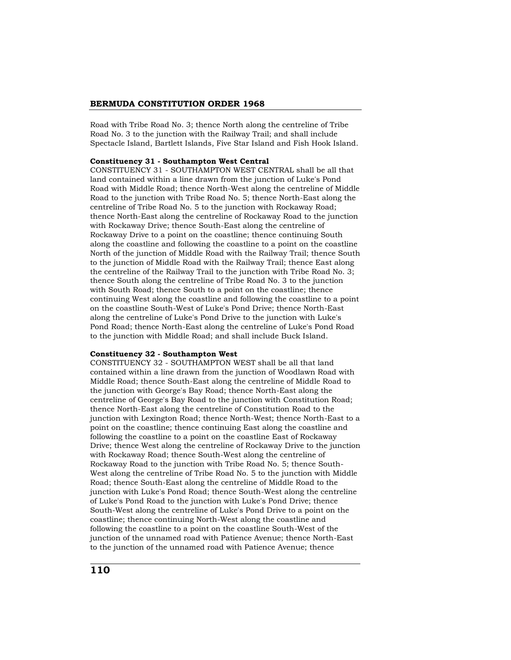#### **BERMUDA CONSTITUTION ORDER 1968**

Road with Tribe Road No. 3; thence North along the centreline of Tribe Road No. 3 to the junction with the Railway Trail; and shall include Spectacle Island, Bartlett Islands, Five Star Island and Fish Hook Island.

## **Constituency 31 - Southampton West Central**

CONSTITUENCY 31 - SOUTHAMPTON WEST CENTRAL shall be all that land contained within a line drawn from the junction of Luke's Pond Road with Middle Road; thence North-West along the centreline of Middle Road to the junction with Tribe Road No. 5; thence North-East along the centreline of Tribe Road No. 5 to the junction with Rockaway Road; thence North-East along the centreline of Rockaway Road to the junction with Rockaway Drive; thence South-East along the centreline of Rockaway Drive to a point on the coastline; thence continuing South along the coastline and following the coastline to a point on the coastline North of the junction of Middle Road with the Railway Trail; thence South to the junction of Middle Road with the Railway Trail; thence East along the centreline of the Railway Trail to the junction with Tribe Road No. 3; thence South along the centreline of Tribe Road No. 3 to the junction with South Road; thence South to a point on the coastline; thence continuing West along the coastline and following the coastline to a point on the coastline South-West of Luke's Pond Drive; thence North-East along the centreline of Luke's Pond Drive to the junction with Luke's Pond Road; thence North-East along the centreline of Luke's Pond Road to the junction with Middle Road; and shall include Buck Island.

### **Constituency 32 - Southampton West**

CONSTITUENCY 32 - SOUTHAMPTON WEST shall be all that land contained within a line drawn from the junction of Woodlawn Road with Middle Road; thence South-East along the centreline of Middle Road to the junction with George's Bay Road; thence North-East along the centreline of George's Bay Road to the junction with Constitution Road; thence North-East along the centreline of Constitution Road to the junction with Lexington Road; thence North-West; thence North-East to a point on the coastline; thence continuing East along the coastline and following the coastline to a point on the coastline East of Rockaway Drive; thence West along the centreline of Rockaway Drive to the junction with Rockaway Road; thence South-West along the centreline of Rockaway Road to the junction with Tribe Road No. 5; thence South-West along the centreline of Tribe Road No. 5 to the junction with Middle Road; thence South-East along the centreline of Middle Road to the junction with Luke's Pond Road; thence South-West along the centreline of Luke's Pond Road to the junction with Luke's Pond Drive; thence South-West along the centreline of Luke's Pond Drive to a point on the coastline; thence continuing North-West along the coastline and following the coastline to a point on the coastline South-West of the junction of the unnamed road with Patience Avenue; thence North-East to the junction of the unnamed road with Patience Avenue; thence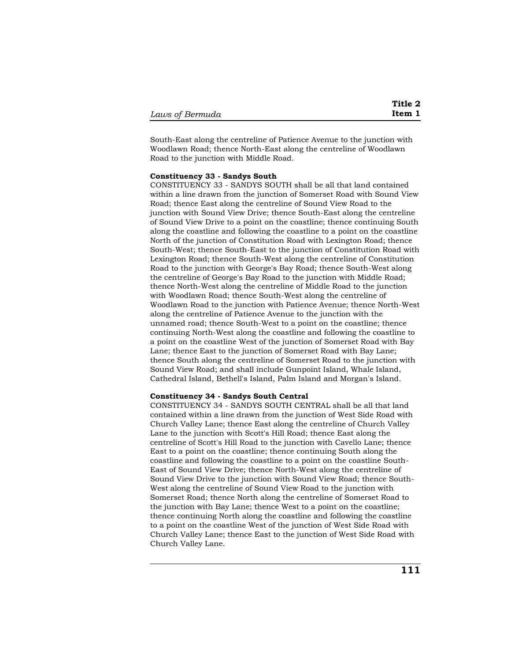South-East along the centreline of Patience Avenue to the junction with Woodlawn Road; thence North-East along the centreline of Woodlawn Road to the junction with Middle Road.

# **Constituency 33 - Sandys South**

CONSTITUENCY 33 - SANDYS SOUTH shall be all that land contained within a line drawn from the junction of Somerset Road with Sound View Road; thence East along the centreline of Sound View Road to the junction with Sound View Drive; thence South-East along the centreline of Sound View Drive to a point on the coastline; thence continuing South along the coastline and following the coastline to a point on the coastline North of the junction of Constitution Road with Lexington Road; thence South-West; thence South-East to the junction of Constitution Road with Lexington Road; thence South-West along the centreline of Constitution Road to the junction with George's Bay Road; thence South-West along the centreline of George's Bay Road to the junction with Middle Road; thence North-West along the centreline of Middle Road to the junction with Woodlawn Road; thence South-West along the centreline of Woodlawn Road to the junction with Patience Avenue; thence North-West along the centreline of Patience Avenue to the junction with the unnamed road; thence South-West to a point on the coastline; thence continuing North-West along the coastline and following the coastline to a point on the coastline West of the junction of Somerset Road with Bay Lane; thence East to the junction of Somerset Road with Bay Lane; thence South along the centreline of Somerset Road to the junction with Sound View Road; and shall include Gunpoint Island, Whale Island, Cathedral Island, Bethell's Island, Palm Island and Morgan's Island.

### **Constituency 34 - Sandys South Central**

CONSTITUENCY 34 - SANDYS SOUTH CENTRAL shall be all that land contained within a line drawn from the junction of West Side Road with Church Valley Lane; thence East along the centreline of Church Valley Lane to the junction with Scott's Hill Road; thence East along the centreline of Scott's Hill Road to the junction with Cavello Lane; thence East to a point on the coastline; thence continuing South along the coastline and following the coastline to a point on the coastline South-East of Sound View Drive; thence North-West along the centreline of Sound View Drive to the junction with Sound View Road; thence South-West along the centreline of Sound View Road to the junction with Somerset Road; thence North along the centreline of Somerset Road to the junction with Bay Lane; thence West to a point on the coastline; thence continuing North along the coastline and following the coastline to a point on the coastline West of the junction of West Side Road with Church Valley Lane; thence East to the junction of West Side Road with Church Valley Lane.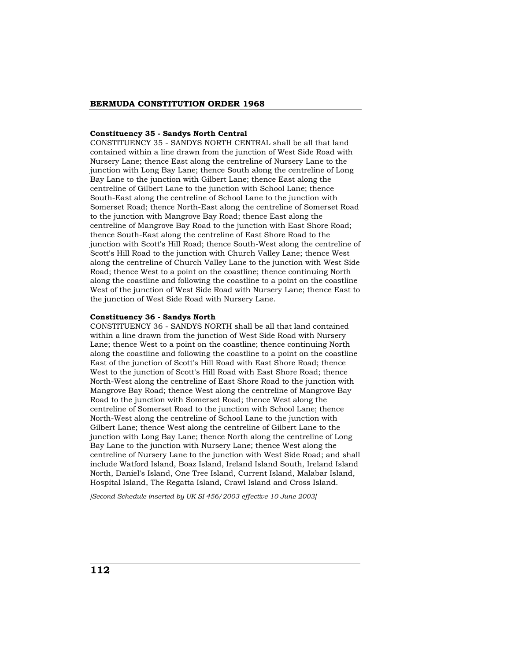#### **BERMUDA CONSTITUTION ORDER 1968**

### **Constituency 35 - Sandys North Central**

CONSTITUENCY 35 - SANDYS NORTH CENTRAL shall be all that land contained within a line drawn from the junction of West Side Road with Nursery Lane; thence East along the centreline of Nursery Lane to the junction with Long Bay Lane; thence South along the centreline of Long Bay Lane to the junction with Gilbert Lane; thence East along the centreline of Gilbert Lane to the junction with School Lane; thence South-East along the centreline of School Lane to the junction with Somerset Road; thence North-East along the centreline of Somerset Road to the junction with Mangrove Bay Road; thence East along the centreline of Mangrove Bay Road to the junction with East Shore Road; thence South-East along the centreline of East Shore Road to the junction with Scott's Hill Road; thence South-West along the centreline of Scott's Hill Road to the junction with Church Valley Lane; thence West along the centreline of Church Valley Lane to the junction with West Side Road; thence West to a point on the coastline; thence continuing North along the coastline and following the coastline to a point on the coastline West of the junction of West Side Road with Nursery Lane; thence East to the junction of West Side Road with Nursery Lane.

### **Constituency 36 - Sandys North**

CONSTITUENCY 36 - SANDYS NORTH shall be all that land contained within a line drawn from the junction of West Side Road with Nursery Lane; thence West to a point on the coastline; thence continuing North along the coastline and following the coastline to a point on the coastline East of the junction of Scott's Hill Road with East Shore Road; thence West to the junction of Scott's Hill Road with East Shore Road; thence North-West along the centreline of East Shore Road to the junction with Mangrove Bay Road; thence West along the centreline of Mangrove Bay Road to the junction with Somerset Road; thence West along the centreline of Somerset Road to the junction with School Lane; thence North-West along the centreline of School Lane to the junction with Gilbert Lane; thence West along the centreline of Gilbert Lane to the junction with Long Bay Lane; thence North along the centreline of Long Bay Lane to the junction with Nursery Lane; thence West along the centreline of Nursery Lane to the junction with West Side Road; and shall include Watford Island, Boaz Island, Ireland Island South, Ireland Island North, Daniel's Island, One Tree Island, Current Island, Malabar Island, Hospital Island, The Regatta Island, Crawl Island and Cross Island.

*[Second Schedule inserted by UK SI 456/2003 effective 10 June 2003]*